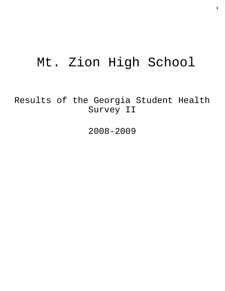# Mt. Zion High School

Results of the Georgia Student Health Survey II

2008-2009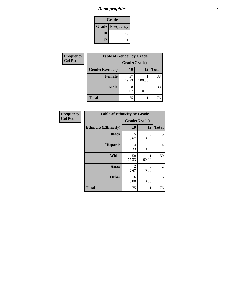# *Demographics* **2**

| Grade                    |    |  |
|--------------------------|----|--|
| <b>Grade   Frequency</b> |    |  |
| 10                       | 75 |  |
| 12                       |    |  |

| <b>Frequency</b> | <b>Table of Gender by Grade</b> |              |        |              |
|------------------|---------------------------------|--------------|--------|--------------|
| <b>Col Pct</b>   |                                 | Grade(Grade) |        |              |
|                  | Gender(Gender)                  | <b>10</b>    | 12     | <b>Total</b> |
|                  | <b>Female</b>                   | 37<br>49.33  | 100.00 | 38           |
|                  | <b>Male</b>                     | 38<br>50.67  | 0.00   | 38           |
|                  | <b>Total</b>                    | 75           |        | 76           |

| Frequency      | <b>Table of Ethnicity by Grade</b> |                                     |                  |                |
|----------------|------------------------------------|-------------------------------------|------------------|----------------|
| <b>Col Pct</b> |                                    | Grade(Grade)                        |                  |                |
|                | <b>Ethnicity</b> (Ethnicity)       | 10                                  | 12               | <b>Total</b>   |
|                | <b>Black</b>                       | 5<br>6.67                           | 0<br>0.00        | 5              |
|                | <b>Hispanic</b>                    | 4<br>5.33                           | $\Omega$<br>0.00 | 4              |
|                | <b>White</b>                       | 58<br>77.33                         | 1<br>100.00      | 59             |
|                | <b>Asian</b>                       | $\mathcal{D}_{\mathcal{L}}$<br>2.67 | $\theta$<br>0.00 | $\overline{2}$ |
|                | <b>Other</b>                       | 6<br>8.00                           | $\Omega$<br>0.00 | 6              |
| <b>Total</b>   |                                    | 75                                  | 1                | 76             |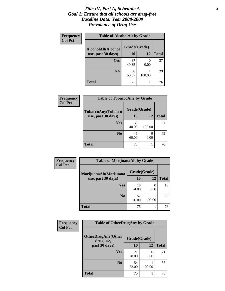#### *Title IV, Part A, Schedule A* **3** *Goal 1: Ensure that all schools are drug-free Baseline Data: Year 2008-2009 Prevalence of Drug Use*

| Frequency<br><b>Col Pct</b> | <b>Table of AlcoholAlt by Grade</b> |              |        |              |  |
|-----------------------------|-------------------------------------|--------------|--------|--------------|--|
|                             | AlcoholAlt(Alcohol                  | Grade(Grade) |        |              |  |
|                             | use, past 30 days)                  | <b>10</b>    | 12     | <b>Total</b> |  |
|                             | Yes                                 | 37<br>49.33  | 0.00   | 37           |  |
|                             | N <sub>0</sub>                      | 38<br>50.67  | 100.00 | 39           |  |
|                             | Total                               | 75           |        | 76           |  |

| Frequency<br><b>Col Pct</b> | <b>Table of TobaccoAny by Grade</b> |              |           |              |  |
|-----------------------------|-------------------------------------|--------------|-----------|--------------|--|
|                             | TobaccoAny(Tobacco                  | Grade(Grade) |           |              |  |
|                             | use, past 30 days)                  | <b>10</b>    | 12        | <b>Total</b> |  |
|                             | Yes                                 | 30<br>40.00  | 100.00    | 31           |  |
|                             | N <sub>0</sub>                      | 45<br>60.00  | 0<br>0.00 | 45           |  |
|                             | Total                               | 75           |           | 76           |  |

| Frequency<br><b>Col Pct</b> | <b>Table of MarijuanaAlt by Grade</b> |              |           |              |  |
|-----------------------------|---------------------------------------|--------------|-----------|--------------|--|
|                             | MarijuanaAlt(Marijuana                | Grade(Grade) |           |              |  |
|                             | use, past 30 days)                    | 10           | 12        | <b>Total</b> |  |
|                             | Yes                                   | 18<br>24.00  | 0<br>0.00 | 18           |  |
|                             | N <sub>0</sub>                        | 57<br>76.00  | 100.00    | 58           |  |
|                             | <b>Total</b>                          | 75           |           | 76           |  |

| Frequency<br><b>Col Pct</b> | <b>Table of OtherDrugAny by Grade</b>                  |             |                  |              |
|-----------------------------|--------------------------------------------------------|-------------|------------------|--------------|
|                             | <b>OtherDrugAny(Other</b><br>Grade(Grade)<br>drug use, |             |                  |              |
|                             | past 30 days)                                          | 10          | 12               | <b>Total</b> |
|                             | <b>Yes</b>                                             | 21<br>28.00 | $\Omega$<br>0.00 | 21           |
|                             | N <sub>0</sub>                                         | 54<br>72.00 | 100.00           | 55           |
|                             | <b>Total</b>                                           | 75          |                  | 76           |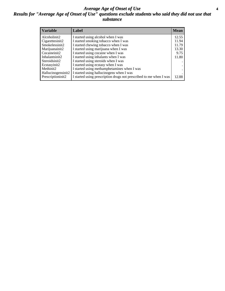#### *Average Age of Onset of Use* **4** *Results for "Average Age of Onset of Use" questions exclude students who said they did not use that substance*

| <b>Variable</b>    | Label                                                              | <b>Mean</b> |
|--------------------|--------------------------------------------------------------------|-------------|
| Alcoholinit2       | I started using alcohol when I was                                 | 12.55       |
| Cigarettesinit2    | I started smoking tobacco when I was                               | 11.94       |
| Smokelessinit2     | I started chewing tobacco when I was                               | 11.79       |
| Marijuanainit2     | I started using marijuana when I was                               | 13.30       |
| Cocaineinit2       | I started using cocaine when I was                                 | 9.75        |
| Inhalantsinit2     | I started using inhalants when I was                               | 11.80       |
| Steroidsinit2      | I started using steroids when I was                                |             |
| Ecstasyinit2       | I started using ecstasy when I was                                 |             |
| Methinit2          | I started using methamphetamines when I was                        |             |
| Hallucinogensinit2 | I started using hallucinogens when I was                           |             |
| Prescriptioninit2  | I started using prescription drugs not prescribed to me when I was | 12.88       |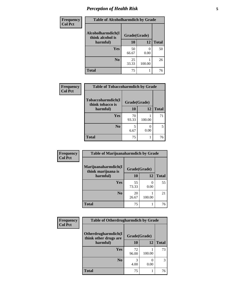# *Perception of Health Risk* **5**

| Frequency      | <b>Table of Alcoholharmdich by Grade</b> |              |        |              |
|----------------|------------------------------------------|--------------|--------|--------------|
| <b>Col Pct</b> | Alcoholharmdich(I<br>think alcohol is    | Grade(Grade) |        |              |
|                | harmful)                                 | 10           | 12     | <b>Total</b> |
|                | <b>Yes</b>                               | 50<br>66.67  | 0.00   | 50           |
|                | N <sub>0</sub>                           | 25<br>33.33  | 100.00 | 26           |
|                | <b>Total</b>                             | 75           |        | 76           |

| Frequency      | <b>Table of Tobaccoharmdich by Grade</b> |              |        |              |
|----------------|------------------------------------------|--------------|--------|--------------|
| <b>Col Pct</b> | Tobaccoharmdich(I<br>think tobacco is    | Grade(Grade) |        |              |
|                | harmful)                                 | 10           | 12     | <b>Total</b> |
|                | Yes                                      | 70<br>93.33  | 100.00 | 71           |
|                | N <sub>0</sub>                           | 6.67         | 0.00   |              |
|                | <b>Total</b>                             | 75           |        | 76           |

| Frequency      | <b>Table of Marijuanaharmdich by Grade</b> |              |           |              |  |
|----------------|--------------------------------------------|--------------|-----------|--------------|--|
| <b>Col Pct</b> | Marijuanaharmdich(I<br>think marijuana is  | Grade(Grade) |           |              |  |
|                | harmful)                                   | <b>10</b>    | <b>12</b> | <b>Total</b> |  |
|                | Yes                                        | 55<br>73.33  | 0.00      | 55           |  |
|                | N <sub>0</sub>                             | 20<br>26.67  | 100.00    | 21           |  |
|                | <b>Total</b>                               | 75           |           | 76           |  |

| Frequency      | <b>Table of Otherdrugharmdich by Grade</b>                   |             |        |              |  |
|----------------|--------------------------------------------------------------|-------------|--------|--------------|--|
| <b>Col Pct</b> | Otherdrugharmdich(I<br>Grade(Grade)<br>think other drugs are |             |        |              |  |
|                | harmful)                                                     | 10          | 12     | <b>Total</b> |  |
|                | Yes                                                          | 72<br>96.00 | 100.00 | 73           |  |
|                | N <sub>0</sub>                                               | 4.00        | 0.00   | 3            |  |
|                | <b>Total</b>                                                 | 75          |        | 76           |  |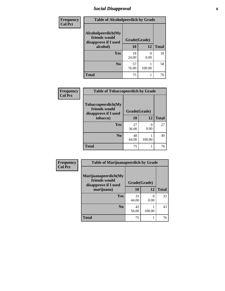# *Social Disapproval* **6**

| <b>Frequency</b> | <b>Table of Alcoholpeerdich by Grade</b>                    |              |                           |              |
|------------------|-------------------------------------------------------------|--------------|---------------------------|--------------|
| <b>Col Pct</b>   | Alcoholpeerdich(My<br>friends would<br>disapprove if I used | Grade(Grade) |                           |              |
|                  | alcohol)                                                    | 10           | 12                        | <b>Total</b> |
|                  | <b>Yes</b>                                                  | 18<br>24.00  | $\mathbf{\Omega}$<br>0.00 | 18           |
|                  | N <sub>0</sub>                                              | 57<br>76.00  | 100.00                    | 58           |
|                  | <b>Total</b>                                                | 75           | 1                         | 76           |

| <b>Frequency</b> |
|------------------|
| <b>Col Pct</b>   |

| <b>Table of Tobaccopeerdich by Grade</b>                            |              |           |              |  |  |  |  |
|---------------------------------------------------------------------|--------------|-----------|--------------|--|--|--|--|
| <b>Tobaccopeerdich</b> (My<br>friends would<br>disapprove if I used | Grade(Grade) |           |              |  |  |  |  |
| tobacco)                                                            | 10           | 12        | <b>Total</b> |  |  |  |  |
| Yes                                                                 | 27<br>36.00  | 0<br>0.00 | 27           |  |  |  |  |
| N <sub>0</sub>                                                      | 48<br>64.00  | 100.00    | 49           |  |  |  |  |
| <b>Total</b>                                                        | 75           |           | 76           |  |  |  |  |

| <b>Frequency</b> | <b>Table of Marijuanapeerdich by Grade</b>                    |              |                       |              |  |
|------------------|---------------------------------------------------------------|--------------|-----------------------|--------------|--|
| <b>Col Pct</b>   | Marijuanapeerdich(My<br>friends would<br>disapprove if I used | Grade(Grade) |                       |              |  |
|                  | marijuana)                                                    | 10           | 12                    | <b>Total</b> |  |
|                  | <b>Yes</b>                                                    | 33<br>44.00  | $\mathcal{O}$<br>0.00 | 33           |  |
|                  | N <sub>0</sub>                                                | 42<br>56.00  | 100.00                | 43           |  |
|                  | <b>Total</b>                                                  | 75           |                       | 76           |  |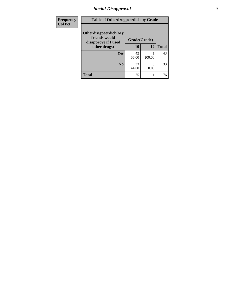# *Social Disapproval* **7**

| Frequency      | <b>Table of Otherdrugpeerdich by Grade</b>                    |              |        |              |  |
|----------------|---------------------------------------------------------------|--------------|--------|--------------|--|
| <b>Col Pct</b> | Otherdrugpeerdich(My<br>friends would<br>disapprove if I used | Grade(Grade) |        |              |  |
|                | other drugs)                                                  | 10           | 12     | <b>Total</b> |  |
|                | Yes                                                           | 42<br>56.00  | 100.00 | 43           |  |
|                | N <sub>0</sub>                                                | 33<br>44.00  | 0.00   | 33           |  |
|                | <b>Total</b>                                                  | 75           |        | 76           |  |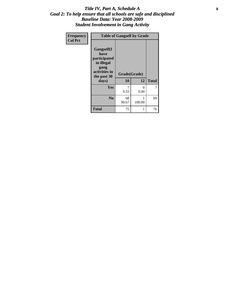#### Title IV, Part A, Schedule A **8** *Goal 2: To help ensure that all schools are safe and disciplined Baseline Data: Year 2008-2009 Student Involvement in Gang Activity*

| Frequency      | <b>Table of Gangself by Grade</b>                                                                 |                    |                  |              |
|----------------|---------------------------------------------------------------------------------------------------|--------------------|------------------|--------------|
| <b>Col Pct</b> | Gangself(I<br>have<br>participated<br>in illegal<br>gang<br>activities in<br>the past 30<br>days) | Grade(Grade)<br>10 | 12               | <b>Total</b> |
|                | Yes                                                                                               | 7<br>9.33          | $\theta$<br>0.00 | 7            |
|                | N <sub>0</sub>                                                                                    | 68<br>90.67        | 1<br>100.00      | 69           |
|                | <b>Total</b>                                                                                      | 75                 | 1                | 76           |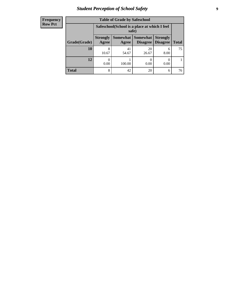# *Student Perception of School Safety* **9**

| <b>Frequency</b><br>Row Pct |
|-----------------------------|
|                             |

| <b>Table of Grade by Safeschool</b> |                                                                                                                            |             |             |           |    |  |  |
|-------------------------------------|----------------------------------------------------------------------------------------------------------------------------|-------------|-------------|-----------|----|--|--|
|                                     | Safeschool (School is a place at which I feel<br>safe)                                                                     |             |             |           |    |  |  |
| Grade(Grade)                        | Somewhat   Somewhat<br><b>Strongly</b><br><b>Strongly</b><br><b>Disagree</b><br>Agree<br>Disagree<br><b>Total</b><br>Agree |             |             |           |    |  |  |
| <b>10</b>                           | 8<br>10.67                                                                                                                 | 41<br>54.67 | 20<br>26.67 | 6<br>8.00 | 75 |  |  |
| 12                                  | 0.00                                                                                                                       | 100.00      | 0.00        | 0.00      |    |  |  |
| <b>Total</b>                        | 8                                                                                                                          | 42          | 20          | 6         | 76 |  |  |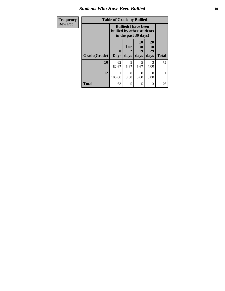#### *Students Who Have Been Bullied* **10**

| Frequency      | <b>Table of Grade by Bullied</b> |                           |                                                     |                        |                               |              |
|----------------|----------------------------------|---------------------------|-----------------------------------------------------|------------------------|-------------------------------|--------------|
| <b>Row Pct</b> |                                  | bullied by other students | <b>Bullied</b> (I have been<br>in the past 30 days) |                        |                               |              |
|                | Grade(Grade)                     | 0<br><b>Days</b>          | 1 or<br>days                                        | 10<br>to<br>19<br>days | <b>20</b><br>to<br>29<br>days | <b>Total</b> |
|                | 10                               | 62<br>82.67               | 5<br>6.67                                           | 5<br>6.67              | 3<br>4.00                     | 75           |
|                | 12                               | 100.00                    | 0<br>0.00                                           | $\mathcal{O}$<br>0.00  | 0<br>0.00                     | 1            |
|                | <b>Total</b>                     | 63                        | 5                                                   | 5                      | 3                             | 76           |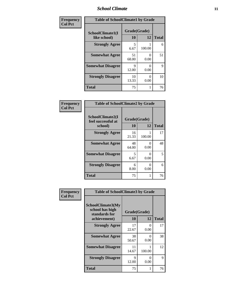### *School Climate* **11**

| Frequency      | <b>Table of SchoolClimate1 by Grade</b> |                    |                           |              |  |
|----------------|-----------------------------------------|--------------------|---------------------------|--------------|--|
| <b>Col Pct</b> | SchoolClimate1(I<br>like school)        | Grade(Grade)<br>10 | 12                        | <b>Total</b> |  |
|                | <b>Strongly Agree</b>                   | 5<br>6.67          | 100.00                    | 6            |  |
|                | <b>Somewhat Agree</b>                   | 51<br>68.00        | 0<br>0.00                 | 51           |  |
|                | <b>Somewhat Disagree</b>                | 9<br>12.00         | 0.00                      | 9            |  |
|                | <b>Strongly Disagree</b>                | 10<br>13.33        | $\mathbf{\Omega}$<br>0.00 | 10           |  |
|                | <b>Total</b>                            | 75                 |                           | 76           |  |

| <b>Frequency</b> |
|------------------|
| <b>Col Pct</b>   |

| <b>Table of SchoolClimate2 by Grade</b>           |                    |           |              |  |  |  |  |
|---------------------------------------------------|--------------------|-----------|--------------|--|--|--|--|
| SchoolClimate2(I<br>feel successful at<br>school) | Grade(Grade)<br>10 | 12        | <b>Total</b> |  |  |  |  |
| <b>Strongly Agree</b>                             | 16<br>21.33        | 100.00    | 17           |  |  |  |  |
| <b>Somewhat Agree</b>                             | 48<br>64.00        | 0.00      | 48           |  |  |  |  |
| <b>Somewhat Disagree</b>                          | 5<br>6.67          | 0.00      | 5            |  |  |  |  |
| <b>Strongly Disagree</b>                          | 6<br>8.00          | 0<br>0.00 | 6            |  |  |  |  |
| Total                                             | 75                 |           | 76           |  |  |  |  |

| Frequency      | <b>Table of SchoolClimate3 by Grade</b>                      |              |                           |              |  |
|----------------|--------------------------------------------------------------|--------------|---------------------------|--------------|--|
| <b>Col Pct</b> | <b>SchoolClimate3(My</b><br>school has high<br>standards for | Grade(Grade) |                           |              |  |
|                | achievement)                                                 | 10           | 12                        | <b>Total</b> |  |
|                | <b>Strongly Agree</b>                                        | 17<br>22.67  | $\mathbf{\Omega}$<br>0.00 | 17           |  |
|                | <b>Somewhat Agree</b>                                        | 38<br>50.67  | 0<br>0.00                 | 38           |  |
|                | <b>Somewhat Disagree</b>                                     | 11<br>14.67  | 100.00                    | 12           |  |
|                | <b>Strongly Disagree</b>                                     | 9<br>12.00   | 0<br>0.00                 | 9            |  |
|                | Total                                                        | 75           |                           | 76           |  |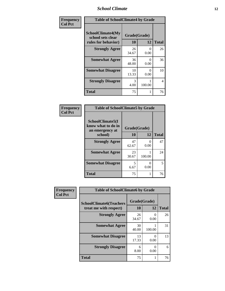### *School Climate* **12**

| Frequency      | <b>Table of SchoolClimate4 by Grade</b>                       |                    |                           |              |
|----------------|---------------------------------------------------------------|--------------------|---------------------------|--------------|
| <b>Col Pct</b> | SchoolClimate4(My<br>school sets clear<br>rules for behavior) | Grade(Grade)<br>10 | 12                        | <b>Total</b> |
|                | <b>Strongly Agree</b>                                         | 26<br>34.67        | $\mathbf{\Omega}$<br>0.00 | 26           |
|                | <b>Somewhat Agree</b>                                         | 36<br>48.00        | $\mathbf{\Omega}$<br>0.00 | 36           |
|                | <b>Somewhat Disagree</b>                                      | 10<br>13.33        | $\mathbf{\Omega}$<br>0.00 | 10           |
|                | <b>Strongly Disagree</b>                                      | 3<br>4.00          | 100.00                    | 4            |
|                | <b>Total</b>                                                  | 75                 |                           | 76           |

| <b>Table of SchoolClimate5 by Grade</b>                              |                    |                  |              |  |
|----------------------------------------------------------------------|--------------------|------------------|--------------|--|
| SchoolClimate5(I<br>know what to do in<br>an emergency at<br>school) | Grade(Grade)<br>10 | 12               | <b>Total</b> |  |
| <b>Strongly Agree</b>                                                | 47<br>62.67        | $\Omega$<br>0.00 | 47           |  |
| <b>Somewhat Agree</b>                                                | 23<br>30.67        | 100.00           | 24           |  |
| <b>Somewhat Disagree</b>                                             | 5<br>6.67          | 0<br>0.00        | 5            |  |
| <b>Total</b>                                                         | 75                 |                  | 76           |  |

| Frequency<br><b>Col Pct</b> | <b>Table of SchoolClimate6 by Grade</b>                  |                    |        |              |  |
|-----------------------------|----------------------------------------------------------|--------------------|--------|--------------|--|
|                             | <b>SchoolClimate6(Teachers</b><br>treat me with respect) | Grade(Grade)<br>10 | 12     | <b>Total</b> |  |
|                             | <b>Strongly Agree</b>                                    | 26<br>34.67        | 0.00   | 26           |  |
|                             | <b>Somewhat Agree</b>                                    | 30<br>40.00        | 100.00 | 31           |  |
|                             | <b>Somewhat Disagree</b>                                 | 13<br>17.33        | 0.00   | 13           |  |
|                             | <b>Strongly Disagree</b>                                 | 6<br>8.00          | 0.00   | 6            |  |
|                             | <b>Total</b>                                             | 75                 |        | 76           |  |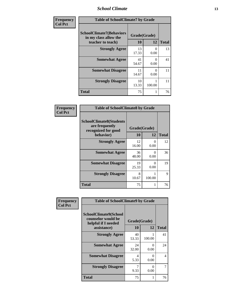### *School Climate* **13**

| Frequency      | <b>Table of SchoolClimate7 by Grade</b>                                       |                           |           |              |
|----------------|-------------------------------------------------------------------------------|---------------------------|-----------|--------------|
| <b>Col Pct</b> | <b>SchoolClimate7(Behaviors</b><br>in my class allow the<br>teacher to teach) | Grade(Grade)<br><b>10</b> | 12        | <b>Total</b> |
|                | <b>Strongly Agree</b>                                                         | 13<br>17.33               | 0<br>0.00 | 13           |
|                | <b>Somewhat Agree</b>                                                         | 41<br>54.67               | 0<br>0.00 | 41           |
|                | <b>Somewhat Disagree</b>                                                      | 11<br>14.67               | 0<br>0.00 | 11           |
|                | <b>Strongly Disagree</b>                                                      | 10<br>13.33               | 100.00    | 11           |
|                | <b>Total</b>                                                                  | 75                        |           | 76           |

| Frequency      | <b>Table of SchoolClimate8 by Grade</b>                                              |                    |                           |              |
|----------------|--------------------------------------------------------------------------------------|--------------------|---------------------------|--------------|
| <b>Col Pct</b> | <b>SchoolClimate8(Students</b><br>are frequently<br>recognized for good<br>behavior) | Grade(Grade)<br>10 | 12                        | <b>Total</b> |
|                | <b>Strongly Agree</b>                                                                | 12<br>16.00        | 0<br>0.00                 | 12           |
|                | <b>Somewhat Agree</b>                                                                | 36<br>48.00        | $\mathbf{\Omega}$<br>0.00 | 36           |
|                | <b>Somewhat Disagree</b>                                                             | 19<br>25.33        | $\Omega$<br>0.00          | 19           |
|                | <b>Strongly Disagree</b>                                                             | 8<br>10.67         | 100.00                    | 9            |
|                | <b>Total</b>                                                                         | 75                 |                           | 76           |

| Frequency      | <b>Table of SchoolClimate9 by Grade</b>                                           |                    |           |              |
|----------------|-----------------------------------------------------------------------------------|--------------------|-----------|--------------|
| <b>Col Pct</b> | SchoolClimate9(School<br>counselor would be<br>helpful if I needed<br>assistance) | Grade(Grade)<br>10 | 12        | <b>Total</b> |
|                | <b>Strongly Agree</b>                                                             | 40<br>53.33        | 100.00    | 41           |
|                | <b>Somewhat Agree</b>                                                             | 24<br>32.00        | 0<br>0.00 | 24           |
|                | <b>Somewhat Disagree</b>                                                          | 4<br>5.33          | 0<br>0.00 | 4            |
|                | <b>Strongly Disagree</b>                                                          | 9.33               | 0<br>0.00 | 7            |
|                | Total                                                                             | 75                 |           | 76           |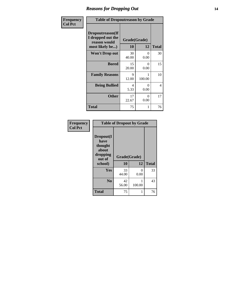### *Reasons for Dropping Out* **14**

| Frequency      | <b>Table of Dropoutreason by Grade</b>                                   |                    |                  |              |
|----------------|--------------------------------------------------------------------------|--------------------|------------------|--------------|
| <b>Col Pct</b> | Dropoutreason(If<br>I dropped out the<br>reason would<br>most likely be) | Grade(Grade)<br>10 | 12               | <b>Total</b> |
|                | Won't Drop out                                                           | 30<br>40.00        | $\theta$<br>0.00 | 30           |
|                | <b>Bored</b>                                                             | 15<br>20.00        | 0<br>0.00        | 15           |
|                | <b>Family Reasons</b>                                                    | 9<br>12.00         | 100.00           | 10           |
|                | <b>Being Bullied</b>                                                     | 4<br>5.33          | 0<br>0.00        | 4            |
|                | <b>Other</b>                                                             | 17<br>22.67        | 0<br>0.00        | 17           |
|                | <b>Total</b>                                                             | 75                 | 1                | 76           |

| Frequency      | <b>Table of Dropout by Grade</b>                                       |                    |                      |              |  |
|----------------|------------------------------------------------------------------------|--------------------|----------------------|--------------|--|
| <b>Col Pct</b> | Dropout(I<br>have<br>thought<br>about<br>dropping<br>out of<br>school) | Grade(Grade)<br>10 | 12                   | <b>Total</b> |  |
|                | <b>Yes</b>                                                             | 33<br>44.00        | $\mathbf{0}$<br>0.00 | 33           |  |
|                | N <sub>0</sub>                                                         | 42<br>56.00        | 100.00               | 43           |  |
|                | <b>Total</b>                                                           | 75                 |                      | 76           |  |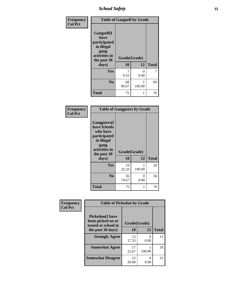*School Safety* **15**

| Frequency      | <b>Table of Gangself by Grade</b>                                                                 |                          |             |              |
|----------------|---------------------------------------------------------------------------------------------------|--------------------------|-------------|--------------|
| <b>Col Pct</b> | Gangself(I<br>have<br>participated<br>in illegal<br>gang<br>activities in<br>the past 30<br>days) | Grade(Grade)<br>10<br>12 |             | <b>Total</b> |
|                | Yes                                                                                               | 7<br>9.33                | 0<br>0.00   | 7            |
|                | N <sub>0</sub>                                                                                    | 68<br>90.67              | 1<br>100.00 | 69           |
|                | <b>Total</b>                                                                                      | 75                       | 1           | 76           |

| Frequency<br><b>Col Pct</b> | <b>Table of Gangpeers by Grade</b>                                                                                             |                    |           |              |  |
|-----------------------------|--------------------------------------------------------------------------------------------------------------------------------|--------------------|-----------|--------------|--|
|                             | <b>Gangpeers</b> (I<br>have friends<br>who have<br>participated<br>in illegal<br>gang<br>activities in<br>the past 30<br>days) | Grade(Grade)<br>10 | 12        | <b>Total</b> |  |
|                             | Yes                                                                                                                            | 19<br>25.33        | 100.00    | 20           |  |
|                             | N <sub>0</sub>                                                                                                                 | 56<br>74.67        | 0<br>0.00 | 56           |  |
|                             | <b>Total</b>                                                                                                                   | 75                 | 1         | 76           |  |

| Frequency      | <b>Table of Pickedon by Grade</b>                                  |              |                           |              |
|----------------|--------------------------------------------------------------------|--------------|---------------------------|--------------|
| <b>Col Pct</b> | <b>Pickedon(I have</b><br>been picked on or<br>teased at school in | Grade(Grade) |                           |              |
|                | the past 30 days)                                                  | <b>10</b>    | 12                        | <b>Total</b> |
|                | <b>Strongly Agree</b>                                              | 13<br>17.33  | $\mathbf{\Omega}$<br>0.00 | 13           |
|                | <b>Somewhat Agree</b>                                              | 17<br>22.67  | 100.00                    | 18           |
|                | <b>Somewhat Disagree</b>                                           | 15<br>20.00  | $\mathbf{\Omega}$<br>0.00 | 15           |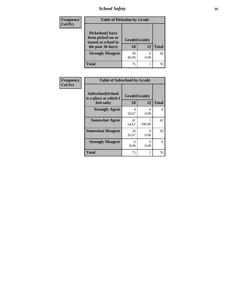*School Safety* **16**

| <b>Frequency</b> | <b>Table of Pickedon by Grade</b>                                                        |                    |      |              |
|------------------|------------------------------------------------------------------------------------------|--------------------|------|--------------|
| <b>Col Pct</b>   | <b>Pickedon</b> (I have<br>been picked on or<br>teased at school in<br>the past 30 days) | Grade(Grade)<br>10 | 12   | <b>Total</b> |
|                  | <b>Strongly Disagree</b>                                                                 | 30<br>40.00        | 0.00 | 30           |
|                  | <b>Total</b>                                                                             | 75                 |      | 76           |

| Frequency      | <b>Table of Safeschool by Grade</b>                      |                    |                  |              |
|----------------|----------------------------------------------------------|--------------------|------------------|--------------|
| <b>Col Pct</b> | Safeschool(School<br>is a place at which I<br>feel safe) | Grade(Grade)<br>10 | 12               | <b>Total</b> |
|                | <b>Strongly Agree</b>                                    | 8<br>10.67         | $\Omega$<br>0.00 | 8            |
|                | <b>Somewhat Agree</b>                                    | 41<br>54.67        | 100.00           | 42           |
|                | <b>Somewhat Disagree</b>                                 | 20<br>26.67        | 0<br>0.00        | 20           |
|                | <b>Strongly Disagree</b>                                 | 6<br>8.00          | 0<br>0.00        | 6            |
|                | <b>Total</b>                                             | 75                 | 1                | 76           |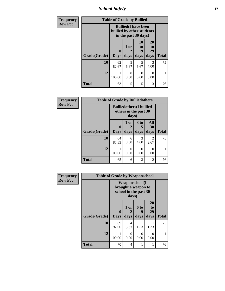*School Safety* **17**

| <b>Frequency</b> | <b>Table of Grade by Bullied</b> |                             |                                                                                  |                        |                        |              |  |  |  |
|------------------|----------------------------------|-----------------------------|----------------------------------------------------------------------------------|------------------------|------------------------|--------------|--|--|--|
| <b>Row Pct</b>   |                                  |                             | <b>Bullied</b> (I have been<br>bullied by other students<br>in the past 30 days) |                        |                        |              |  |  |  |
|                  | Grade(Grade)                     | $\mathbf{0}$<br><b>Days</b> | 1 or<br>$\mathbf{2}$<br>days                                                     | 10<br>to<br>19<br>days | 20<br>to<br>29<br>days | <b>Total</b> |  |  |  |
|                  | 10                               | 62<br>82.67                 | 5<br>6.67                                                                        | 5<br>6.67              | 3<br>4.00              | 75           |  |  |  |
|                  | 12                               | 100.00                      | 0<br>0.00                                                                        | $\Omega$<br>0.00       | 0<br>0.00              |              |  |  |  |
|                  | <b>Total</b>                     | 63                          | 5                                                                                | 5                      | 3                      | 76           |  |  |  |

| Frequency      | <b>Table of Grade by Bulliedothers</b> |                  |                                                                  |                           |                   |              |  |  |  |
|----------------|----------------------------------------|------------------|------------------------------------------------------------------|---------------------------|-------------------|--------------|--|--|--|
| <b>Row Pct</b> |                                        |                  | <b>Bulliedothers(I bullied</b><br>others in the past 30<br>days) |                           |                   |              |  |  |  |
|                | Grade(Grade)                           | 0<br><b>Days</b> | 1 or<br>2<br>days                                                | 3 to<br>days              | All<br>30<br>days | <b>Total</b> |  |  |  |
|                | 10                                     | 64<br>85.33      | 6<br>8.00                                                        | 3<br>4.00                 | 2<br>2.67         | 75           |  |  |  |
|                | 12                                     | 100.00           | 0<br>0.00                                                        | $\mathbf{\Omega}$<br>0.00 | 0<br>0.00         |              |  |  |  |
|                | <b>Total</b>                           | 65               | 6                                                                | 3                         | 2                 | 76           |  |  |  |

| <b>Frequency</b> | <b>Table of Grade by Weaponschool</b> |                         |                                                                                 |                              |                        |              |  |  |  |
|------------------|---------------------------------------|-------------------------|---------------------------------------------------------------------------------|------------------------------|------------------------|--------------|--|--|--|
| <b>Row Pct</b>   |                                       |                         | <b>Weaponschool</b> (I<br>brought a weapon to<br>school in the past 30<br>days) |                              |                        |              |  |  |  |
|                  | Grade(Grade)                          | $\bf{0}$<br><b>Days</b> | 1 or<br>2<br>days                                                               | 6 <sub>to</sub><br>q<br>days | 20<br>to<br>29<br>days | <b>Total</b> |  |  |  |
|                  | 10                                    | 69<br>92.00             | 4<br>5.33                                                                       | 1.33                         | 1.33                   | 75           |  |  |  |
|                  | 12                                    | 1<br>100.00             | $\Omega$<br>0.00                                                                | 0<br>0.00                    | $\Omega$<br>0.00       | 1            |  |  |  |
|                  | <b>Total</b>                          | 70                      | 4                                                                               |                              |                        | 76           |  |  |  |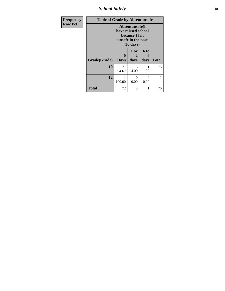*School Safety* **18**

| <b>Frequency</b> | <b>Table of Grade by Absentunsafe</b> |                                                                                          |                   |                  |              |  |  |  |
|------------------|---------------------------------------|------------------------------------------------------------------------------------------|-------------------|------------------|--------------|--|--|--|
| <b>Row Pct</b>   |                                       | Absentunsafe(I<br>have missed school<br>because I felt<br>unsafe in the past<br>30 days) |                   |                  |              |  |  |  |
|                  | Grade(Grade)                          | $\bf{0}$<br><b>Days</b>                                                                  | 1 or<br>2<br>days | 6 to<br>days     | <b>Total</b> |  |  |  |
|                  | 10                                    | 71<br>94.67                                                                              | 3<br>4.00         | 1.33             | 75           |  |  |  |
|                  | 12                                    | 100.00                                                                                   | 0<br>0.00         | $\Omega$<br>0.00 | 1            |  |  |  |
|                  | <b>Total</b>                          | 72                                                                                       | 3                 |                  | 76           |  |  |  |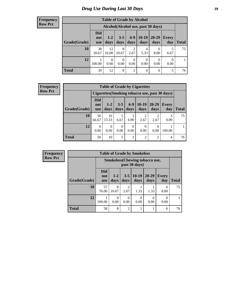#### **Frequency Row Pct**

| <b>Table of Grade by Alcohol</b> |                                 |               |                        |                  |                  |                                    |                     |              |
|----------------------------------|---------------------------------|---------------|------------------------|------------------|------------------|------------------------------------|---------------------|--------------|
|                                  |                                 |               |                        |                  |                  | Alcohol(Alcohol use, past 30 days) |                     |              |
| Grade(Grade)                     | <b>Did</b><br>not<br><b>use</b> | $1-2$<br>days | $3 - 5$<br>days        | $6-9$<br>days    | 10-19<br>days    | $20 - 29$<br>days                  | <b>Every</b><br>day | <b>Total</b> |
| 10                               | 38<br>50.67                     | 12<br>16.00   | 8<br>10.67             | 2<br>2.67        | 4<br>5.33        | 6<br>8.00                          | 5<br>6.67           | 75           |
| 12                               | 100.00                          | 0<br>0.00     | $\overline{0}$<br>0.00 | $\theta$<br>0.00 | $\theta$<br>0.00 | $\theta$<br>0.00                   | $\theta$<br>0.00    |              |
| <b>Total</b>                     | 39                              | 12            | 8                      | $\overline{2}$   | 4                | 6                                  | 5                   | 76           |

#### **Frequency Row Pct**

| <b>Table of Grade by Cigarettes</b> |                          |                 |                 |               |                 |               |                                                |              |
|-------------------------------------|--------------------------|-----------------|-----------------|---------------|-----------------|---------------|------------------------------------------------|--------------|
|                                     |                          |                 |                 |               |                 |               | Cigarettes (Smoking tobacco use, past 30 days) |              |
| Grade(Grade)                        | Did<br>not<br><b>use</b> | $1 - 2$<br>days | $3 - 5$<br>days | $6-9$<br>days | $10-19$<br>days | 20-29<br>days | <b>Every</b><br>day                            | <b>Total</b> |
| 10                                  | 50<br>66.67              | 10<br>13.33     | 5<br>6.67       | 3<br>4.00     | 2<br>2.67       | 2.67          | 4.00                                           | 75           |
| 12                                  | 0<br>0.00                | 0<br>0.00       | 0<br>0.00       | 0<br>0.00     | 0<br>0.00       | 0<br>0.00     | 100.00                                         |              |
| Total                               | 50                       | 10              | 5               | 3             | $\overline{2}$  | 2             | 4                                              | 76           |

| <b>Frequency</b> |  |
|------------------|--|
| <b>Row Pct</b>   |  |
|                  |  |

- 6

| y | <b>Table of Grade by Smokeless</b> |                                 |                                                        |                 |                 |                   |                     |              |  |  |
|---|------------------------------------|---------------------------------|--------------------------------------------------------|-----------------|-----------------|-------------------|---------------------|--------------|--|--|
|   |                                    |                                 | <b>Smokeless</b> (Chewing tobaccouse,<br>past 30 days) |                 |                 |                   |                     |              |  |  |
|   | Grade(Grade)                       | <b>Did</b><br>not<br><b>use</b> | $1 - 2$<br>days                                        | $3 - 5$<br>days | $10-19$<br>days | $20 - 29$<br>days | <b>Every</b><br>day | <b>Total</b> |  |  |
|   | 10                                 | 57<br>76.00                     | 8<br>10.67                                             | 2<br>2.67       | 1.33            | 1.33              | 6<br>8.00           | 75           |  |  |
|   | 12                                 | 100.00                          | 0<br>0.00                                              | 0<br>0.00       | 0<br>0.00       | 0.00              | 0<br>0.00           |              |  |  |
|   | <b>Total</b>                       | 58                              | 8                                                      | 2               |                 |                   | 6                   | 76           |  |  |

٦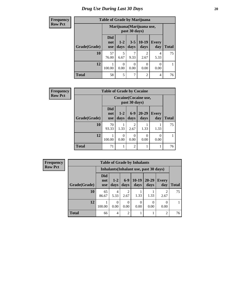| <b>Frequency</b> | <b>Table of Grade by Marijuana</b> |                                 |                                            |                  |                        |                     |              |
|------------------|------------------------------------|---------------------------------|--------------------------------------------|------------------|------------------------|---------------------|--------------|
| <b>Row Pct</b>   |                                    |                                 | Marijuana (Marijuana use,<br>past 30 days) |                  |                        |                     |              |
|                  | Grade(Grade)                       | <b>Did</b><br>not<br><b>use</b> | $1-2$<br>days                              | $3 - 5$<br>days  | $10-19$<br>days        | <b>Every</b><br>day | <b>Total</b> |
|                  | 10                                 | 57<br>76.00                     | 5<br>6.67                                  | ℸ<br>9.33        | $\mathfrak{D}$<br>2.67 | 4<br>5.33           | 75           |
|                  | 12                                 | 100.00                          | $\Omega$<br>0.00                           | $\Omega$<br>0.00 | $\Omega$<br>0.00       | 0<br>0.00           |              |
|                  | <b>Total</b>                       | 58                              | 5                                          | 7                | $\overline{2}$         | 4                   | 76           |

| <b>Frequency</b> | <b>Table of Grade by Cocaine</b> |                                 |                                        |                        |                   |                     |              |  |  |
|------------------|----------------------------------|---------------------------------|----------------------------------------|------------------------|-------------------|---------------------|--------------|--|--|
| <b>Row Pct</b>   |                                  |                                 | Cocaine (Cocaine use,<br>past 30 days) |                        |                   |                     |              |  |  |
|                  | Grade(Grade)                     | <b>Did</b><br>not<br><b>use</b> | $1 - 2$<br>days                        | $6-9$<br>days          | $20 - 29$<br>days | <b>Every</b><br>day | <b>Total</b> |  |  |
|                  | 10                               | 70<br>93.33                     | 1.33                                   | $\mathfrak{D}$<br>2.67 | 1.33              | 1.33                | 75           |  |  |
|                  | 12                               | 100.00                          | $\theta$<br>0.00                       | $\Omega$<br>0.00       | 0<br>0.00         | 0<br>0.00           |              |  |  |
|                  | <b>Total</b>                     | 71                              | 1                                      | $\overline{2}$         |                   |                     | 76           |  |  |

| <b>Frequency</b> |              | <b>Table of Grade by Inhalants</b> |                                        |                |                  |                   |                        |              |
|------------------|--------------|------------------------------------|----------------------------------------|----------------|------------------|-------------------|------------------------|--------------|
| <b>Row Pct</b>   |              |                                    | Inhalants (Inhalant use, past 30 days) |                |                  |                   |                        |              |
|                  | Grade(Grade) | Did<br>not<br><b>use</b>           | $1 - 2$<br>days                        | $6-9$<br>days  | $10-19$<br>days  | $20 - 29$<br>days | <b>Every</b><br>day    | <b>Total</b> |
|                  | 10           | 65<br>86.67                        | 4<br>5.33                              | ↑<br>2.67      | 1.33             | 1.33              | $\overline{c}$<br>2.67 | 75           |
|                  | 12           | 100.00                             | 0<br>0.00                              | 0<br>0.00      | $\Omega$<br>0.00 | 0.00              | 0.00                   |              |
|                  | <b>Total</b> | 66                                 | 4                                      | $\overline{2}$ | 1                |                   | $\overline{c}$         | 76           |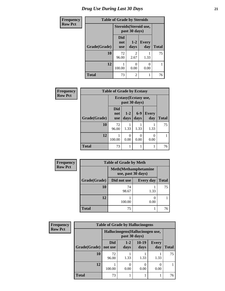| Frequency | <b>Table of Grade by Steroids</b> |                          |                                         |                     |              |
|-----------|-----------------------------------|--------------------------|-----------------------------------------|---------------------|--------------|
| Row Pct   |                                   |                          | Steroids (Steroid use,<br>past 30 days) |                     |              |
|           | Grade(Grade)                      | Did<br>not<br><b>use</b> | $1-2$<br>days                           | <b>Every</b><br>day | <b>Total</b> |
|           | 10                                | 72<br>96.00              | $\overline{\mathcal{L}}$<br>2.67        | 1.33                | 75           |
|           | 12                                | 100.00                   | 0<br>0.00                               | 0.00                |              |
|           | <b>Total</b>                      | 73                       | 2                                       |                     | 76           |

| Frequency      |              |                                        | <b>Table of Grade by Ecstasy</b> |                  |                     |              |  |
|----------------|--------------|----------------------------------------|----------------------------------|------------------|---------------------|--------------|--|
| <b>Row Pct</b> |              | Ecstasy (Ecstasy use,<br>past 30 days) |                                  |                  |                     |              |  |
|                | Grade(Grade) | Did<br>not<br><b>use</b>               | $1-2$<br>days                    | $6-9$<br>days    | <b>Every</b><br>day | <b>Total</b> |  |
|                | 10           | 72<br>96.00                            | 1.33                             | 1.33             | 1.33                | 75           |  |
|                | 12           | 100.00                                 | $\theta$<br>0.00                 | $\Omega$<br>0.00 | 0<br>0.00           |              |  |
|                | <b>Total</b> | 73                                     | 1                                |                  |                     | 76           |  |

| Frequency      | <b>Table of Grade by Meth</b> |                    |                              |              |  |
|----------------|-------------------------------|--------------------|------------------------------|--------------|--|
| <b>Row Pct</b> |                               | use, past 30 days) | <b>Meth</b> (Methamphetamine |              |  |
|                | Grade(Grade)                  | Did not use        | <b>Every day</b>             | <b>Total</b> |  |
|                | 10                            | 74<br>98.67        | 1.33                         | 75           |  |
|                | 12                            | 100.00             | 0.00                         |              |  |
|                | <b>Total</b>                  | 75                 |                              | 76           |  |

| <b>Frequency</b> | <b>Table of Grade by Hallucinogens</b> |                       |                                                   |                 |                     |              |  |
|------------------|----------------------------------------|-----------------------|---------------------------------------------------|-----------------|---------------------|--------------|--|
| <b>Row Pct</b>   |                                        |                       | Hallucinogens (Hallucinogen use,<br>past 30 days) |                 |                     |              |  |
|                  | Grade(Grade)                           | <b>Did</b><br>not use | $1 - 2$<br>days                                   | $10-19$<br>days | <b>Every</b><br>day | <b>Total</b> |  |
|                  | 10                                     | 72<br>96.00           | 1.33                                              | 1.33            | 1.33                | 75           |  |
|                  | 12                                     | 100.00                | 0.00                                              | 0<br>0.00       | 0<br>0.00           |              |  |
|                  | <b>Total</b>                           | 73                    |                                                   |                 |                     | 76           |  |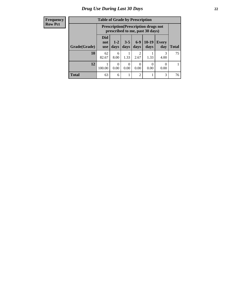#### **Frequency Row Pct**

| <b>Table of Grade by Prescription</b> |                                 |                                                                                |                 |                |               |                     |              |
|---------------------------------------|---------------------------------|--------------------------------------------------------------------------------|-----------------|----------------|---------------|---------------------|--------------|
|                                       |                                 | <b>Prescription</b> (Prescription drugs not<br>prescribed to me, past 30 days) |                 |                |               |                     |              |
| Grade(Grade)                          | <b>Did</b><br>not<br><b>use</b> | $1 - 2$<br>days                                                                | $3 - 5$<br>days | $6-9$<br>days  | 10-19<br>days | <b>Every</b><br>day | <b>Total</b> |
| 10                                    | 62<br>82.67                     | 6<br>8.00                                                                      | 1.33            | 2<br>2.67      | 1.33          | 3<br>4.00           | 75           |
| 12                                    | 100.00                          | 0<br>0.00                                                                      | 0<br>0.00       | 0<br>0.00      | 0<br>0.00     | 0<br>0.00           |              |
| <b>Total</b>                          | 63                              | 6                                                                              |                 | $\overline{2}$ |               | 3                   | 76           |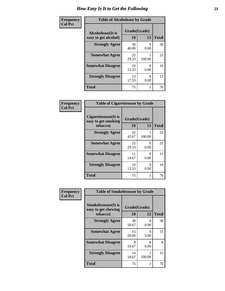| Frequency      | <b>Table of Alcoholease by Grade</b>              |                    |                  |              |
|----------------|---------------------------------------------------|--------------------|------------------|--------------|
| <b>Col Pct</b> | <b>Alcoholease</b> (It is<br>easy to get alcohol) | Grade(Grade)<br>10 | 12               | <b>Total</b> |
|                | <b>Strongly Agree</b>                             | 30<br>40.00        | 0.00             | 30           |
|                | <b>Somewhat Agree</b>                             | 22<br>29.33        | 100.00           | 23           |
|                | <b>Somewhat Disagree</b>                          | 10<br>13.33        | $\Omega$<br>0.00 | 10           |
|                | <b>Strongly Disagree</b>                          | 13<br>17.33        | 0.00             | 13           |
|                | <b>Total</b>                                      | 75                 |                  | 76           |

| Frequency<br>Col Pct |
|----------------------|

| <b>Table of Cigarettesease by Grade</b>                 |                    |              |    |  |
|---------------------------------------------------------|--------------------|--------------|----|--|
| Cigarettesease(It is<br>easy to get smoking<br>tobacco) | Grade(Grade)<br>10 | <b>Total</b> |    |  |
| <b>Strongly Agree</b>                                   | 32<br>42.67        | 100.00       | 33 |  |
| <b>Somewhat Agree</b>                                   | 22<br>29.33        | 0.00         | 22 |  |
| <b>Somewhat Disagree</b>                                | 11<br>14.67        | 0.00         | 11 |  |
| <b>Strongly Disagree</b>                                | 10<br>13.33        | 0.00         | 10 |  |
| <b>Total</b>                                            | 75                 |              | 76 |  |

| Frequency      | <b>Table of Smokelessease by Grade</b>                         |                    |                      |              |  |  |
|----------------|----------------------------------------------------------------|--------------------|----------------------|--------------|--|--|
| <b>Col Pct</b> | <b>Smokelessease</b> (It is<br>easy to get chewing<br>tobacco) | Grade(Grade)<br>10 | 12                   | <b>Total</b> |  |  |
|                | <b>Strongly Agree</b>                                          | 38<br>50.67        | $\theta$<br>0.00     | 38           |  |  |
|                | <b>Somewhat Agree</b>                                          | 15<br>20.00        | 0<br>0.00            | 15           |  |  |
|                | <b>Somewhat Disagree</b>                                       | 8<br>10.67         | $\mathbf{0}$<br>0.00 | 8            |  |  |
|                | <b>Strongly Disagree</b>                                       | 14<br>18.67        | 100.00               | 15           |  |  |
|                | <b>Total</b>                                                   | 75                 | 1                    | 76           |  |  |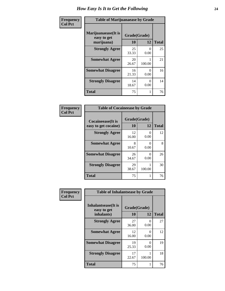| Frequency      | <b>Table of Marijuanaease by Grade</b>           |                    |                  |              |
|----------------|--------------------------------------------------|--------------------|------------------|--------------|
| <b>Col Pct</b> | Marijuanaease(It is<br>easy to get<br>marijuana) | Grade(Grade)<br>10 | 12               | <b>Total</b> |
|                | <b>Strongly Agree</b>                            | 25<br>33.33        | $\Omega$<br>0.00 | 25           |
|                | <b>Somewhat Agree</b>                            | 20<br>26.67        | 100.00           | 21           |
|                | <b>Somewhat Disagree</b>                         | 16<br>21.33        | $\Omega$<br>0.00 | 16           |
|                | <b>Strongly Disagree</b>                         | 14<br>18.67        | $\Omega$<br>0.00 | 14           |
|                | <b>Total</b>                                     | 75                 |                  | 76           |

| Frequency<br>  Col Pct |
|------------------------|

| <b>Table of Cocaineease by Grade</b>              |                    |           |              |  |  |  |  |  |  |
|---------------------------------------------------|--------------------|-----------|--------------|--|--|--|--|--|--|
| <b>Cocaineease</b> (It is<br>easy to get cocaine) | Grade(Grade)<br>10 | 12        | <b>Total</b> |  |  |  |  |  |  |
| <b>Strongly Agree</b>                             | 12<br>16.00        | 0<br>0.00 | 12           |  |  |  |  |  |  |
| <b>Somewhat Agree</b>                             | 8<br>10.67         | 0.00      | 8            |  |  |  |  |  |  |
| <b>Somewhat Disagree</b>                          | 26<br>34.67        | 0.00      | 26           |  |  |  |  |  |  |
| <b>Strongly Disagree</b>                          | 29<br>38.67        | 100.00    | 30           |  |  |  |  |  |  |
| <b>Total</b>                                      | 75                 |           | 76           |  |  |  |  |  |  |

| Frequency      | <b>Table of Inhalantsease by Grade</b>     |              |           |              |  |  |  |  |  |  |  |
|----------------|--------------------------------------------|--------------|-----------|--------------|--|--|--|--|--|--|--|
| <b>Col Pct</b> | <b>Inhalantsease</b> (It is<br>easy to get | Grade(Grade) |           |              |  |  |  |  |  |  |  |
|                | inhalants)                                 | 10           | 12        | <b>Total</b> |  |  |  |  |  |  |  |
|                | <b>Strongly Agree</b>                      | 27<br>36.00  | 0<br>0.00 | 27           |  |  |  |  |  |  |  |
|                | <b>Somewhat Agree</b>                      | 12<br>16.00  | 0<br>0.00 | 12           |  |  |  |  |  |  |  |
|                | <b>Somewhat Disagree</b>                   | 19<br>25.33  | 0<br>0.00 | 19           |  |  |  |  |  |  |  |
|                | <b>Strongly Disagree</b>                   | 17<br>22.67  | 100.00    | 18           |  |  |  |  |  |  |  |
|                | <b>Total</b>                               | 75           |           | 76           |  |  |  |  |  |  |  |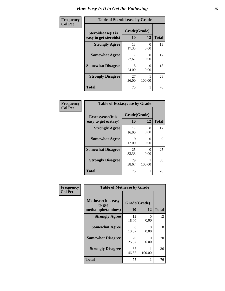| Frequency      | <b>Table of Steroidsease by Grade</b>               |                    |                           |    |  |  |  |  |  |  |
|----------------|-----------------------------------------------------|--------------------|---------------------------|----|--|--|--|--|--|--|
| <b>Col Pct</b> | <b>Steroidsease</b> (It is<br>easy to get steroids) | Grade(Grade)<br>12 | <b>Total</b>              |    |  |  |  |  |  |  |
|                | <b>Strongly Agree</b>                               | 13<br>17.33        | 0.00                      | 13 |  |  |  |  |  |  |
|                | <b>Somewhat Agree</b>                               | 17<br>22.67        | $\mathbf{\Omega}$<br>0.00 | 17 |  |  |  |  |  |  |
|                | <b>Somewhat Disagree</b>                            | 18<br>24.00        | 0.00                      | 18 |  |  |  |  |  |  |
|                | <b>Strongly Disagree</b>                            | 27<br>36.00        | 100.00                    | 28 |  |  |  |  |  |  |
|                | <b>Total</b>                                        | 75                 |                           | 76 |  |  |  |  |  |  |

| Frequency      | <b>Table of Ecstasyease by Grade</b>              |                    |              |    |  |  |  |  |  |  |
|----------------|---------------------------------------------------|--------------------|--------------|----|--|--|--|--|--|--|
| <b>Col Pct</b> | <b>Ecstasyease</b> (It is<br>easy to get ecstasy) | Grade(Grade)<br>10 | <b>Total</b> |    |  |  |  |  |  |  |
|                | <b>Strongly Agree</b>                             | 12<br>16.00        | 0<br>0.00    | 12 |  |  |  |  |  |  |
|                | <b>Somewhat Agree</b>                             | 9<br>12.00         | 0<br>0.00    | 9  |  |  |  |  |  |  |
|                | <b>Somewhat Disagree</b>                          | 25<br>33.33        | 0<br>0.00    | 25 |  |  |  |  |  |  |
|                | <b>Strongly Disagree</b>                          | 29<br>38.67        | 100.00       | 30 |  |  |  |  |  |  |
|                | <b>Total</b>                                      | 75                 |              | 76 |  |  |  |  |  |  |

| <b>Frequency</b> | <b>Table of Methease by Grade</b> |              |                           |              |  |  |  |  |  |  |  |  |
|------------------|-----------------------------------|--------------|---------------------------|--------------|--|--|--|--|--|--|--|--|
| <b>Col Pct</b>   | <b>Methease</b> (It is easy       | Grade(Grade) |                           |              |  |  |  |  |  |  |  |  |
|                  | to get                            |              |                           |              |  |  |  |  |  |  |  |  |
|                  | methamphetamines)                 | 10           | 12                        | <b>Total</b> |  |  |  |  |  |  |  |  |
|                  | <b>Strongly Agree</b>             | 12<br>16.00  | $\Omega$<br>0.00          | 12           |  |  |  |  |  |  |  |  |
|                  | <b>Somewhat Agree</b>             | 8<br>10.67   | $\mathbf{\Omega}$<br>0.00 | 8            |  |  |  |  |  |  |  |  |
|                  | <b>Somewhat Disagree</b>          | 20<br>26.67  | ∩<br>0.00                 | 20           |  |  |  |  |  |  |  |  |
|                  | <b>Strongly Disagree</b>          | 35<br>46.67  | 100.00                    | 36           |  |  |  |  |  |  |  |  |
|                  | <b>Total</b>                      | 75           |                           | 76           |  |  |  |  |  |  |  |  |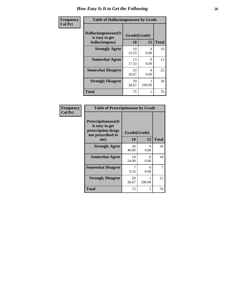| <b>Frequency</b> | <b>Table of Hallucinogensease by Grade</b>               |                    |           |              |  |  |  |  |  |  |
|------------------|----------------------------------------------------------|--------------------|-----------|--------------|--|--|--|--|--|--|
| <b>Col Pct</b>   | Hallucinogensease(It<br>is easy to get<br>hallucinogens) | Grade(Grade)<br>10 | 12        | <b>Total</b> |  |  |  |  |  |  |
|                  | <b>Strongly Agree</b>                                    | 10<br>13.33        | 0<br>0.00 | 10           |  |  |  |  |  |  |
|                  | <b>Somewhat Agree</b>                                    | 13<br>17.33        | 0<br>0.00 | 13           |  |  |  |  |  |  |
|                  | <b>Somewhat Disagree</b>                                 | 23<br>30.67        | 0<br>0.00 | 23           |  |  |  |  |  |  |
|                  | <b>Strongly Disagree</b>                                 | 29<br>38.67        | 100.00    | 30           |  |  |  |  |  |  |
|                  | <b>Total</b>                                             | 75                 |           | 76           |  |  |  |  |  |  |

| Frequency<br>  Col Pct |
|------------------------|

| <b>Table of Prescriptionease by Grade</b>                                                |              |                           |              |  |  |  |  |  |
|------------------------------------------------------------------------------------------|--------------|---------------------------|--------------|--|--|--|--|--|
| <b>Prescriptionease</b> (It<br>is easy to get<br>prescription drugs<br>not prescribed to | Grade(Grade) |                           |              |  |  |  |  |  |
| me)                                                                                      | 10           | 12                        | <b>Total</b> |  |  |  |  |  |
| <b>Strongly Agree</b>                                                                    | 30<br>40.00  | $\mathbf{\Omega}$<br>0.00 | 30           |  |  |  |  |  |
| <b>Somewhat Agree</b>                                                                    | 18<br>24.00  | 0<br>0.00                 | 18           |  |  |  |  |  |
| <b>Somewhat Disagree</b>                                                                 | 9.33         | $\mathbf{\Omega}$<br>0.00 | 7            |  |  |  |  |  |
| <b>Strongly Disagree</b>                                                                 | 20<br>26.67  | 100.00                    | 21           |  |  |  |  |  |
| Total                                                                                    | 75           |                           | 76           |  |  |  |  |  |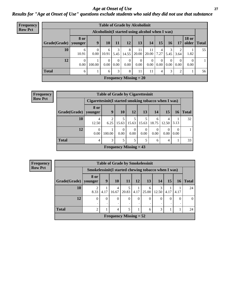*Age at Onset of Use* **27** *Results for "Age at Onset of Use" questions exclude students who said they did not use that substance*

| <b>Frequency</b> | <b>Table of Grade by Alcoholinit</b> |                        |                                                  |                   |                  |                  |                                 |                  |                        |                  |                  |                       |              |
|------------------|--------------------------------------|------------------------|--------------------------------------------------|-------------------|------------------|------------------|---------------------------------|------------------|------------------------|------------------|------------------|-----------------------|--------------|
| <b>Row Pct</b>   |                                      |                        | Alcoholinit (I started using alcohol when I was) |                   |                  |                  |                                 |                  |                        |                  |                  |                       |              |
|                  | Grade(Grade)                         | <b>8 or</b><br>younger | 9                                                | 10                | 11               | 12               | 13                              | 14               | 15                     | 16               | 17               | <b>18 or</b><br>older | <b>Total</b> |
|                  | 10                                   | 6<br>10.91             | 0.00                                             | 6<br>10.91        | 3<br>5.45        | 8<br>14.55       | 11<br>20.00                     | 11<br>20.00      | $\overline{4}$<br>7.27 | 3<br>5.45        | 2<br>3.64        | 1.82                  | 55           |
|                  | 12                                   | $\overline{0}$<br>0.00 | 100.00                                           | $\Omega$<br>0.001 | $\Omega$<br>0.00 | $\theta$<br>0.00 | $\overline{0}$<br>$0.00\degree$ | $\theta$<br>0.00 | $\theta$<br>0.00       | $\theta$<br>0.00 | $\theta$<br>0.00 | 0.00                  | $\mathbf{1}$ |
|                  | <b>Total</b>                         | 6                      |                                                  | 6                 | 3                | 8                | 11                              | 11               | 4                      | 3                | 2                |                       | 56           |
|                  |                                      |                        |                                                  |                   |                  |                  | <b>Frequency Missing = 20</b>   |                  |                        |                  |                  |                       |              |

| Frequency      | <b>Table of Grade by Cigarettesinit</b> |            |                                                       |                  |                          |                          |                  |            |                  |              |  |  |  |
|----------------|-----------------------------------------|------------|-------------------------------------------------------|------------------|--------------------------|--------------------------|------------------|------------|------------------|--------------|--|--|--|
| <b>Row Pct</b> |                                         |            | Cigarettesinit (I started smoking tobacco when I was) |                  |                          |                          |                  |            |                  |              |  |  |  |
|                | Grade(Grade)   younger                  | 8 or       | 9                                                     | 10               | 12                       | 13                       | 14               | 15         | 16               | <b>Total</b> |  |  |  |
|                | 10                                      | 4<br>12.50 | 6.25                                                  | 5<br>15.63       | 15.63                    | 15.63                    | 6<br>18.75       | 4<br>12.50 | 3.13             | 32           |  |  |  |
|                | 12                                      | 0<br>0.00  | 100.00                                                | $\theta$<br>0.00 | $\Omega$<br>0.00         | $\boldsymbol{0}$<br>0.00 | $\Omega$<br>0.00 | 0.00       | $\Omega$<br>0.00 |              |  |  |  |
|                | <b>Total</b>                            | 4          | 3                                                     | 5                | 5                        | 5                        | 6                | 4          |                  | 33           |  |  |  |
|                |                                         |            |                                                       |                  | Frequency Missing $= 43$ |                          |                  |            |                  |              |  |  |  |

| <b>Row Pct</b> | <b>Frequency</b> |
|----------------|------------------|
|                |                  |

|                        | <b>Table of Grade by Smokelessinit</b> |                                                     |                          |            |          |            |            |          |           |              |  |  |  |
|------------------------|----------------------------------------|-----------------------------------------------------|--------------------------|------------|----------|------------|------------|----------|-----------|--------------|--|--|--|
|                        |                                        | Smokelessinit(I started chewing tobacco when I was) |                          |            |          |            |            |          |           |              |  |  |  |
| Grade(Grade)   younger | 8 or                                   | 9                                                   | <b>10</b>                | <b>11</b>  | 12       | 13         | 14         | 15       | <b>16</b> | <b>Total</b> |  |  |  |
| 10                     | $\overline{2}$<br>8.33                 | 4.17                                                | 4<br>16.67               | 5<br>20.83 | 4.17     | 6<br>25.00 | 3<br>12.50 | 4.17     | 4.17      | 24           |  |  |  |
| 12                     | $\theta$                               | $\theta$                                            | 0                        | $\theta$   | $\Omega$ | 0          | $\Omega$   | $\theta$ | 0         |              |  |  |  |
| <b>Total</b>           | $\overline{2}$                         |                                                     | 4                        | 5          |          | 6          | 3          |          |           | 24           |  |  |  |
|                        |                                        |                                                     | Frequency Missing $= 52$ |            |          |            |            |          |           |              |  |  |  |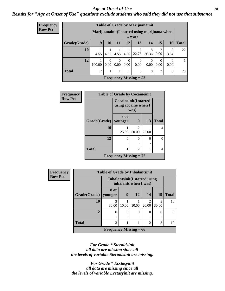#### *Age at Onset of Use* **28**

*Results for "Age at Onset of Use" questions exclude students who said they did not use that substance*

| <b>Frequency</b> | <b>Table of Grade by Marijuanainit</b> |                                              |                  |                  |                  |           |            |                        |            |              |  |
|------------------|----------------------------------------|----------------------------------------------|------------------|------------------|------------------|-----------|------------|------------------------|------------|--------------|--|
| <b>Row Pct</b>   |                                        | Marijuanainit(I started using marijuana when |                  |                  |                  | I was)    |            |                        |            |              |  |
|                  | Grade(Grade)                           | 9                                            | 10               | 11               | 12               | 13        | 14         | 15                     | 16         | <b>Total</b> |  |
|                  | 10                                     | 4.55                                         | 4.55             | 4.55             | 4.55             | 22.73     | 8<br>36.36 | $\mathfrak{D}$<br>9.09 | 3<br>13.64 | 22           |  |
|                  | 12                                     | 100.00                                       | $\Omega$<br>0.00 | $\Omega$<br>0.00 | $\Omega$<br>0.00 | 0<br>0.00 | 0.00       | $\theta$<br>0.00       | 0.00       | 1            |  |
|                  | <b>Total</b>                           | $\overline{2}$                               | 1                |                  |                  | 5         | 8          | $\overline{2}$         | 3          | 23           |  |
|                  | <b>Frequency Missing = 53</b>          |                                              |                  |                  |                  |           |            |                        |            |              |  |

| Frequency      | <b>Table of Grade by Cocaineinit</b> |                                                              |                         |       |              |  |  |  |
|----------------|--------------------------------------|--------------------------------------------------------------|-------------------------|-------|--------------|--|--|--|
| <b>Row Pct</b> |                                      | <b>Cocaineinit(I started</b><br>using cocaine when I<br>was) |                         |       |              |  |  |  |
|                | Grade(Grade)   younger               | 8 or                                                         | 9                       | 13    | <b>Total</b> |  |  |  |
|                | 10                                   | 25.00                                                        | $\mathfrak{D}$<br>50.00 | 25.00 | 4            |  |  |  |
|                | 12                                   | 0                                                            | 0                       | 0     | 0            |  |  |  |
|                | <b>Total</b>                         |                                                              | $\overline{2}$          |       | 4            |  |  |  |
|                |                                      | <b>Frequency Missing = 72</b>                                |                         |       |              |  |  |  |

| <b>Frequency</b> | <b>Table of Grade by Inhalantsinit</b> |                                                         |        |           |                |            |              |  |
|------------------|----------------------------------------|---------------------------------------------------------|--------|-----------|----------------|------------|--------------|--|
| <b>Row Pct</b>   |                                        | Inhalantsinit (I started using<br>inhalants when I was) |        |           |                |            |              |  |
|                  | Grade(Grade)   younger                 | 8 or                                                    | 9      | <b>12</b> | 14             | 15         | <b>Total</b> |  |
|                  | 10                                     | 3<br>30.00                                              | 10.00  | 10.00     | 2<br>20.00     | 3<br>30.00 | 10           |  |
|                  | 12                                     | 0                                                       | 0<br>٠ | $\Omega$  | 0<br>٠         | 0          | 0            |  |
|                  | <b>Total</b>                           | 3                                                       |        |           | $\mathfrak{D}$ | 3          | 10           |  |
|                  |                                        | <b>Frequency Missing = 66</b>                           |        |           |                |            |              |  |

*For Grade \* Steroidsinit all data are missing since all the levels of variable Steroidsinit are missing.*

*For Grade \* Ecstasyinit all data are missing since all the levels of variable Ecstasyinit are missing.*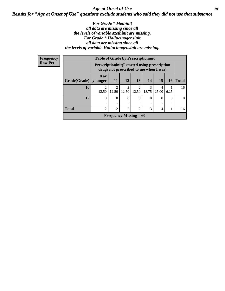### *Age at Onset of Use* **29** *Results for "Age at Onset of Use" questions exclude students who said they did not use that substance*

#### *For Grade \* Methinit all data are missing since all the levels of variable Methinit are missing. For Grade \* Hallucinogensinit all data are missing since all the levels of variable Hallucinogensinit are missing.*

| Frequency      | <b>Table of Grade by Prescriptioninit</b> |                                                                                                |                             |                          |                         |            |            |           |              |  |
|----------------|-------------------------------------------|------------------------------------------------------------------------------------------------|-----------------------------|--------------------------|-------------------------|------------|------------|-----------|--------------|--|
| <b>Row Pct</b> |                                           | <b>Prescriptioninit(I started using prescription</b><br>drugs not prescribed to me when I was) |                             |                          |                         |            |            |           |              |  |
|                | Grade(Grade)                              | 8 or<br>younger                                                                                | <b>11</b>                   | 12                       | <b>13</b>               | 14         | 15         | <b>16</b> | <b>Total</b> |  |
|                | 10                                        | $\mathfrak{D}$<br>12.50                                                                        | $\mathfrak{D}$<br>12.50     | $\overline{2}$<br>12.50  | $\overline{2}$<br>12.50 | 3<br>18.75 | 4<br>25.00 | 6.25      | 16           |  |
|                | 12                                        | $\Omega$                                                                                       | $\Omega$                    | $\Omega$                 | $\Omega$                | $\Omega$   | $\Omega$   | $\Omega$  | $\Omega$     |  |
|                | <b>Total</b>                              | $\mathfrak{D}$                                                                                 | $\mathcal{D}_{\mathcal{A}}$ | 2                        | $\mathfrak{D}$          | 3          | 4          |           | 16           |  |
|                |                                           |                                                                                                |                             | Frequency Missing $= 60$ |                         |            |            |           |              |  |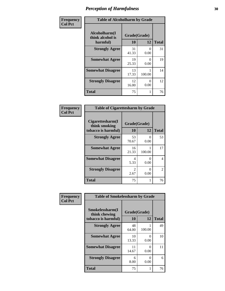| Frequency      | <b>Table of Alcoholharm by Grade</b>          |                    |                           |              |  |
|----------------|-----------------------------------------------|--------------------|---------------------------|--------------|--|
| <b>Col Pct</b> | Alcoholharm(I<br>think alcohol is<br>harmful) | Grade(Grade)<br>10 | 12                        | <b>Total</b> |  |
|                | <b>Strongly Agree</b>                         | 31<br>41.33        | $\mathbf{\Omega}$<br>0.00 | 31           |  |
|                | <b>Somewhat Agree</b>                         | 19<br>25.33        | $\mathbf{\Omega}$<br>0.00 | 19           |  |
|                | <b>Somewhat Disagree</b>                      | 13<br>17.33        | 100.00                    | 14           |  |
|                | <b>Strongly Disagree</b>                      | 12<br>16.00        | 0<br>0.00                 | 12           |  |
|                | <b>Total</b>                                  | 75                 |                           | 76           |  |

| <b>Table of Cigarettesharm by Grade</b>                  |                        |                               |              |  |  |  |  |
|----------------------------------------------------------|------------------------|-------------------------------|--------------|--|--|--|--|
| Cigarettesharm(I<br>think smoking<br>tobacco is harmful) | Grade(Grade)<br>10     | 12                            | <b>Total</b> |  |  |  |  |
| <b>Strongly Agree</b>                                    | 53<br>70.67            | 0<br>0.00                     | 53           |  |  |  |  |
| <b>Somewhat Agree</b>                                    | 16<br>21.33            | 100.00                        | 17           |  |  |  |  |
| <b>Somewhat Disagree</b>                                 | 4<br>5.33              | $\mathbf{\Omega}$<br>0.00     | 4            |  |  |  |  |
| <b>Strongly Disagree</b>                                 | $\mathfrak{D}$<br>2.67 | $\mathbf{\Omega}$<br>$0.00\,$ | 2            |  |  |  |  |
| <b>Total</b>                                             | 75                     |                               | 76           |  |  |  |  |

| Frequency      | <b>Table of Smokelessharm by Grade</b>                  |             |                           |    |
|----------------|---------------------------------------------------------|-------------|---------------------------|----|
| <b>Col Pct</b> | Smokelessharm(I<br>think chewing<br>tobacco is harmful) | 10          | Grade(Grade)<br>12        |    |
|                | <b>Strongly Agree</b>                                   | 48<br>64.00 | 100.00                    | 49 |
|                | <b>Somewhat Agree</b>                                   | 10<br>13.33 | 0<br>0.00                 | 10 |
|                | <b>Somewhat Disagree</b>                                | 11<br>14.67 | 0<br>0.00                 | 11 |
|                | <b>Strongly Disagree</b>                                | 6<br>8.00   | $\mathbf{\Omega}$<br>0.00 | 6  |
|                | <b>Total</b>                                            | 75          |                           | 76 |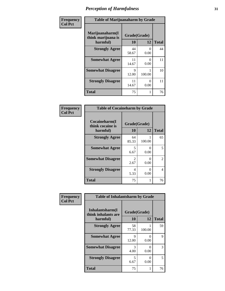| Frequency      | <b>Table of Marijuanaharm by Grade</b>            |                    |                  |              |  |
|----------------|---------------------------------------------------|--------------------|------------------|--------------|--|
| <b>Col Pct</b> | Marijuanaharm(I<br>think marijuana is<br>harmful) | Grade(Grade)<br>10 | 12               | <b>Total</b> |  |
|                | <b>Strongly Agree</b>                             | 44<br>58.67        | $\Omega$<br>0.00 | 44           |  |
|                | <b>Somewhat Agree</b>                             | 11<br>14.67        | $\Omega$<br>0.00 | 11           |  |
|                | <b>Somewhat Disagree</b>                          | 9<br>12.00         | 100.00           | 10           |  |
|                | <b>Strongly Disagree</b>                          | 11<br>14.67        | 0<br>0.00        | 11           |  |
|                | <b>Total</b>                                      | 75                 |                  | 76           |  |

| <b>Table of Cocaineharm by Grade</b>          |                    |                           |    |  |  |  |  |  |
|-----------------------------------------------|--------------------|---------------------------|----|--|--|--|--|--|
| Cocaineharm(I<br>think cocaine is<br>harmful) | Grade(Grade)<br>10 | <b>Total</b>              |    |  |  |  |  |  |
| <b>Strongly Agree</b>                         | 64<br>85.33        | 100.00                    | 65 |  |  |  |  |  |
| <b>Somewhat Agree</b>                         | 5<br>6.67          | 0<br>0.00                 | 5  |  |  |  |  |  |
| <b>Somewhat Disagree</b>                      | 2<br>2.67          | 0<br>0.00                 | 2  |  |  |  |  |  |
| <b>Strongly Disagree</b>                      | 4<br>5.33          | $\mathbf{\Omega}$<br>0.00 | 4  |  |  |  |  |  |
| <b>Total</b>                                  | 75                 |                           | 76 |  |  |  |  |  |

| Frequency      | <b>Table of Inhalantsharm by Grade</b>             |                    |                           |              |
|----------------|----------------------------------------------------|--------------------|---------------------------|--------------|
| <b>Col Pct</b> | Inhalantsharm(I<br>think inhalants are<br>harmful) | Grade(Grade)<br>10 | 12                        | <b>Total</b> |
|                | <b>Strongly Agree</b>                              | 58<br>77.33        | 100.00                    | 59           |
|                | <b>Somewhat Agree</b>                              | 9<br>12.00         | $\mathbf{\Omega}$<br>0.00 | 9            |
|                | <b>Somewhat Disagree</b>                           | 3<br>4.00          | $\mathbf{\Omega}$<br>0.00 | 3            |
|                | <b>Strongly Disagree</b>                           | 5<br>6.67          | 0<br>0.00                 | 5            |
|                | <b>Total</b>                                       | 75                 |                           | 76           |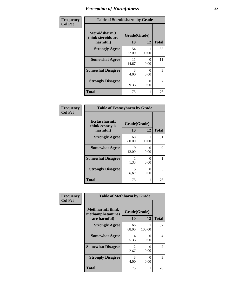| Frequency      | <b>Table of Steroidsharm by Grade</b>            |                    |           |              |  |  |
|----------------|--------------------------------------------------|--------------------|-----------|--------------|--|--|
| <b>Col Pct</b> | Steroidsharm(I<br>think steroids are<br>harmful) | Grade(Grade)<br>10 | 12        | <b>Total</b> |  |  |
|                | <b>Strongly Agree</b>                            | 54<br>72.00        | 100.00    | 55           |  |  |
|                | <b>Somewhat Agree</b>                            | 11<br>14.67        | 0<br>0.00 | 11           |  |  |
|                | <b>Somewhat Disagree</b>                         | 3<br>4.00          | 0<br>0.00 | 3            |  |  |
|                | <b>Strongly Disagree</b>                         | 9.33               | 0<br>0.00 | 7            |  |  |
|                | <b>Total</b>                                     | 75                 |           | 76           |  |  |

| <b>Table of Ecstasyharm by Grade</b>          |                    |              |    |  |  |  |  |
|-----------------------------------------------|--------------------|--------------|----|--|--|--|--|
| Ecstasyharm(I<br>think ecstasy is<br>harmful) | Grade(Grade)<br>10 | <b>Total</b> |    |  |  |  |  |
| <b>Strongly Agree</b>                         | 60<br>80.00        | 1<br>100.00  | 61 |  |  |  |  |
| <b>Somewhat Agree</b>                         | 9<br>12.00         | 0<br>0.00    | 9  |  |  |  |  |
| <b>Somewhat Disagree</b>                      | 1<br>1.33          | 0<br>0.00    |    |  |  |  |  |
| <b>Strongly Disagree</b>                      | 5<br>6.67          | 0<br>0.00    | 5  |  |  |  |  |
| <b>Total</b>                                  | 75                 | 1            | 76 |  |  |  |  |

| Frequency      | <b>Table of Methharm by Grade</b>                           |                        |                           |              |
|----------------|-------------------------------------------------------------|------------------------|---------------------------|--------------|
| <b>Col Pct</b> | <b>Methharm(I think</b><br>methamphetamines<br>are harmful) | Grade(Grade)<br>10     | 12                        | <b>Total</b> |
|                | <b>Strongly Agree</b>                                       | 66<br>88.00            | 100.00                    | 67           |
|                | <b>Somewhat Agree</b>                                       | 4<br>5.33              | $\mathbf{\Omega}$<br>0.00 | 4            |
|                | <b>Somewhat Disagree</b>                                    | $\mathfrak{D}$<br>2.67 | 0<br>0.00                 | 2            |
|                | <b>Strongly Disagree</b>                                    | 3<br>4.00              | 0<br>0.00                 | 3            |
|                | <b>Total</b>                                                | 75                     | 1                         | 76           |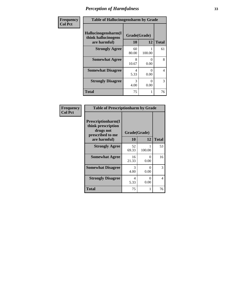| Frequency      | <b>Table of Hallucinogensharm by Grade</b>                 |                    |           |              |
|----------------|------------------------------------------------------------|--------------------|-----------|--------------|
| <b>Col Pct</b> | Hallucinogensharm(I<br>think hallucinogens<br>are harmful) | Grade(Grade)<br>10 | 12        | <b>Total</b> |
|                | <b>Strongly Agree</b>                                      | 60<br>80.00        | 100.00    | 61           |
|                | <b>Somewhat Agree</b>                                      | 8<br>10.67         | 0<br>0.00 | 8            |
|                | <b>Somewhat Disagree</b>                                   | 4<br>5.33          | 0<br>0.00 | 4            |
|                | <b>Strongly Disagree</b>                                   | 3<br>4.00          | 0<br>0.00 | 3            |
|                | <b>Total</b>                                               | 75                 | 1         | 76           |

| <b>Frequency</b> |
|------------------|
| Col Pct          |

| <b>Table of Prescriptionharm by Grade</b>                                         |              |               |              |  |  |  |
|-----------------------------------------------------------------------------------|--------------|---------------|--------------|--|--|--|
| <b>Prescriptionharm(I)</b><br>think prescription<br>drugs not<br>prescribed to me | Grade(Grade) |               |              |  |  |  |
| are harmful)                                                                      | 10           | 12            | <b>Total</b> |  |  |  |
| <b>Strongly Agree</b>                                                             | 52<br>69.33  | 100.00        | 53           |  |  |  |
| <b>Somewhat Agree</b>                                                             | 16<br>21.33  | 0<br>0.00     | 16           |  |  |  |
| <b>Somewhat Disagree</b>                                                          | 3<br>4.00    | 0<br>0.00     | 3            |  |  |  |
| <b>Strongly Disagree</b>                                                          | 4<br>5.33    | 0<br>$0.00\,$ | 4            |  |  |  |
| <b>Total</b>                                                                      | 75           | 1             | 76           |  |  |  |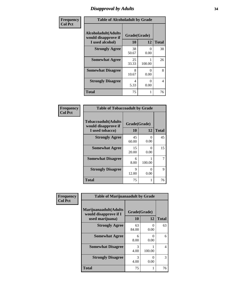# *Disapproval by Adults* **34**

| Frequency      | <b>Table of Alcoholadult by Grade</b>                                 |                    |        |              |  |
|----------------|-----------------------------------------------------------------------|--------------------|--------|--------------|--|
| <b>Col Pct</b> | <b>Alcoholadult</b> (Adults<br>would disapprove if<br>I used alcohol) | Grade(Grade)<br>10 | 12     | <b>Total</b> |  |
|                | <b>Strongly Agree</b>                                                 | 38<br>50.67        | 0.00   | 38           |  |
|                | <b>Somewhat Agree</b>                                                 | 25<br>33.33        | 100.00 | 26           |  |
|                | <b>Somewhat Disagree</b>                                              | 8<br>10.67         | 0.00   | 8            |  |
|                | <b>Strongly Disagree</b>                                              | 4<br>5.33          | 0.00   | 4            |  |
|                | <b>Total</b>                                                          | 75                 |        | 76           |  |

| <b>Table of Tobaccoadult by Grade</b>                                 |                    |               |              |  |  |  |
|-----------------------------------------------------------------------|--------------------|---------------|--------------|--|--|--|
| <b>Tobaccoadult</b> (Adults<br>would disapprove if<br>I used tobacco) | Grade(Grade)<br>10 | 12            | <b>Total</b> |  |  |  |
| <b>Strongly Agree</b>                                                 | 45<br>60.00        | 0<br>0.00     | 45           |  |  |  |
| <b>Somewhat Agree</b>                                                 | 15<br>20.00        | 0<br>0.00     | 15           |  |  |  |
| <b>Somewhat Disagree</b>                                              | 6<br>8.00          | 100.00        | 7            |  |  |  |
| <b>Strongly Disagree</b>                                              | 9<br>12.00         | 0<br>$0.00\,$ | 9            |  |  |  |
| <b>Total</b>                                                          | 75                 |               | 76           |  |  |  |

| Frequency      | <b>Table of Marijuanaadult by Grade</b>                           |                    |                  |              |
|----------------|-------------------------------------------------------------------|--------------------|------------------|--------------|
| <b>Col Pct</b> | Marijuanaadult(Adults<br>would disapprove if I<br>used marijuana) | Grade(Grade)<br>10 | 12               | <b>Total</b> |
|                | <b>Strongly Agree</b>                                             | 63<br>84.00        | $\Omega$<br>0.00 | 63           |
|                | <b>Somewhat Agree</b>                                             | 6<br>8.00          | 0<br>0.00        | 6            |
|                | <b>Somewhat Disagree</b>                                          | 3<br>4.00          | 100.00           | 4            |
|                | <b>Strongly Disagree</b>                                          | 3<br>4.00          | $\Omega$<br>0.00 | 3            |
|                | <b>Total</b>                                                      | 75                 | 1                | 76           |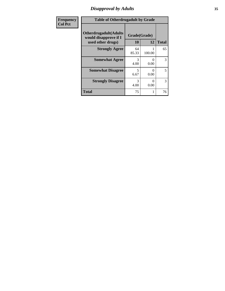# *Disapproval by Adults* **35**

| <b>Frequency</b> | <b>Table of Otherdrugadult by Grade</b>                                     |                    |                  |              |
|------------------|-----------------------------------------------------------------------------|--------------------|------------------|--------------|
| <b>Col Pct</b>   | <b>Otherdrugadult</b> (Adults<br>would disapprove if I<br>used other drugs) | Grade(Grade)<br>10 | 12               | <b>Total</b> |
|                  | <b>Strongly Agree</b>                                                       | 64<br>85.33        | 100.00           | 65           |
|                  | <b>Somewhat Agree</b>                                                       | 3<br>4.00          | $\Omega$<br>0.00 | 3            |
|                  | <b>Somewhat Disagree</b>                                                    | 5<br>6.67          | 0<br>0.00        | 5            |
|                  | <b>Strongly Disagree</b>                                                    | 3<br>4.00          | 0<br>0.00        | 3            |
|                  | <b>Total</b>                                                                | 75                 |                  | 76           |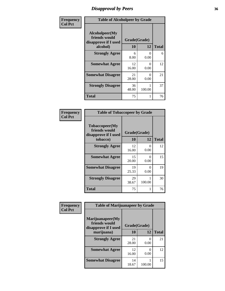# *Disapproval by Peers* **36**

| Frequency      | <b>Table of Alcoholpeer by Grade</b>                    |              |                           |              |
|----------------|---------------------------------------------------------|--------------|---------------------------|--------------|
| <b>Col Pct</b> | Alcoholpeer(My<br>friends would<br>disapprove if I used | Grade(Grade) |                           |              |
|                | alcohol)                                                | 10           | 12                        | <b>Total</b> |
|                | <b>Strongly Agree</b>                                   | 6<br>8.00    | $\Omega$<br>0.00          | 6            |
|                | <b>Somewhat Agree</b>                                   | 12<br>16.00  | $\mathbf{\Omega}$<br>0.00 | 12           |
|                | <b>Somewhat Disagree</b>                                | 21<br>28.00  | 0.00                      | 21           |
|                | <b>Strongly Disagree</b>                                | 36<br>48.00  | 100.00                    | 37           |
|                | Total                                                   | 75           |                           | 76           |

| Frequency      | <b>Table of Tobaccopeer by Grade</b>                                |                    |           |              |
|----------------|---------------------------------------------------------------------|--------------------|-----------|--------------|
| <b>Col Pct</b> | Tobaccopeer(My<br>friends would<br>disapprove if I used<br>tobacco) | Grade(Grade)<br>10 | 12        | <b>Total</b> |
|                | <b>Strongly Agree</b>                                               | 12<br>16.00        | 0<br>0.00 | 12           |
|                | <b>Somewhat Agree</b>                                               | 15<br>20.00        | 0<br>0.00 | 15           |
|                | <b>Somewhat Disagree</b>                                            | 19<br>25.33        | 0<br>0.00 | 19           |
|                | <b>Strongly Disagree</b>                                            | 29<br>38.67        | 100.00    | 30           |
|                | <b>Total</b>                                                        | 75                 |           | 76           |

| Frequency      | <b>Table of Marijuanapeer by Grade</b>                    |              |                           |              |
|----------------|-----------------------------------------------------------|--------------|---------------------------|--------------|
| <b>Col Pct</b> | Marijuanapeer(My<br>friends would<br>disapprove if I used | Grade(Grade) |                           |              |
|                | marijuana)                                                | 10           | 12                        | <b>Total</b> |
|                | <b>Strongly Agree</b>                                     | 21<br>28.00  | $\mathbf{\Omega}$<br>0.00 | 21           |
|                | <b>Somewhat Agree</b>                                     | 12<br>16.00  | 0<br>0.00                 | 12           |
|                | <b>Somewhat Disagree</b>                                  | 14<br>18.67  | 100.00                    | 15           |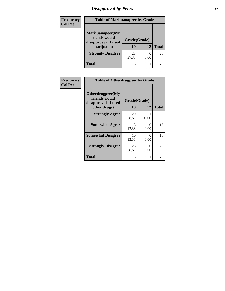# *Disapproval by Peers* **37**

| <b>Frequency</b> | <b>Table of Marijuanapeer by Grade</b>                                  |                    |      |              |
|------------------|-------------------------------------------------------------------------|--------------------|------|--------------|
| <b>Col Pct</b>   | Marijuanapeer(My<br>friends would<br>disapprove if I used<br>marijuana) | Grade(Grade)<br>10 | 12   | <b>Total</b> |
|                  | <b>Strongly Disagree</b>                                                | 28<br>37.33        | 0.00 | 28           |
|                  | Total                                                                   | 75                 |      | 76           |

| Frequency      | <b>Table of Otherdrugpeer by Grade</b>                                    |                    |           |              |
|----------------|---------------------------------------------------------------------------|--------------------|-----------|--------------|
| <b>Col Pct</b> | Otherdrugpeer(My<br>friends would<br>disapprove if I used<br>other drugs) | Grade(Grade)<br>10 | 12        | <b>Total</b> |
|                | <b>Strongly Agree</b>                                                     | 29<br>38.67        | 100.00    | 30           |
|                | <b>Somewhat Agree</b>                                                     | 13<br>17.33        | 0<br>0.00 | 13           |
|                | <b>Somewhat Disagree</b>                                                  | 10<br>13.33        | 0<br>0.00 | 10           |
|                | <b>Strongly Disagree</b>                                                  | 23<br>30.67        | 0<br>0.00 | 23           |
|                | Total                                                                     | 75                 |           | 76           |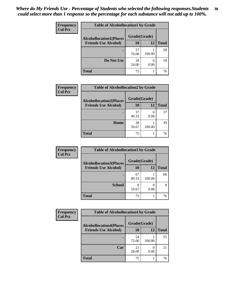| Frequency<br><b>Col Pct</b> | <b>Table of Alcohollocation1 by Grade</b> |              |                  |              |  |
|-----------------------------|-------------------------------------------|--------------|------------------|--------------|--|
|                             | <b>Alcohollocation1(Places</b>            | Grade(Grade) |                  |              |  |
|                             | <b>Friends Use Alcohol)</b>               | 10           | 12               | <b>Total</b> |  |
|                             |                                           | 57<br>76.00  | 100.00           | 58           |  |
|                             | Do Not Use                                | 18<br>24.00  | $\theta$<br>0.00 | 18           |  |
|                             | <b>Total</b>                              | 75           |                  | 76           |  |

| Frequency      | <b>Table of Alcohollocation2 by Grade</b> |              |        |              |
|----------------|-------------------------------------------|--------------|--------|--------------|
| <b>Col Pct</b> | <b>Alcohollocation2(Places</b>            | Grade(Grade) |        |              |
|                | <b>Friends Use Alcohol)</b>               | 10           | 12     | <b>Total</b> |
|                |                                           | 37<br>49.33  | 0.00   | 37           |
|                | Home                                      | 38<br>50.67  | 100.00 | 39           |
|                | <b>Total</b>                              | 75           |        | 76           |

| Frequency<br><b>Col Pct</b> | <b>Table of Alcohollocation 3 by Grade</b> |              |        |              |
|-----------------------------|--------------------------------------------|--------------|--------|--------------|
|                             | <b>Alcohollocation3(Places</b>             | Grade(Grade) |        |              |
|                             | <b>Friends Use Alcohol)</b>                | 10           | 12     | <b>Total</b> |
|                             |                                            | 67<br>89.33  | 100.00 | 68           |
|                             | <b>School</b>                              | 8<br>10.67   | 0.00   | 8            |
|                             | <b>Total</b>                               | 75           |        | 76           |

| Frequency      | <b>Table of Alcohollocation4 by Grade</b> |              |        |              |  |
|----------------|-------------------------------------------|--------------|--------|--------------|--|
| <b>Col Pct</b> | <b>Alcohollocation4(Places</b>            | Grade(Grade) |        |              |  |
|                | <b>Friends Use Alcohol)</b>               | 10           | 12     | <b>Total</b> |  |
|                |                                           | 54<br>72.00  | 100.00 | 55           |  |
|                | Car                                       | 21<br>28.00  | 0.00   | 21           |  |
|                | <b>Total</b>                              | 75           |        | 76           |  |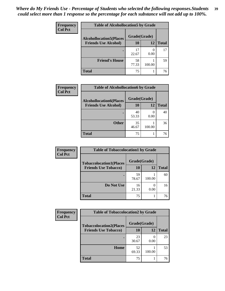| Frequency<br><b>Col Pct</b> | <b>Table of Alcohollocation5 by Grade</b> |              |        |              |  |
|-----------------------------|-------------------------------------------|--------------|--------|--------------|--|
|                             | <b>Alcohollocation5(Places</b>            | Grade(Grade) |        |              |  |
|                             | <b>Friends Use Alcohol)</b>               | 10           | 12     | <b>Total</b> |  |
|                             |                                           | 17<br>22.67  | 0.00   | 17           |  |
|                             | <b>Friend's House</b>                     | 58<br>77.33  | 100.00 | 59           |  |
|                             | <b>Total</b>                              | 75           |        | 76           |  |

| <b>Frequency</b> | <b>Table of Alcohollocation6 by Grade</b> |              |        |              |
|------------------|-------------------------------------------|--------------|--------|--------------|
| <b>Col Pct</b>   | <b>Alcohollocation6(Places</b>            | Grade(Grade) |        |              |
|                  | <b>Friends Use Alcohol)</b>               | 10           | 12     | <b>Total</b> |
|                  |                                           | 40<br>53.33  | 0.00   | 40           |
|                  | <b>Other</b>                              | 35<br>46.67  | 100.00 | 36           |
|                  | <b>Total</b>                              | 75           |        | 76           |

| Frequency      | <b>Table of Tobaccolocation1 by Grade</b> |              |                  |              |
|----------------|-------------------------------------------|--------------|------------------|--------------|
| <b>Col Pct</b> | <b>Tobaccolocation1(Places</b>            | Grade(Grade) |                  |              |
|                | <b>Friends Use Tobacco)</b>               | 10           | <b>12</b>        | <b>Total</b> |
|                |                                           | 59<br>78.67  | 100.00           | 60           |
|                | Do Not Use                                | 16<br>21.33  | $\left($<br>0.00 | 16           |
|                | <b>Total</b>                              | 75           |                  | 76           |

| <b>Frequency</b> | <b>Table of Tobaccolocation2 by Grade</b> |              |        |              |
|------------------|-------------------------------------------|--------------|--------|--------------|
| <b>Col Pct</b>   | <b>Tobaccolocation2(Places</b>            | Grade(Grade) |        |              |
|                  | <b>Friends Use Tobacco)</b>               | 10           | 12     | <b>Total</b> |
|                  |                                           | 23<br>30.67  | 0.00   | 23           |
|                  | Home                                      | 52<br>69.33  | 100.00 | 53           |
|                  | <b>Total</b>                              | 75           |        | 76           |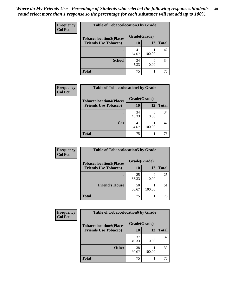| Frequency      | <b>Table of Tobaccolocation 3 by Grade</b> |              |                          |              |
|----------------|--------------------------------------------|--------------|--------------------------|--------------|
| <b>Col Pct</b> | <b>Tobaccolocation3(Places</b>             | Grade(Grade) |                          |              |
|                | <b>Friends Use Tobacco)</b>                | 10           | <b>12</b>                | <b>Total</b> |
|                |                                            | 41<br>54.67  | 100.00                   | 42           |
|                | <b>School</b>                              | 34<br>45.33  | $\left( \right)$<br>0.00 | 34           |
|                | <b>Total</b>                               | 75           |                          | 76           |

| Frequency      | <b>Table of Tobaccolocation4 by Grade</b> |              |        |              |
|----------------|-------------------------------------------|--------------|--------|--------------|
| <b>Col Pct</b> | <b>Tobaccolocation4(Places</b>            | Grade(Grade) |        |              |
|                | <b>Friends Use Tobacco)</b>               | 10           | 12     | <b>Total</b> |
|                |                                           | 34<br>45.33  | 0.00   | 34           |
|                | Car                                       | 41<br>54.67  | 100.00 | 42           |
|                | <b>Total</b>                              | 75           |        | 76           |

| Frequency      | <b>Table of Tobaccolocation5 by Grade</b>                     |                    |        |              |
|----------------|---------------------------------------------------------------|--------------------|--------|--------------|
| <b>Col Pct</b> | <b>Tobaccolocation5(Places</b><br><b>Friends Use Tobacco)</b> | Grade(Grade)<br>10 | 12     | <b>Total</b> |
|                |                                                               |                    |        |              |
|                |                                                               | 25<br>33.33        | 0.00   | 25           |
|                | <b>Friend's House</b>                                         | 50<br>66.67        | 100.00 | 51           |
|                | <b>Total</b>                                                  | 75                 |        | 76           |

| Frequency      | <b>Table of Tobaccolocation6 by Grade</b> |              |        |              |  |
|----------------|-------------------------------------------|--------------|--------|--------------|--|
| <b>Col Pct</b> | <b>Tobaccolocation6(Places</b>            | Grade(Grade) |        |              |  |
|                | <b>Friends Use Tobacco)</b>               | 10           | 12     | <b>Total</b> |  |
|                |                                           | 37<br>49.33  | 0.00   | 37           |  |
|                | <b>Other</b>                              | 38<br>50.67  | 100.00 | 39           |  |
|                | <b>Total</b>                              | 75           |        | 76           |  |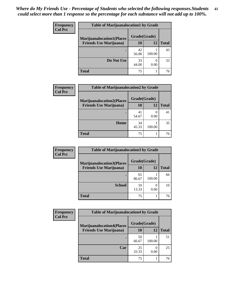| <b>Frequency</b> | <b>Table of Marijuanalocation1 by Grade</b> |              |        |              |  |
|------------------|---------------------------------------------|--------------|--------|--------------|--|
| <b>Col Pct</b>   | <b>Marijuanalocation1(Places</b>            | Grade(Grade) |        |              |  |
|                  | <b>Friends Use Marijuana</b> )              | 10           | 12     | <b>Total</b> |  |
|                  |                                             | 42<br>56.00  | 100.00 | 43           |  |
|                  | Do Not Use                                  | 33<br>44.00  | 0.00   | 33           |  |
|                  | <b>Total</b>                                | 75           |        | 76           |  |

| <b>Frequency</b> | <b>Table of Marijuanalocation2 by Grade</b>                        |                    |        |              |
|------------------|--------------------------------------------------------------------|--------------------|--------|--------------|
| <b>Col Pct</b>   | <b>Marijuanalocation2(Places</b><br><b>Friends Use Marijuana</b> ) | Grade(Grade)<br>10 | 12     | <b>Total</b> |
|                  |                                                                    |                    |        |              |
|                  |                                                                    | 41                 |        | 41           |
|                  |                                                                    | 54.67              | 0.00   |              |
|                  | Home                                                               | 34                 |        | 35           |
|                  |                                                                    | 45.33              | 100.00 |              |
|                  | <b>Total</b>                                                       | 75                 |        | 76           |

| Frequency<br><b>Col Pct</b> | <b>Table of Marijuanalocation3 by Grade</b> |              |        |       |
|-----------------------------|---------------------------------------------|--------------|--------|-------|
|                             | <b>Marijuanalocation3(Places</b>            | Grade(Grade) |        |       |
|                             | <b>Friends Use Marijuana</b> )              | 10           | 12     | Total |
|                             |                                             | 65<br>86.67  | 100.00 | 66    |
|                             | <b>School</b>                               | 10<br>13.33  | 0.00   | 10    |
|                             | <b>Total</b>                                | 75           |        | 76    |

| <b>Frequency</b> | <b>Table of Marijuanalocation4 by Grade</b> |              |        |              |  |  |
|------------------|---------------------------------------------|--------------|--------|--------------|--|--|
| <b>Col Pct</b>   | <b>Marijuanalocation4(Places</b>            | Grade(Grade) |        |              |  |  |
|                  | <b>Friends Use Marijuana</b> )              | 10           | 12     | <b>Total</b> |  |  |
|                  |                                             | 50<br>66.67  | 100.00 | 51           |  |  |
|                  | Car                                         | 25<br>33.33  | 0.00   | 25           |  |  |
|                  | <b>Total</b>                                | 75           |        | 76           |  |  |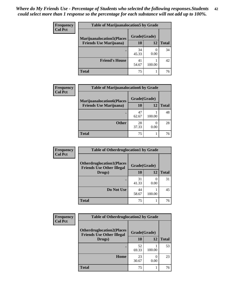| <b>Frequency</b> | <b>Table of Marijuanalocation5 by Grade</b>                         |              |        |              |
|------------------|---------------------------------------------------------------------|--------------|--------|--------------|
| <b>Col Pct</b>   | <b>Marijuanalocation5(Places)</b><br><b>Friends Use Marijuana</b> ) | Grade(Grade) |        |              |
|                  |                                                                     | 10           | 12     | <b>Total</b> |
|                  |                                                                     | 34<br>45.33  | 0.00   | 34           |
|                  | <b>Friend's House</b>                                               | 41<br>54.67  | 100.00 | 42           |
|                  | <b>Total</b>                                                        | 75           |        | 76           |

| <b>Frequency</b><br><b>Col Pct</b> | <b>Table of Marijuanalocation6 by Grade</b>                        |                    |        |              |
|------------------------------------|--------------------------------------------------------------------|--------------------|--------|--------------|
|                                    | <b>Marijuanalocation6(Places</b><br><b>Friends Use Marijuana</b> ) | Grade(Grade)<br>10 | 12     | <b>Total</b> |
|                                    |                                                                    | 47<br>62.67        | 100.00 | 48           |
|                                    | <b>Other</b>                                                       | 28<br>37.33        | 0.00   | 28           |
|                                    | <b>Total</b>                                                       | 75                 |        | 76           |

| <b>Frequency</b> | <b>Table of Otherdruglocation1 by Grade</b>                          |              |        |              |
|------------------|----------------------------------------------------------------------|--------------|--------|--------------|
| <b>Col Pct</b>   | <b>Otherdruglocation1(Places</b><br><b>Friends Use Other Illegal</b> | Grade(Grade) |        |              |
|                  | Drugs)                                                               | <b>10</b>    | 12     | <b>Total</b> |
|                  |                                                                      | 31<br>41.33  | 0.00   | 31           |
|                  | Do Not Use                                                           | 44<br>58.67  | 100.00 | 45           |
|                  | <b>Total</b>                                                         | 75           |        | 76           |

| <b>Frequency</b><br><b>Col Pct</b> | <b>Table of Otherdruglocation2 by Grade</b>                           |              |           |              |
|------------------------------------|-----------------------------------------------------------------------|--------------|-----------|--------------|
|                                    | <b>Otherdruglocation2(Places)</b><br><b>Friends Use Other Illegal</b> | Grade(Grade) |           |              |
|                                    | Drugs)                                                                | 10           | 12        | <b>Total</b> |
|                                    |                                                                       | 52<br>69.33  | 100.00    | 53           |
|                                    | Home                                                                  | 23<br>30.67  | 0<br>0.00 | 23           |
|                                    | <b>Total</b>                                                          | 75           |           | 76           |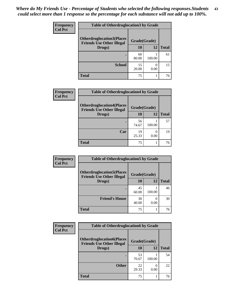| <b>Frequency</b> | <b>Table of Otherdruglocation 3 by Grade</b>                          |              |        |              |  |
|------------------|-----------------------------------------------------------------------|--------------|--------|--------------|--|
| <b>Col Pct</b>   | <b>Otherdruglocation3(Places)</b><br><b>Friends Use Other Illegal</b> | Grade(Grade) |        |              |  |
|                  | Drugs)                                                                | 10           | 12     | <b>Total</b> |  |
|                  |                                                                       | 60<br>80.00  | 100.00 | 61           |  |
|                  | <b>School</b>                                                         | 15<br>20.00  | 0.00   | 15           |  |
|                  | Total                                                                 | 75           |        | 76           |  |

| <b>Frequency</b> | <b>Table of Otherdruglocation4 by Grade</b>                          |              |        |              |
|------------------|----------------------------------------------------------------------|--------------|--------|--------------|
| <b>Col Pct</b>   | <b>Otherdruglocation4(Places</b><br><b>Friends Use Other Illegal</b> | Grade(Grade) |        |              |
|                  | Drugs)                                                               | 10           | 12     | <b>Total</b> |
|                  | ٠                                                                    | 56<br>74.67  | 100.00 | 57           |
|                  | Car                                                                  | 19<br>25.33  | 0.00   | 19           |
|                  | <b>Total</b>                                                         | 75           | 1      | 76           |

| <b>Frequency</b> | <b>Table of Otherdruglocation5 by Grade</b>                          |              |        |              |
|------------------|----------------------------------------------------------------------|--------------|--------|--------------|
| <b>Col Pct</b>   | <b>Otherdruglocation5(Places</b><br><b>Friends Use Other Illegal</b> | Grade(Grade) |        |              |
|                  | Drugs)                                                               | 10           | 12     | <b>Total</b> |
|                  |                                                                      | 45<br>60.00  | 100.00 | 46           |
|                  | <b>Friend's House</b>                                                | 30<br>40.00  | 0.00   | 30           |
|                  | <b>Total</b>                                                         | 75           |        | 76           |

| Frequency      | <b>Table of Otherdruglocation6 by Grade</b>                          |              |        |              |
|----------------|----------------------------------------------------------------------|--------------|--------|--------------|
| <b>Col Pct</b> | <b>Otherdruglocation6(Places</b><br><b>Friends Use Other Illegal</b> | Grade(Grade) |        |              |
|                | Drugs)                                                               | 10           | 12     | <b>Total</b> |
|                |                                                                      | 53<br>70.67  | 100.00 | 54           |
|                | <b>Other</b>                                                         | 22<br>29.33  | 0.00   | 22           |
|                | <b>Total</b>                                                         | 75           |        | 76           |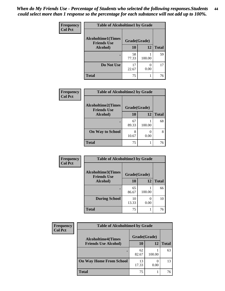| Frequency      | <b>Table of Alcoholtime1 by Grade</b>           |              |        |              |  |
|----------------|-------------------------------------------------|--------------|--------|--------------|--|
| <b>Col Pct</b> | <b>Alcoholtime1(Times</b><br><b>Friends Use</b> | Grade(Grade) |        |              |  |
|                | Alcohol)                                        | 10           | 12     | <b>Total</b> |  |
|                |                                                 | 58<br>77.33  | 100.00 | 59           |  |
|                | Do Not Use                                      | 17<br>22.67  | 0.00   | 17           |  |
|                | <b>Total</b>                                    | 75           |        | 76           |  |

| Frequency      | <b>Table of Alcoholtime2 by Grade</b>           |              |        |              |
|----------------|-------------------------------------------------|--------------|--------|--------------|
| <b>Col Pct</b> | <b>Alcoholtime2(Times</b><br><b>Friends Use</b> | Grade(Grade) |        |              |
|                | <b>Alcohol</b> )                                | 10           | 12     | <b>Total</b> |
|                |                                                 | 67<br>89.33  | 100.00 | 68           |
|                | <b>On Way to School</b>                         | 8<br>10.67   | 0.00   | 8            |
|                | <b>Total</b>                                    | 75           |        | 76           |

| Frequency      | <b>Table of Alcoholtime3 by Grade</b>           |              |        |              |
|----------------|-------------------------------------------------|--------------|--------|--------------|
| <b>Col Pct</b> | <b>Alcoholtime3(Times</b><br><b>Friends Use</b> | Grade(Grade) |        |              |
|                | Alcohol)                                        | 10           | 12     | <b>Total</b> |
|                |                                                 | 65<br>86.67  | 100.00 | 66           |
|                | <b>During School</b>                            | 10<br>13.33  | 0.00   | 10           |
|                | <b>Total</b>                                    | 75           |        | 76           |

| <b>Frequency</b> | <b>Table of Alcoholtime4 by Grade</b> |              |        |              |  |
|------------------|---------------------------------------|--------------|--------|--------------|--|
| <b>Col Pct</b>   | <b>Alcoholtime4(Times</b>             | Grade(Grade) |        |              |  |
|                  | <b>Friends Use Alcohol)</b>           | 10           | 12     | <b>Total</b> |  |
|                  | ٠                                     | 62<br>82.67  | 100.00 | 63           |  |
|                  | <b>On Way Home From School</b>        | 13<br>17.33  | 0.00   | 13           |  |
|                  | <b>Total</b>                          | 75           |        | 76           |  |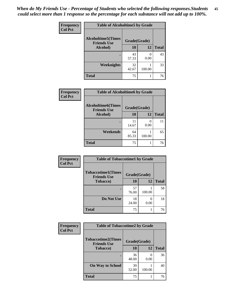*When do My Friends Use - Percentage of Students who selected the following responses.Students could select more than 1 response so the percentage for each substance will not add up to 100%.* **45**

| Frequency      | <b>Table of Alcoholtime5 by Grade</b>           |              |           |              |
|----------------|-------------------------------------------------|--------------|-----------|--------------|
| <b>Col Pct</b> | <b>Alcoholtime5(Times</b><br><b>Friends Use</b> | Grade(Grade) |           |              |
|                | Alcohol)                                        | 10           | 12        | <b>Total</b> |
|                |                                                 | 43<br>57.33  | 0<br>0.00 | 43           |
|                | <b>Weeknights</b>                               | 32<br>42.67  | 100.00    | 33           |
|                | <b>Total</b>                                    | 75           |           | 76           |

| <b>Frequency</b> | <b>Table of Alcoholtime6 by Grade</b>           |              |        |              |  |
|------------------|-------------------------------------------------|--------------|--------|--------------|--|
| <b>Col Pct</b>   | <b>Alcoholtime6(Times</b><br><b>Friends Use</b> | Grade(Grade) |        |              |  |
|                  | Alcohol)                                        | 10           | 12     | <b>Total</b> |  |
|                  |                                                 | 11<br>14.67  | 0.00   | 11           |  |
|                  | Weekends                                        | 64<br>85.33  | 100.00 | 65           |  |
|                  | <b>Total</b>                                    | 75           |        | 76           |  |

| Frequency      | <b>Table of Tobaccotime1 by Grade</b>           |              |           |              |  |
|----------------|-------------------------------------------------|--------------|-----------|--------------|--|
| <b>Col Pct</b> | <b>Tobaccotime1(Times</b><br><b>Friends Use</b> | Grade(Grade) |           |              |  |
|                | <b>Tobacco</b> )                                | 10           | 12        | <b>Total</b> |  |
|                | ٠                                               | 57<br>76.00  | 100.00    | 58           |  |
|                | Do Not Use                                      | 18<br>24.00  | 0<br>0.00 | 18           |  |
|                | <b>Total</b>                                    | 75           |           | 76           |  |

| <b>Frequency</b> | <b>Table of Tobaccotime2 by Grade</b>           |              |        |              |
|------------------|-------------------------------------------------|--------------|--------|--------------|
| <b>Col Pct</b>   | <b>Tobaccotime2(Times</b><br><b>Friends Use</b> | Grade(Grade) |        |              |
|                  | <b>Tobacco</b> )                                | 10           | 12     | <b>Total</b> |
|                  | ٠                                               | 36<br>48.00  | 0.00   | 36           |
|                  | <b>On Way to School</b>                         | 39<br>52.00  | 100.00 | 40           |
|                  | <b>Total</b>                                    | 75           |        | 76           |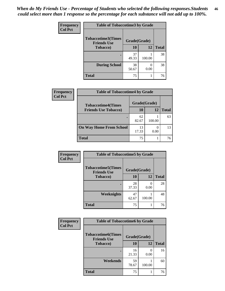| <b>Frequency</b> | <b>Table of Tobaccotime3 by Grade</b>           |              |        |              |  |
|------------------|-------------------------------------------------|--------------|--------|--------------|--|
| <b>Col Pct</b>   | <b>Tobaccotime3(Times</b><br><b>Friends Use</b> | Grade(Grade) |        |              |  |
|                  | <b>Tobacco</b> )                                | 10           | 12     | <b>Total</b> |  |
|                  |                                                 | 37<br>49.33  | 100.00 | 38           |  |
|                  | <b>During School</b>                            | 38<br>50.67  | 0.00   | 38           |  |
|                  | <b>Total</b>                                    | 75           |        | 76           |  |

| <b>Frequency</b> | <b>Table of Tobaccotime4 by Grade</b> |              |        |              |  |
|------------------|---------------------------------------|--------------|--------|--------------|--|
| <b>Col Pct</b>   | <b>Tobaccotime4(Times</b>             | Grade(Grade) |        |              |  |
|                  | <b>Friends Use Tobacco)</b>           | 10           | 12     | <b>Total</b> |  |
|                  |                                       | 62<br>82.67  | 100.00 | 63           |  |
|                  | <b>On Way Home From School</b>        | 13<br>17.33  | 0.00   | 13           |  |
|                  | <b>Total</b>                          | 75           |        | 76           |  |

| Frequency      | <b>Table of Tobaccotime5 by Grade</b>            |              |           |              |
|----------------|--------------------------------------------------|--------------|-----------|--------------|
| <b>Col Pct</b> | <b>Tobaccotime5</b> (Times<br><b>Friends Use</b> | Grade(Grade) |           |              |
|                | <b>Tobacco</b> )                                 | 10           | 12        | <b>Total</b> |
|                |                                                  | 28<br>37.33  | 0<br>0.00 | 28           |
|                | Weeknights                                       | 47<br>62.67  | 100.00    | 48           |
|                | <b>Total</b>                                     | 75           |           | 76           |

| <b>Frequency</b> | <b>Table of Tobaccotime6 by Grade</b>           |              |                           |              |
|------------------|-------------------------------------------------|--------------|---------------------------|--------------|
| <b>Col Pct</b>   | <b>Tobaccotime6(Times</b><br><b>Friends Use</b> | Grade(Grade) |                           |              |
|                  | <b>Tobacco</b> )                                | 10           | 12                        | <b>Total</b> |
|                  | ٠                                               | 16<br>21.33  | $\mathbf{\Omega}$<br>0.00 | 16           |
|                  | Weekends                                        | 59<br>78.67  | 100.00                    | 60           |
|                  | <b>Total</b>                                    | 75           |                           | 76           |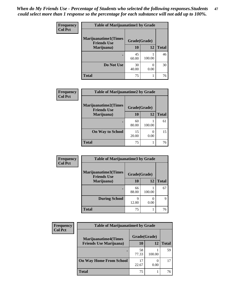| <b>Frequency</b><br><b>Col Pct</b> | <b>Table of Marijuanatime1 by Grade</b>           |              |        |              |
|------------------------------------|---------------------------------------------------|--------------|--------|--------------|
|                                    | <b>Marijuanatime1(Times</b><br><b>Friends Use</b> | Grade(Grade) |        |              |
|                                    | Marijuana)                                        | 10           | 12     | <b>Total</b> |
|                                    |                                                   | 45<br>60.00  | 100.00 | 46           |
|                                    | Do Not Use                                        | 30<br>40.00  | 0.00   | 30           |
|                                    | <b>Total</b>                                      | 75           |        | 76           |

| Frequency      | <b>Table of Marijuanatime2 by Grade</b>           |              |           |              |
|----------------|---------------------------------------------------|--------------|-----------|--------------|
| <b>Col Pct</b> | <b>Marijuanatime2(Times</b><br><b>Friends Use</b> | Grade(Grade) |           |              |
|                | Marijuana)                                        | 10           | 12        | <b>Total</b> |
|                |                                                   | 60<br>80.00  | 100.00    | 61           |
|                | <b>On Way to School</b>                           | 15<br>20.00  | 0<br>0.00 | 15           |
|                | <b>Total</b>                                      | 75           |           | 76           |

| Frequency<br><b>Col Pct</b> | <b>Table of Marijuanatime3 by Grade</b>                            |             |        |              |  |
|-----------------------------|--------------------------------------------------------------------|-------------|--------|--------------|--|
|                             | <b>Marijuanatime3</b> (Times<br>Grade(Grade)<br><b>Friends Use</b> |             |        |              |  |
|                             | Marijuana)                                                         | 10          | 12     | <b>Total</b> |  |
|                             |                                                                    | 66<br>88.00 | 100.00 | 67           |  |
|                             | <b>During School</b>                                               | Q<br>12.00  | 0.00   | 9            |  |
|                             | <b>Total</b>                                                       | 75          |        | 76           |  |

| <b>Frequency</b> | <b>Table of Marijuanatime4 by Grade</b>                        |              |        |              |
|------------------|----------------------------------------------------------------|--------------|--------|--------------|
| <b>Col Pct</b>   | <b>Marijuanatime4</b> (Times<br><b>Friends Use Marijuana</b> ) | Grade(Grade) |        |              |
|                  |                                                                | 10           | 12     | <b>Total</b> |
|                  |                                                                | 58<br>77.33  | 100.00 | 59           |
|                  | <b>On Way Home From School</b>                                 | 17<br>22.67  | 0.00   | 17           |
|                  | <b>Total</b>                                                   | 75           |        | 76           |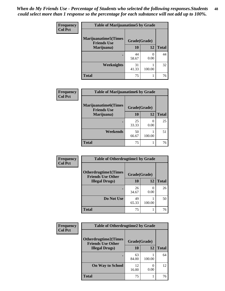| Frequency<br><b>Col Pct</b> | <b>Table of Marijuanatime5 by Grade</b>            |              |           |              |
|-----------------------------|----------------------------------------------------|--------------|-----------|--------------|
|                             | <b>Marijuanatime5</b> (Times<br><b>Friends Use</b> | Grade(Grade) |           |              |
|                             | Marijuana)                                         | 10           | 12        | <b>Total</b> |
|                             |                                                    | 44<br>58.67  | 0<br>0.00 | 44           |
|                             | Weeknights                                         | 31<br>41.33  | 100.00    | 32           |
|                             | <b>Total</b>                                       | 75           |           | 76           |

| Frequency      | <b>Table of Marijuanatime6 by Grade</b>           |              |                       |              |
|----------------|---------------------------------------------------|--------------|-----------------------|--------------|
| <b>Col Pct</b> | <b>Marijuanatime6(Times</b><br><b>Friends Use</b> | Grade(Grade) |                       |              |
|                | Marijuana)                                        | 10           | 12                    | <b>Total</b> |
|                |                                                   | 25<br>33.33  | $\mathcal{O}$<br>0.00 | 25           |
|                | Weekends                                          | 50<br>66.67  | 100.00                | 51           |
|                | <b>Total</b>                                      | 75           |                       | 76           |

| <b>Frequency</b> | <b>Table of Otherdrugtime1 by Grade</b>                 |              |        |              |
|------------------|---------------------------------------------------------|--------------|--------|--------------|
| <b>Col Pct</b>   | <b>Otherdrugtime1(Times</b><br><b>Friends Use Other</b> | Grade(Grade) |        |              |
|                  | <b>Illegal Drugs</b> )                                  | 10           | 12     | <b>Total</b> |
|                  |                                                         | 26<br>34.67  | 0.00   | 26           |
|                  | Do Not Use                                              | 49<br>65.33  | 100.00 | 50           |
|                  | <b>Total</b>                                            | 75           |        | 76           |

| <b>Frequency</b> | <b>Table of Otherdrugtime2 by Grade</b>                 |              |        |              |
|------------------|---------------------------------------------------------|--------------|--------|--------------|
| <b>Col Pct</b>   | <b>Otherdrugtime2(Times</b><br><b>Friends Use Other</b> | Grade(Grade) |        |              |
|                  | <b>Illegal Drugs</b> )                                  | 10           | 12     | <b>Total</b> |
|                  |                                                         | 63<br>84.00  | 100.00 | 64           |
|                  | <b>On Way to School</b>                                 | 12<br>16.00  | 0.00   | 12           |
|                  | Total                                                   | 75           |        | 76           |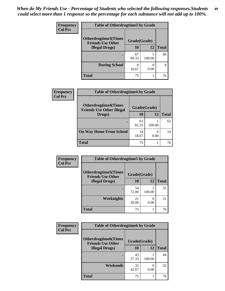| <b>Frequency</b> | <b>Table of Otherdrugtime3 by Grade</b>          |              |        |              |
|------------------|--------------------------------------------------|--------------|--------|--------------|
| <b>Col Pct</b>   | Otherdrugtime3(Times<br><b>Friends Use Other</b> | Grade(Grade) |        |              |
|                  | <b>Illegal Drugs</b> )                           | 10           | 12     | <b>Total</b> |
|                  |                                                  | 67<br>89.33  | 100.00 | 68           |
|                  | <b>During School</b>                             | 8<br>10.67   | 0.00   | 8            |
|                  | Total                                            | 75           |        | 76           |

| <b>Frequency</b> | <b>Table of Otherdrugtime4 by Grade</b>                         |              |        |              |
|------------------|-----------------------------------------------------------------|--------------|--------|--------------|
| <b>Col Pct</b>   | <b>Otherdrugtime4(Times</b><br><b>Friends Use Other Illegal</b> | Grade(Grade) |        |              |
|                  | Drugs)                                                          | 10           | 12     | <b>Total</b> |
|                  | $\bullet$                                                       | 61<br>81.33  | 100.00 | 62           |
|                  | <b>On Way Home From School</b>                                  | 14<br>18.67  | 0.00   | 14           |
|                  | <b>Total</b>                                                    | 75           |        | 76           |

| <b>Frequency</b> | <b>Table of Otherdrugtime5 by Grade</b>                  |              |        |              |
|------------------|----------------------------------------------------------|--------------|--------|--------------|
| <b>Col Pct</b>   | <b>Otherdrugtime5</b> (Times<br><b>Friends Use Other</b> | Grade(Grade) |        |              |
|                  | <b>Illegal Drugs</b> )                                   | 10           | 12     | <b>Total</b> |
|                  |                                                          | 54<br>72.00  | 100.00 | 55           |
|                  | Weeknights                                               | 21<br>28.00  | 0.00   | 21           |
|                  | Total                                                    | 75           | 1      | 76           |

| <b>Frequency</b><br><b>Col Pct</b> | <b>Table of Otherdrugtime6 by Grade</b>                  |              |        |    |
|------------------------------------|----------------------------------------------------------|--------------|--------|----|
|                                    | <b>Otherdrugtime6</b> (Times<br><b>Friends Use Other</b> | Grade(Grade) |        |    |
|                                    | 10<br>12<br><b>Total</b><br><b>Illegal Drugs</b> )       |              |        |    |
|                                    |                                                          | 43<br>57.33  | 100.00 | 44 |
|                                    | Weekends                                                 | 32<br>42.67  | 0.00   | 32 |
|                                    | <b>Total</b>                                             | 75           | 1      | 76 |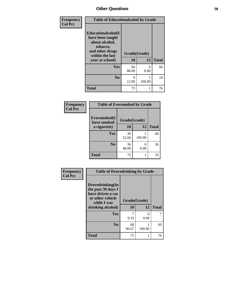| Frequency<br><b>Col Pct</b> | <b>Table of Educationalcohol by Grade</b>                                                                  |              |           |              |  |
|-----------------------------|------------------------------------------------------------------------------------------------------------|--------------|-----------|--------------|--|
|                             | Educationalcohol(I<br>have been taught<br>about alcohol,<br>tobacco,<br>and other drugs<br>within the last | Grade(Grade) |           |              |  |
|                             | year at school)                                                                                            | 10           | 12        | <b>Total</b> |  |
|                             | Yes                                                                                                        | 66<br>88.00  | ∩<br>0.00 | 66           |  |
|                             | N <sub>0</sub>                                                                                             | 9<br>12.00   | 100.00    | 10           |  |
|                             | <b>Total</b>                                                                                               | 75           |           | 76           |  |

| Frequency      | <b>Table of Eversmoked by Grade</b> |              |        |    |
|----------------|-------------------------------------|--------------|--------|----|
| <b>Col Pct</b> | Eversmoked(I<br>have smoked         | Grade(Grade) |        |    |
|                | a cigarette)                        | 10           | 12     |    |
|                | Yes                                 | 39<br>52.00  | 100.00 | 40 |
|                | N <sub>0</sub>                      | 36<br>48.00  | 0.00   | 36 |
|                | <b>Total</b>                        | 75           |        | 76 |

| Frequency      | <b>Table of Drovedrinking by Grade</b>                                                                              |                    |           |              |
|----------------|---------------------------------------------------------------------------------------------------------------------|--------------------|-----------|--------------|
| <b>Col Pct</b> | Drovedrinking(In<br>the past 30 days I<br>have driven a car<br>or other vehicle<br>while I was<br>drinking alcohol) | Grade(Grade)<br>10 | 12        | <b>Total</b> |
|                | <b>Yes</b>                                                                                                          | 9.33               | 0<br>0.00 | 7            |
|                | N <sub>0</sub>                                                                                                      | 68<br>90.67        | 100.00    | 69           |
|                | <b>Total</b>                                                                                                        | 75                 |           | 76           |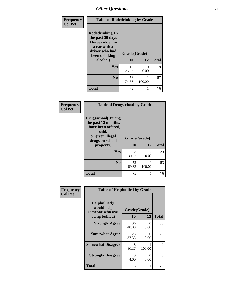| Frequency      | <b>Table of Rodedrinking by Grade</b>                                                                      |              |           |              |
|----------------|------------------------------------------------------------------------------------------------------------|--------------|-----------|--------------|
| <b>Col Pct</b> | Rodedrinking(In<br>the past 30 days<br>I have ridden in<br>a car with a<br>driver who had<br>been drinking | Grade(Grade) |           |              |
|                | alcohol)                                                                                                   | 10           | 12        | <b>Total</b> |
|                | <b>Yes</b>                                                                                                 | 19<br>25.33  | 0<br>0.00 | 19           |
|                | N <sub>0</sub>                                                                                             | 56<br>74.67  | 100.00    | 57           |
|                | <b>Total</b>                                                                                               | 75           |           | 76           |

#### **Frequency Col Pct**

| <b>Table of Drugsschool by Grade</b>                                                                                      |              |           |              |
|---------------------------------------------------------------------------------------------------------------------------|--------------|-----------|--------------|
| <b>Drugsschool</b> (During<br>the past 12 months,<br>I have been offered,<br>sold,<br>or given illegal<br>drugs on school | Grade(Grade) |           |              |
| property)                                                                                                                 | 10           | 12        | <b>Total</b> |
| Yes                                                                                                                       | 23<br>30.67  | 0<br>0.00 | 23           |
| N <sub>0</sub>                                                                                                            | 52<br>69.33  | 100.00    | 53           |
| <b>Total</b>                                                                                                              | 75           |           | 76           |

| Frequency      | <b>Table of Helpbullied by Grade</b>                                                               |             |                      |    |
|----------------|----------------------------------------------------------------------------------------------------|-------------|----------------------|----|
| <b>Col Pct</b> | $Helpb$ ullied $(I$<br>would help<br>Grade(Grade)<br>someone who was<br>10<br>12<br>being bullied) |             | <b>Total</b>         |    |
|                |                                                                                                    |             |                      |    |
|                | <b>Strongly Agree</b>                                                                              | 36<br>48.00 | $\mathbf{0}$<br>0.00 | 36 |
|                | <b>Somewhat Agree</b>                                                                              | 28<br>37.33 | 0<br>0.00            | 28 |
|                | <b>Somewhat Disagree</b>                                                                           | 8<br>10.67  | 100.00               | 9  |
|                | <b>Strongly Disagree</b>                                                                           | 3<br>4.00   | 0<br>0.00            | 3  |
|                | <b>Total</b>                                                                                       | 75          | 1                    | 76 |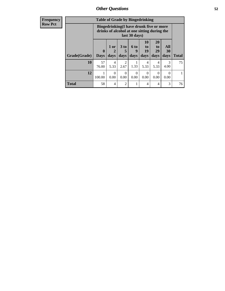**Frequency Row Pct**

| <b>Table of Grade by Bingedrinking</b> |                         |                                                                                                         |                        |                          |                        |                               |                          |              |
|----------------------------------------|-------------------------|---------------------------------------------------------------------------------------------------------|------------------------|--------------------------|------------------------|-------------------------------|--------------------------|--------------|
|                                        |                         | Bingedrinking(I have drunk five or more<br>drinks of alcohol at one sitting during the<br>last 30 days) |                        |                          |                        |                               |                          |              |
| <b>Grade</b> (Grade)                   | $\bf{0}$<br><b>Days</b> | 1 or<br>days                                                                                            | 3 to<br>days           | <b>6 to</b><br>9<br>days | 10<br>to<br>19<br>days | <b>20</b><br>to<br>29<br>days | All<br><b>30</b><br>days | <b>Total</b> |
| 10                                     | 57<br>76.00             | 4<br>5.33                                                                                               | $\overline{2}$<br>2.67 | 1.33                     | 4<br>5.33              | 4<br>5.33                     | 3<br>4.00                | 75           |
| 12                                     | 100.00                  | 0.00                                                                                                    | 0<br>0.00              | 0<br>0.00                | 0<br>0.00              | $\Omega$<br>0.00              | 0.00                     |              |
| <b>Total</b>                           | 58                      | 4                                                                                                       | $\overline{2}$         |                          | 4                      | 4                             | 3                        | 76           |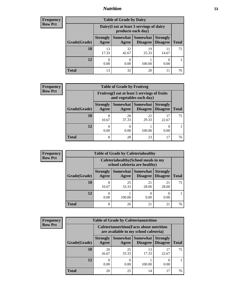## *Nutrition* **53**

| Frequency      |
|----------------|
| <b>Row Pct</b> |

| <b>Table of Grade by Dairy</b> |                          |                                                                                                        |             |             |    |  |  |
|--------------------------------|--------------------------|--------------------------------------------------------------------------------------------------------|-------------|-------------|----|--|--|
|                                |                          | Dairy (I eat at least 3 servings of dairy<br>products each day)                                        |             |             |    |  |  |
| Grade(Grade)                   | <b>Strongly</b><br>Agree | Somewhat<br><b>Somewhat</b><br><b>Strongly</b><br><b>Disagree</b><br>Disagree<br><b>Total</b><br>Agree |             |             |    |  |  |
| 10                             | 13<br>17.33              | 32<br>42.67                                                                                            | 19<br>25.33 | 11<br>14.67 | 75 |  |  |
| 12                             | 0.00                     | 0.00                                                                                                   | 100.00      | 0.00        |    |  |  |
| <b>Total</b>                   | 13                       | 32                                                                                                     | 20          | 11          | 76 |  |  |

| <b>Frequency</b> |
|------------------|
| <b>Row Pct</b>   |

| <b>Table of Grade by Fruitveg</b> |                                                                          |             |                                        |                                    |              |  |
|-----------------------------------|--------------------------------------------------------------------------|-------------|----------------------------------------|------------------------------------|--------------|--|
|                                   | Fruitveg(I eat at least 5 servings of fruits<br>and vegetables each day) |             |                                        |                                    |              |  |
| Grade(Grade)                      | <b>Strongly</b><br>Agree                                                 | Agree       | <b>Somewhat   Somewhat</b><br>Disagree | <b>Strongly</b><br><b>Disagree</b> | <b>Total</b> |  |
| 10                                | 8<br>10.67                                                               | 28<br>37.33 | 22<br>29.33                            | 22.67                              | 75           |  |
| 12                                | 0.00                                                                     | 0<br>0.00   | 100.00                                 | 0.00                               |              |  |
| <b>Total</b>                      | 8                                                                        | 28          | 23                                     | 17                                 | 76           |  |

**Total**

75

1

> $\overline{0}$ 0.00

| <b>Frequency</b> |              | <b>Table of Grade by Cafeteriahealthy</b>                             |             |                                 |                                    |  |
|------------------|--------------|-----------------------------------------------------------------------|-------------|---------------------------------|------------------------------------|--|
| <b>Row Pct</b>   |              | Cafeteriahealthy (School meals in my<br>school cafeteria are healthy) |             |                                 |                                    |  |
|                  | Grade(Grade) | <b>Strongly</b><br>Agree                                              | Agree       | Somewhat   Somewhat<br>Disagree | <b>Strongly</b><br><b>Disagree</b> |  |
|                  | 10           | 10.67                                                                 | 25<br>33.33 | 21<br>28.00                     | 21<br>28.00                        |  |
|                  | 12           | 0.00                                                                  | 100.00      | 0.00                            | $\theta$<br>0.00                   |  |

| <b>Frequency</b> |
|------------------|
| <b>Row Pct</b>   |

| <b>Table of Grade by Cafeterianutrition</b> |                                                                                                                       |                          |                                                                                           |             |             |              |  |  |  |
|---------------------------------------------|-----------------------------------------------------------------------------------------------------------------------|--------------------------|-------------------------------------------------------------------------------------------|-------------|-------------|--------------|--|--|--|
|                                             |                                                                                                                       |                          | <b>Cafeterianutrition</b> (Facts about nutrition<br>are available in my school cafeteria) |             |             |              |  |  |  |
|                                             | Somewhat<br><b>Strongly</b><br>Somewhat  <br><b>Strongly</b><br>Disagree   Disagree<br>Grade(Grade)<br>Agree<br>Agree |                          |                                                                                           |             |             | <b>Total</b> |  |  |  |
|                                             | 10                                                                                                                    | 20<br>26.67              | 25<br>33.33                                                                               | 13<br>17.33 | 17<br>22.67 | 75           |  |  |  |
|                                             | 12                                                                                                                    | $\left( \right)$<br>0.00 | 0.00                                                                                      | 100.00      | 0.00        |              |  |  |  |
|                                             | <b>Total</b>                                                                                                          | 20                       | 25                                                                                        | 14          | 17          | 76           |  |  |  |

**Total** 8 8 26 21 21 76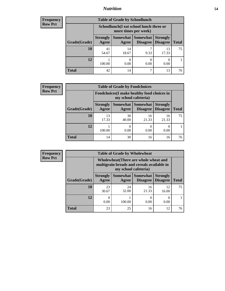## *Nutrition* **54**

| <b>Frequency</b><br>Row Pct |
|-----------------------------|
|                             |

| <b>Table of Grade by Schoollunch</b> |                          |                                                                                                          |      |             |    |  |  |  |
|--------------------------------------|--------------------------|----------------------------------------------------------------------------------------------------------|------|-------------|----|--|--|--|
|                                      |                          | Schoollunch(I eat school lunch three or<br>more times per week)                                          |      |             |    |  |  |  |
| Grade(Grade)                         | <b>Strongly</b><br>Agree | Somewhat  <br><b>Somewhat</b><br><b>Strongly</b><br><b>Disagree</b><br>Disagree<br><b>Total</b><br>Agree |      |             |    |  |  |  |
| 10                                   | 41<br>54.67              | 14<br>18.67                                                                                              | 9.33 | 13<br>17.33 | 75 |  |  |  |
| 12                                   | 100.00                   | 0.00                                                                                                     | 0.00 | 0.00        |    |  |  |  |
| <b>Total</b>                         | 42                       | 14                                                                                                       | ℸ    | 13          | 76 |  |  |  |

| <b>Frequency</b> |
|------------------|
| <b>Row Pct</b>   |

| <b>Table of Grade by Foodchoices</b>                                |                          |             |                                        |                                    |              |  |
|---------------------------------------------------------------------|--------------------------|-------------|----------------------------------------|------------------------------------|--------------|--|
| Foodchoices (I make healthy food choices in<br>my school cafeteria) |                          |             |                                        |                                    |              |  |
| Grade(Grade)                                                        | <b>Strongly</b><br>Agree | Agree       | <b>Somewhat   Somewhat</b><br>Disagree | <b>Strongly</b><br><b>Disagree</b> | <b>Total</b> |  |
| 10                                                                  | 13<br>17.33              | 30<br>40.00 | 16<br>21.33                            | 16<br>21.33                        | 75           |  |
| 12                                                                  | 100.00                   | 0.00        | 0<br>0.00                              | 0.00                               |              |  |
| <b>Total</b>                                                        | 14                       | 30          | 16                                     | 16                                 | 76           |  |

| <b>Frequency</b> | <b>Table of Grade by Wholewheat</b> |                                                                                                             |             |                                        |                                    |              |  |  |  |
|------------------|-------------------------------------|-------------------------------------------------------------------------------------------------------------|-------------|----------------------------------------|------------------------------------|--------------|--|--|--|
| <b>Row Pct</b>   |                                     | Wholewheat (There are whole wheat and<br>multigrain breads and cereals available in<br>my school cafeteria) |             |                                        |                                    |              |  |  |  |
|                  | Grade(Grade)                        | <b>Strongly</b><br>Agree                                                                                    | Agree       | Somewhat   Somewhat<br><b>Disagree</b> | <b>Strongly</b><br><b>Disagree</b> | <b>Total</b> |  |  |  |
|                  | 10                                  | 23<br>30.67                                                                                                 | 24<br>32.00 | 16<br>21.33                            | 12<br>16.00                        | 75           |  |  |  |
|                  | 12                                  | 0.00                                                                                                        | 100.00      | 0.00                                   | 0.00                               |              |  |  |  |
|                  | <b>Total</b>                        | 23                                                                                                          | 25          | 16                                     | 12                                 | 76           |  |  |  |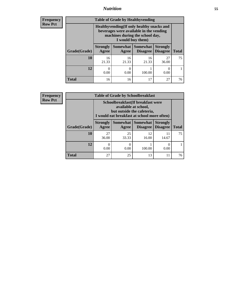## *Nutrition* **55**

**Frequency Row Pct**

| <b>Table of Grade by Healthyvending</b> |                                                                                                                                               |                          |                                    |                                    |              |  |  |  |
|-----------------------------------------|-----------------------------------------------------------------------------------------------------------------------------------------------|--------------------------|------------------------------------|------------------------------------|--------------|--|--|--|
|                                         | Healthyvending (If only healthy snacks and<br>beverages were available in the vending<br>machines during the school day,<br>I would buy them) |                          |                                    |                                    |              |  |  |  |
| Grade(Grade)                            | <b>Strongly</b><br>Agree                                                                                                                      | <b>Somewhat</b><br>Agree | <b>Somewhat</b><br><b>Disagree</b> | <b>Strongly</b><br><b>Disagree</b> | <b>Total</b> |  |  |  |
| 10                                      | 16<br>21.33                                                                                                                                   | 16<br>21.33              | 16<br>21.33                        | 27<br>36.00                        | 75           |  |  |  |
| 12                                      | 0.00                                                                                                                                          | $\mathbf{0}$<br>0.00     | 100.00                             | 0.00                               |              |  |  |  |
| Total                                   | 16                                                                                                                                            | 16                       | 17                                 | 27                                 | 76           |  |  |  |

**Frequency Row Pct**

| <b>Table of Grade by Schoolbreakfast</b> |                                                                                                                                         |             |             |             |    |  |  |  |
|------------------------------------------|-----------------------------------------------------------------------------------------------------------------------------------------|-------------|-------------|-------------|----|--|--|--|
|                                          | Schoolbreakfast (If breakfast were<br>available at school,<br>but outside the cafeteria,<br>I would eat breakfast at school more often) |             |             |             |    |  |  |  |
| Grade(Grade)                             | Somewhat Somewhat<br><b>Strongly</b><br><b>Strongly</b><br><b>Disagree</b><br><b>Total</b><br>Agree<br><b>Disagree</b><br>Agree         |             |             |             |    |  |  |  |
| 10                                       | 27<br>36.00                                                                                                                             | 25<br>33.33 | 12<br>16.00 | 11<br>14.67 | 75 |  |  |  |
| 12                                       | 0<br>0.00                                                                                                                               | 0.00        | 100.00      | 0.00        |    |  |  |  |
| <b>Total</b>                             | 27                                                                                                                                      | 25          | 13          | 11          | 76 |  |  |  |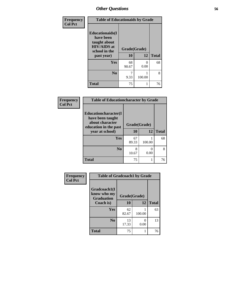| Frequency<br><b>Col Pct</b> | <b>Table of Educationaids by Grade</b>                                                                   |                    |           |              |  |  |
|-----------------------------|----------------------------------------------------------------------------------------------------------|--------------------|-----------|--------------|--|--|
|                             | <b>Educationaids(I</b><br>have been<br>taught about<br><b>HIV/AIDS</b> at<br>school in the<br>past year) | Grade(Grade)<br>10 | 12        | <b>Total</b> |  |  |
|                             | Yes                                                                                                      | 68<br>90.67        | 0<br>0.00 | 68           |  |  |
|                             | N <sub>0</sub>                                                                                           | 9.33               | 100.00    | 8            |  |  |
|                             | <b>Total</b>                                                                                             | 75                 |           | 76           |  |  |

| Frequency      | <b>Table of Educationcharacter by Grade</b>                                                  |              |        |              |
|----------------|----------------------------------------------------------------------------------------------|--------------|--------|--------------|
| <b>Col Pct</b> | <b>Educationcharacter(I)</b><br>have been taught<br>about character<br>education in the past | Grade(Grade) |        |              |
|                | year at school)                                                                              | <b>10</b>    | 12     | <b>Total</b> |
|                | Yes                                                                                          | 67<br>89.33  | 100.00 | 68           |
|                | N <sub>0</sub>                                                                               | 8<br>10.67   | 0.00   | 8            |
|                | <b>Total</b>                                                                                 | 75           | 1      | 76           |

| Frequency      | <b>Table of Gradcoach1 by Grade</b>              |              |        |              |
|----------------|--------------------------------------------------|--------------|--------|--------------|
| <b>Col Pct</b> | Gradcoach1(I<br>know who my<br><b>Graduation</b> | Grade(Grade) |        |              |
|                | Coach is)                                        | 10           | 12     | <b>Total</b> |
|                | Yes                                              | 62<br>82.67  | 100.00 | 63           |
|                | N <sub>0</sub>                                   | 13<br>17.33  | 0.00   | 13           |
|                | <b>Total</b>                                     | 75           | 1      | 76           |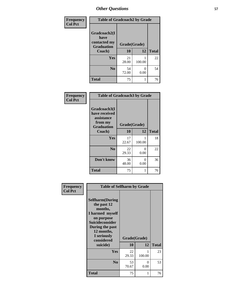| Frequency      | <b>Table of Gradcoach2 by Grade</b>       |              |                           |              |
|----------------|-------------------------------------------|--------------|---------------------------|--------------|
| <b>Col Pct</b> |                                           |              |                           |              |
|                | Gradcoach2(I                              |              |                           |              |
|                | have<br>contacted my<br><b>Graduation</b> | Grade(Grade) |                           |              |
|                | Coach)                                    | 10           | 12                        | <b>Total</b> |
|                | Yes                                       | 21<br>28.00  | 100.00                    | 22           |
|                | N <sub>0</sub>                            | 54<br>72.00  | $\mathbf{\Omega}$<br>0.00 | 54           |
|                | <b>Total</b>                              | 75           |                           | 76           |

| <b>Frequency</b><br><b>Col Pct</b> | <b>Table of Gradcoach3 by Grade</b>                    |              |             |              |
|------------------------------------|--------------------------------------------------------|--------------|-------------|--------------|
|                                    | Gradcoach3(I<br>have received<br>assistance<br>from my |              |             |              |
|                                    | <b>Graduation</b>                                      | Grade(Grade) |             |              |
|                                    | Coach)                                                 | 10           | 12          | <b>Total</b> |
|                                    | Yes                                                    | 17<br>22.67  | 1<br>100.00 | 18           |
|                                    | N <sub>0</sub>                                         | 22<br>29.33  | 0<br>0.00   | 22           |
|                                    | Don't know                                             | 36<br>48.00  | 0<br>0.00   | 36           |
|                                    | <b>Total</b>                                           | 75           | 1           | 76           |

| Frequency      | <b>Table of Selfharm by Grade</b>                                                                                                                                                      |                    |           |              |
|----------------|----------------------------------------------------------------------------------------------------------------------------------------------------------------------------------------|--------------------|-----------|--------------|
| <b>Col Pct</b> | <b>Selfharm</b> (During<br>the past 12<br>months,<br>I harmed myself<br>on purpose<br><b>Suicideconsider</b><br>During the past<br>12 months,<br>I seriously<br>considered<br>suicide) | Grade(Grade)<br>10 | 12        | <b>Total</b> |
|                |                                                                                                                                                                                        |                    |           |              |
|                | Yes                                                                                                                                                                                    | 22<br>29.33        | 100.00    | 23           |
|                | N <sub>0</sub>                                                                                                                                                                         | 53<br>70.67        | 0<br>0.00 | 53           |
|                | <b>Total</b>                                                                                                                                                                           | 75                 | 1         | 76           |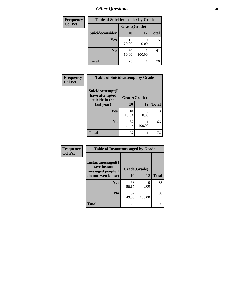| <b>Frequency</b> | <b>Table of Suicideconsider by Grade</b> |              |        |              |
|------------------|------------------------------------------|--------------|--------|--------------|
| <b>Col Pct</b>   |                                          | Grade(Grade) |        |              |
|                  | Suicideconsider                          | <b>10</b>    | 12     | <b>Total</b> |
|                  | <b>Yes</b>                               | 15<br>20.00  | 0.00   | 15           |
|                  | N <sub>0</sub>                           | 60<br>80.00  | 100.00 | 61           |
|                  | <b>Total</b>                             | 75           |        | 76           |

| Frequency      | <b>Table of Suicideattempt by Grade</b>              |              |           |              |
|----------------|------------------------------------------------------|--------------|-----------|--------------|
| <b>Col Pct</b> | Suicideattempt(I<br>have attempted<br>suicide in the | Grade(Grade) |           |              |
|                | last year)                                           | <b>10</b>    | 12        | <b>Total</b> |
|                | Yes                                                  | 10<br>13.33  | 0<br>0.00 | 10           |
|                | N <sub>0</sub>                                       | 65<br>86.67  | 100.00    | 66           |
|                | <b>Total</b>                                         | 75           |           | 76           |

| Frequency      | <b>Table of Instantmessaged by Grade</b>               |              |                           |              |
|----------------|--------------------------------------------------------|--------------|---------------------------|--------------|
| <b>Col Pct</b> | Instantmessaged(I<br>have instant<br>messaged people I | Grade(Grade) |                           |              |
|                | do not even know)                                      | 10           | 12                        | <b>Total</b> |
|                | Yes                                                    | 38<br>50.67  | $\mathbf{\Omega}$<br>0.00 | 38           |
|                | N <sub>0</sub>                                         | 37<br>49.33  | 100.00                    | 38           |
|                | <b>Total</b>                                           | 75           |                           | 76           |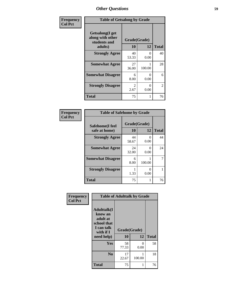| Frequency      | <b>Table of Getsalong by Grade</b>                          |                        |           |              |
|----------------|-------------------------------------------------------------|------------------------|-----------|--------------|
| <b>Col Pct</b> | <b>Getsalong</b> (I get<br>along with other<br>students and | Grade(Grade)           |           |              |
|                | adults)                                                     | 10                     | 12        | <b>Total</b> |
|                | <b>Strongly Agree</b>                                       | 40<br>53.33            | 0<br>0.00 | 40           |
|                | <b>Somewhat Agree</b>                                       | 27<br>36.00            | 100.00    | 28           |
|                | <b>Somewhat Disagree</b>                                    | 6<br>8.00              | 0<br>0.00 | 6            |
|                | <b>Strongly Disagree</b>                                    | $\mathfrak{D}$<br>2.67 | 0<br>0.00 | 2            |
|                | <b>Total</b>                                                | 75                     |           | 76           |

| Frequency      | <b>Table of Safehome by Grade</b> |                    |                       |              |
|----------------|-----------------------------------|--------------------|-----------------------|--------------|
| <b>Col Pct</b> | Safehome(I feel<br>safe at home)  | Grade(Grade)<br>10 | 12                    | <b>Total</b> |
|                | <b>Strongly Agree</b>             | 44<br>58.67        | $\mathcal{O}$<br>0.00 | 44           |
|                | <b>Somewhat Agree</b>             | 24<br>32.00        | 0.00                  | 24           |
|                | <b>Somewhat Disagree</b>          | 6<br>8.00          | 100.00                | 7            |
|                | <b>Strongly Disagree</b>          | 1.33               | 0.00                  |              |
|                | <b>Total</b>                      | 75                 |                       | 76           |

| Frequency      | <b>Table of Adulttalk by Grade</b>                                                                |                    |           |              |
|----------------|---------------------------------------------------------------------------------------------------|--------------------|-----------|--------------|
| <b>Col Pct</b> | <b>Adulttalk(I</b><br>know an<br>adult at<br>school that<br>I can talk<br>with if I<br>need help) | Grade(Grade)<br>10 | 12        | <b>Total</b> |
|                | Yes                                                                                               | 58<br>77.33        | 0<br>0.00 | 58           |
|                | N <sub>0</sub>                                                                                    | 17<br>22.67        | 100.00    | 18           |
|                | <b>Total</b>                                                                                      | 75                 | 1         | 76           |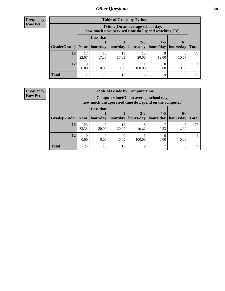| <b>Frequency</b> |
|------------------|
| <b>Row Pct</b>   |

| <b>Table of Grade by Tytime</b> |             |                                                                                         |             |             |                                  |                   |              |  |  |  |  |
|---------------------------------|-------------|-----------------------------------------------------------------------------------------|-------------|-------------|----------------------------------|-------------------|--------------|--|--|--|--|
|                                 |             | Tytime (On an average school day,<br>how much unsupervised time do I spend watching TV) |             |             |                                  |                   |              |  |  |  |  |
| Grade(Grade)   None   hour/day  |             | <b>Less that</b>                                                                        | hour/day    | $2 - 3$     | $4 - 5$<br>hours/day   hours/day | $6+$<br>hours/day | <b>Total</b> |  |  |  |  |
| <b>10</b>                       | 17<br>22.67 | 13<br>17.33                                                                             | 13<br>17.33 | 15<br>20.00 | 12.00                            | 8<br>10.67        | 75           |  |  |  |  |
| 12                              | 0.00        | 0.00                                                                                    | 0.00        | 100.00      | 0.00                             | 0.00              |              |  |  |  |  |
| <b>Total</b>                    | 17          | 13                                                                                      | 13          | 16          | q                                | 8                 | 76           |  |  |  |  |

#### **Frequency Row Pct**

| <b>Table of Grade by Computertime</b> |             |                                                                                                   |             |                      |                      |                   |              |  |  |  |
|---------------------------------------|-------------|---------------------------------------------------------------------------------------------------|-------------|----------------------|----------------------|-------------------|--------------|--|--|--|
|                                       |             | Computertime (On an average school day,<br>how much unsupervised time do I spend on the computer) |             |                      |                      |                   |              |  |  |  |
| Grade(Grade)                          | None        | <b>Less that</b><br>hour/day                                                                      | hour/day    | $2 - 3$<br>hours/day | $4 - 5$<br>hours/day | $6+$<br>hours/day | <b>Total</b> |  |  |  |
| 10                                    | 25<br>33.33 | 15<br>20.00                                                                                       | 15<br>20.00 | 8<br>10.67           | 9.33                 | 6.67              | 75           |  |  |  |
| 12                                    | 0.00        | 0.00                                                                                              | 0.00        | 100.00               | 0.00                 | 0.00              |              |  |  |  |
| <b>Total</b>                          | 25          | 15                                                                                                | 15          | Ω                    |                      |                   | 76           |  |  |  |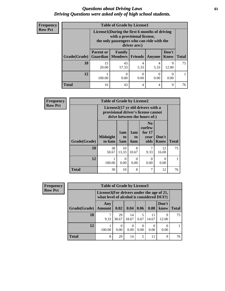### *Questions about Driving Laws* **61** *Driving Questions were asked only of high school students.*

| <b>Frequency</b> |
|------------------|
| <b>Row Pct</b>   |

| <b>Table of Grade by License1</b> |                  |                                                                                                                                           |                |               |                      |              |  |  |  |
|-----------------------------------|------------------|-------------------------------------------------------------------------------------------------------------------------------------------|----------------|---------------|----------------------|--------------|--|--|--|
|                                   |                  | License1(During the first 6 months of driving<br>with a provisional license,<br>the only passengers who can ride with the<br>driver are:) |                |               |                      |              |  |  |  |
| <b>Grade</b> (Grade)              | <b>Parent or</b> | Family<br><b>Guardian   Members  </b>                                                                                                     | <b>Friends</b> | <b>Anyone</b> | Don't<br><b>Know</b> | <b>Total</b> |  |  |  |
| <b>10</b>                         | 15<br>20.00      | 43<br>57.33                                                                                                                               | 4<br>5.33      | 4<br>5.33     | 9<br>12.00           | 75           |  |  |  |
| 12                                | 100.00           | $\left($<br>0.00                                                                                                                          | 0.00           | 0.00          | 0.00                 |              |  |  |  |
| <b>Total</b>                      | 16               | 43                                                                                                                                        | 4              | 4             | 9                    | 76           |  |  |  |

| <b>Frequency</b> |              | <b>Table of Grade by License2</b> |                              |                         |                                                                                                          |                      |              |  |  |  |  |
|------------------|--------------|-----------------------------------|------------------------------|-------------------------|----------------------------------------------------------------------------------------------------------|----------------------|--------------|--|--|--|--|
| <b>Row Pct</b>   |              |                                   |                              |                         | License2(17 yr old drivers with a<br>provisional driver's license cannot<br>drive between the hours of:) |                      |              |  |  |  |  |
|                  | Grade(Grade) | <b>Midnight</b><br>to 6am         | 1am<br>t <sub>0</sub><br>5am | 1am<br>to<br><b>6am</b> | N <sub>0</sub><br>curfew<br>for $17$<br>year<br>olds                                                     | Don't<br><b>Know</b> | <b>Total</b> |  |  |  |  |
|                  | 10           | 38<br>50.67                       | 10<br>13.33                  | 8<br>10.67              | 7<br>9.33                                                                                                | 12<br>16.00          | 75           |  |  |  |  |
|                  | 12           | 1<br>100.00                       | $\Omega$<br>0.00             | $\Omega$<br>0.00        | $\Omega$<br>0.00                                                                                         | $\Omega$<br>0.00     |              |  |  |  |  |
|                  | <b>Total</b> | 39                                | 10                           | 8                       | 7                                                                                                        | 12                   | 76           |  |  |  |  |

| <b>Frequency</b> |              | <b>Table of Grade by License3</b>                                                      |             |             |           |             |                  |              |
|------------------|--------------|----------------------------------------------------------------------------------------|-------------|-------------|-----------|-------------|------------------|--------------|
| <b>Row Pct</b>   |              | License3(For drivers under the age of 21,<br>what level of alcohol is considered DUI?) |             |             |           |             |                  |              |
|                  | Grade(Grade) | Any<br><b>Amount</b>                                                                   | 0.02        | 0.04        | 0.06      | 0.08        | Don't<br>know    | <b>Total</b> |
|                  | 10           | 9.33                                                                                   | 29<br>38.67 | 14<br>18.67 | 5<br>6.67 | 11<br>14.67 | 9<br>12.00       | 75           |
|                  | 12           | 100.00                                                                                 | 0.00        | 0<br>0.00   | 0.00      | 0.00        | $\Omega$<br>0.00 |              |
|                  | Total        | 8                                                                                      | 29          | 14          | 5         | 11          | 9                | 76           |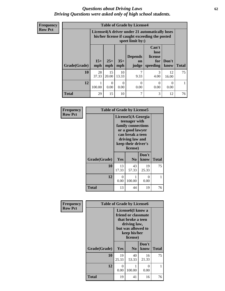### *Questions about Driving Laws* **62** *Driving Questions were asked only of high school students.*

| <b>Frequency</b> |
|------------------|
| <b>Row Pct</b>   |

| <b>Table of Grade by License4</b> |              |                                                                                                                      |              |                               |                                             |               |              |  |  |  |
|-----------------------------------|--------------|----------------------------------------------------------------------------------------------------------------------|--------------|-------------------------------|---------------------------------------------|---------------|--------------|--|--|--|
|                                   |              | License4(A driver under 21 automatically loses<br>his/her license if caught exceeding the posted<br>speet limit by:) |              |                               |                                             |               |              |  |  |  |
| Grade(Grade)                      | $15+$<br>mph | $25+$<br>mph                                                                                                         | $35+$<br>mph | <b>Depends</b><br>on<br>judge | Can't<br>lose<br>license<br>for<br>speeding | Don't<br>know | <b>Total</b> |  |  |  |
| 10                                | 28<br>37.33  | 15<br>20.00                                                                                                          | 10<br>13.33  | 7<br>9.33                     | 3<br>4.00                                   | 12<br>16.00   | 75           |  |  |  |
| 12                                | 100.00       | 0<br>0.00                                                                                                            | 0<br>0.00    | 0.00                          | 0<br>0.00                                   | ∩<br>0.00     |              |  |  |  |
| <b>Total</b>                      | 29           | 15                                                                                                                   | 10           | ┑                             | 3                                           | 12            | 76           |  |  |  |

| Frequency<br><b>Row Pct</b> | <b>Table of Grade by License5</b> |                  |                                                                                                                                                         |             |              |  |  |  |
|-----------------------------|-----------------------------------|------------------|---------------------------------------------------------------------------------------------------------------------------------------------------------|-------------|--------------|--|--|--|
|                             |                                   |                  | License5(A Georgia<br>teenager with<br>family connections<br>or a good lawyer<br>can break a teen<br>driving law and<br>keep their driver's<br>license) |             |              |  |  |  |
|                             |                                   |                  |                                                                                                                                                         | Don't       |              |  |  |  |
|                             | Grade(Grade)                      | <b>Yes</b>       | N <sub>0</sub>                                                                                                                                          | know        | <b>Total</b> |  |  |  |
|                             | 10                                | 13<br>17.33      | 43<br>57.33                                                                                                                                             | 19<br>25.33 | 75           |  |  |  |
|                             | 12                                | $\theta$<br>0.00 | 1<br>100.00                                                                                                                                             | 0<br>0.00   |              |  |  |  |
|                             | Total                             | 13               | 44                                                                                                                                                      | 19          | 76           |  |  |  |

| <b>Frequency</b> | <b>Table of Grade by License6</b> |             |                                                                                                                                              |               |              |  |
|------------------|-----------------------------------|-------------|----------------------------------------------------------------------------------------------------------------------------------------------|---------------|--------------|--|
| <b>Row Pct</b>   |                                   |             | License <sub>6</sub> (I know a<br>friend or classmate<br>that broke a teen<br>driving law,<br>but was allowed to<br>keep his/her<br>license) |               |              |  |
|                  | Grade(Grade)                      | Yes         | N <sub>0</sub>                                                                                                                               | Don't<br>know | <b>Total</b> |  |
|                  | 10                                | 19<br>25.33 | 40<br>53.33                                                                                                                                  | 16<br>21.33   | 75           |  |
|                  | 12                                | 0<br>0.00   | 100.00                                                                                                                                       | 0<br>0.00     | 1            |  |
|                  | <b>Total</b>                      | 19          | 41                                                                                                                                           | 16            | 76           |  |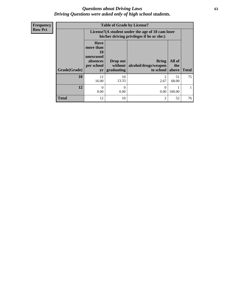### *Questions about Driving Laws* **63** *Driving Questions were asked only of high school students.*

**Frequency Row Pct**

| <b>Table of Grade by License7</b> |                                                                             |                                   |                                                                                               |                        |              |  |  |  |  |  |
|-----------------------------------|-----------------------------------------------------------------------------|-----------------------------------|-----------------------------------------------------------------------------------------------|------------------------|--------------|--|--|--|--|--|
|                                   |                                                                             |                                   | License7(A student under the age of 18 cam loser<br>his/her driving privileges if he or she:) |                        |              |  |  |  |  |  |
| Grade(Grade)                      | <b>Have</b><br>more than<br>10<br>unexcused<br>absences<br>per school<br>yr | Drop out<br>without<br>graduating | <b>Bring</b><br>alcohol/drugs/weapon<br>to school                                             | All of<br>the<br>above | <b>Total</b> |  |  |  |  |  |
|                                   |                                                                             |                                   |                                                                                               |                        |              |  |  |  |  |  |
| 10                                | 12<br>16.00                                                                 | 10<br>13.33                       | 2<br>2.67                                                                                     | 51<br>68.00            | 75           |  |  |  |  |  |
|                                   |                                                                             |                                   |                                                                                               |                        |              |  |  |  |  |  |
| 12                                | $\Omega$<br>0.00                                                            | 0<br>0.00                         | $\Omega$<br>0.00                                                                              | 100.00                 |              |  |  |  |  |  |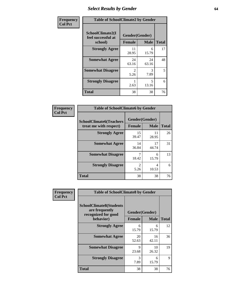# *Select Results by Gender* **64**

| Frequency      | <b>Table of SchoolClimate2 by Gender</b>          |                                     |             |              |  |  |
|----------------|---------------------------------------------------|-------------------------------------|-------------|--------------|--|--|
| <b>Col Pct</b> | SchoolClimate2(I<br>feel successful at<br>school) | Gender(Gender)<br><b>Female</b>     | <b>Male</b> | <b>Total</b> |  |  |
|                | <b>Strongly Agree</b>                             | 11<br>28.95                         | 6<br>15.79  | 17           |  |  |
|                | <b>Somewhat Agree</b>                             | 24<br>63.16                         | 24<br>63.16 | 48           |  |  |
|                | <b>Somewhat Disagree</b>                          | $\mathcal{D}_{\mathcal{L}}$<br>5.26 | 3<br>7.89   | 5            |  |  |
|                | <b>Strongly Disagree</b>                          | 2.63                                | 5<br>13.16  | 6            |  |  |
|                | <b>Total</b>                                      | 38                                  | 38          | 76           |  |  |

| <b>Frequency</b> | <b>Table of SchoolClimate6 by Gender</b>                 |                                 |                         |    |  |
|------------------|----------------------------------------------------------|---------------------------------|-------------------------|----|--|
| <b>Col Pct</b>   | <b>SchoolClimate6(Teachers</b><br>treat me with respect) | Gender(Gender)<br><b>Female</b> | <b>Total</b>            |    |  |
|                  |                                                          |                                 | <b>Male</b>             |    |  |
|                  | <b>Strongly Agree</b>                                    | 15<br>39.47                     | 11<br>28.95             | 26 |  |
|                  | <b>Somewhat Agree</b>                                    | 14<br>36.84                     | 17<br>44.74             | 31 |  |
|                  | <b>Somewhat Disagree</b>                                 | 18.42                           | 6<br>15.79              | 13 |  |
|                  | <b>Strongly Disagree</b>                                 | $\overline{2}$<br>5.26          | $\overline{4}$<br>10.53 | 6  |  |
|                  | <b>Total</b>                                             | 38                              | 38                      | 76 |  |

| Frequency      | <b>Table of SchoolClimate8 by Gender</b>                                             |                                 |             |              |
|----------------|--------------------------------------------------------------------------------------|---------------------------------|-------------|--------------|
| <b>Col Pct</b> | <b>SchoolClimate8(Students</b><br>are frequently<br>recognized for good<br>behavior) | Gender(Gender)<br><b>Female</b> | <b>Male</b> | <b>Total</b> |
|                | <b>Strongly Agree</b>                                                                | 6                               | 6           | 12           |
|                |                                                                                      | 15.79                           | 15.79       |              |
|                | <b>Somewhat Agree</b>                                                                | 20<br>52.63                     | 16<br>42.11 | 36           |
|                | <b>Somewhat Disagree</b>                                                             | $\mathbf Q$<br>23.68            | 10<br>26.32 | 19           |
|                | <b>Strongly Disagree</b>                                                             | 3<br>7.89                       | 6<br>15.79  | 9            |
|                | Total                                                                                | 38                              | 38          | 76           |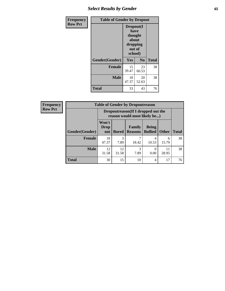# *Select Results by Gender* **65**

| Frequency      | <b>Table of Gender by Dropout</b> |                                                                        |                |              |
|----------------|-----------------------------------|------------------------------------------------------------------------|----------------|--------------|
| <b>Row Pct</b> |                                   | Dropout(I<br>have<br>thought<br>about<br>dropping<br>out of<br>school) |                |              |
|                | Gender(Gender)                    | Yes                                                                    | N <sub>0</sub> | <b>Total</b> |
|                | <b>Female</b>                     | 15<br>39.47                                                            | 23<br>60.53    | 38           |
|                | <b>Male</b>                       | 18<br>47.37                                                            | 20<br>52.63    | 38           |
|                | <b>Total</b>                      | 33                                                                     | 43             | 76           |

| <b>Frequency</b> | <b>Table of Gender by Dropoutreason</b> |                                                                    |              |                          |                                |              |              |
|------------------|-----------------------------------------|--------------------------------------------------------------------|--------------|--------------------------|--------------------------------|--------------|--------------|
| <b>Row Pct</b>   |                                         | Dropoutreason(If I dropped out the<br>reason would most likely be) |              |                          |                                |              |              |
|                  | Gender(Gender)                          | Won't<br>Drop<br>out                                               | <b>Bored</b> | Family<br><b>Reasons</b> | <b>Being</b><br><b>Bullied</b> | <b>Other</b> | <b>Total</b> |
|                  | <b>Female</b>                           | 18<br>47.37                                                        | 3<br>7.89    | 18.42                    | 4<br>10.53                     | 6<br>15.79   | 38           |
|                  | <b>Male</b>                             | 12<br>31.58                                                        | 12<br>31.58  | 3<br>7.89                | 0<br>0.00                      | 11<br>28.95  | 38           |
|                  | <b>Total</b>                            | 30                                                                 | 15           | 10                       | 4                              | 17           | 76           |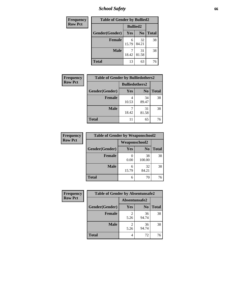*School Safety* **66**

| Frequency      | <b>Table of Gender by Bullied2</b> |                 |                |              |
|----------------|------------------------------------|-----------------|----------------|--------------|
| <b>Row Pct</b> |                                    | <b>Bullied2</b> |                |              |
|                | Gender(Gender)                     | Yes             | N <sub>0</sub> | <b>Total</b> |
|                | <b>Female</b>                      | 6<br>15.79      | 32<br>84.21    | 38           |
|                | <b>Male</b>                        | 18.42           | 31<br>81.58    | 38           |
|                | <b>Total</b>                       | 13              | 63             | 76           |

| <b>Frequency</b> | <b>Table of Gender by Bulliedothers2</b> |                       |                |              |
|------------------|------------------------------------------|-----------------------|----------------|--------------|
| <b>Row Pct</b>   |                                          | <b>Bulliedothers2</b> |                |              |
|                  | Gender(Gender)                           | Yes                   | N <sub>0</sub> | <b>Total</b> |
|                  | <b>Female</b>                            | 10.53                 | 34<br>89.47    | 38           |
|                  | <b>Male</b>                              | 18.42                 | 31<br>81.58    | 38           |
|                  | <b>Total</b>                             | 11                    | 65             | 76           |

| Frequency      | <b>Table of Gender by Weaponschool2</b> |                      |                |              |
|----------------|-----------------------------------------|----------------------|----------------|--------------|
| <b>Row Pct</b> |                                         | <b>Weaponschool2</b> |                |              |
|                | Gender(Gender)                          | Yes                  | N <sub>0</sub> | <b>Total</b> |
|                | <b>Female</b>                           | 0.00                 | 38<br>100.00   | 38           |
|                | <b>Male</b>                             | 6<br>15.79           | 32<br>84.21    | 38           |
|                | <b>Total</b>                            | 6                    | 70             | 76           |

| Frequency      | <b>Table of Gender by Absentunsafe2</b> |               |                |              |
|----------------|-----------------------------------------|---------------|----------------|--------------|
| <b>Row Pct</b> |                                         | Absentunsafe2 |                |              |
|                | Gender(Gender)                          | Yes           | N <sub>0</sub> | <b>Total</b> |
|                | <b>Female</b>                           | 5.26          | 36<br>94.74    | 38           |
|                | <b>Male</b>                             | 5.26          | 36<br>94.74    | 38           |
|                | <b>Total</b>                            | 4             | 72             | 76           |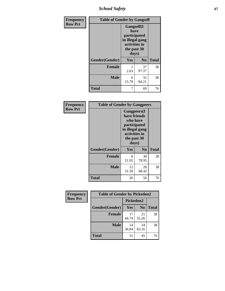*School Safety* **67**

| Frequency      | <b>Table of Gender by Gangself</b> |                                                                                                |                |              |
|----------------|------------------------------------|------------------------------------------------------------------------------------------------|----------------|--------------|
| <b>Row Pct</b> |                                    | Gangself(I<br>have<br>participated<br>in illegal gang<br>activities in<br>the past 30<br>days) |                |              |
|                | Gender(Gender)                     | Yes                                                                                            | N <sub>0</sub> | <b>Total</b> |
|                | <b>Female</b>                      | 2.63                                                                                           | 37<br>97.37    | 38           |
|                | <b>Male</b>                        | 6<br>15.79                                                                                     | 32<br>84.21    | 38           |
|                | <b>Total</b>                       | 7                                                                                              | 69             | 76           |

| Frequency      | <b>Table of Gender by Gangpeers</b> |                                                                                                                             |                |              |
|----------------|-------------------------------------|-----------------------------------------------------------------------------------------------------------------------------|----------------|--------------|
| <b>Row Pct</b> |                                     | <b>Gangpeers</b> (I<br>have friends<br>who have<br>participated<br>in illegal gang<br>activities in<br>the past 30<br>days) |                |              |
|                | Gender(Gender)                      | <b>Yes</b>                                                                                                                  | N <sub>0</sub> | <b>Total</b> |
|                | <b>Female</b>                       | 8<br>21.05                                                                                                                  | 30<br>78.95    | 38           |
|                | <b>Male</b>                         | 12<br>31.58                                                                                                                 | 26<br>68.42    | 38           |
|                | Total                               | 20                                                                                                                          | 56             | 76           |

| Frequency      | <b>Table of Gender by Pickedon2</b> |             |                |              |  |
|----------------|-------------------------------------|-------------|----------------|--------------|--|
| <b>Row Pct</b> |                                     | Pickedon2   |                |              |  |
|                | Gender(Gender)                      | <b>Yes</b>  | N <sub>0</sub> | <b>Total</b> |  |
|                | <b>Female</b>                       | 17<br>44.74 | 21<br>55.26    | 38           |  |
|                | <b>Male</b>                         | 14<br>36.84 | 24<br>63.16    | 38           |  |
|                | <b>Total</b>                        | 31          | 45             | 76           |  |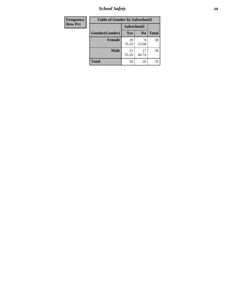*School Safety* **68**

| <b>Frequency</b> | <b>Table of Gender by Safeschool2</b> |             |                |              |  |
|------------------|---------------------------------------|-------------|----------------|--------------|--|
| <b>Row Pct</b>   |                                       | Safeschool2 |                |              |  |
|                  | Gender(Gender)                        | <b>Yes</b>  | N <sub>0</sub> | <b>Total</b> |  |
|                  | <b>Female</b>                         | 29<br>76.32 | q<br>23.68     | 38           |  |
|                  | <b>Male</b>                           | 21<br>55.26 | 17<br>44.74    | 38           |  |
|                  | <b>Total</b>                          | 50          | 26             | 76           |  |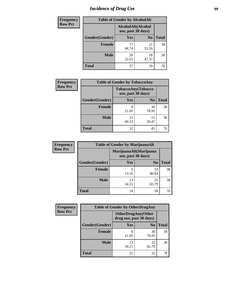# *Incidence of Drug Use* 69

| <b>Frequency</b> | <b>Table of Gender by AlcoholAlt</b> |                                          |                |              |  |
|------------------|--------------------------------------|------------------------------------------|----------------|--------------|--|
| <b>Row Pct</b>   |                                      | AlcoholAlt(Alcohol<br>use, past 30 days) |                |              |  |
|                  | Gender(Gender)                       | <b>Yes</b>                               | N <sub>0</sub> | <b>Total</b> |  |
|                  | <b>Female</b>                        | 17<br>44.74                              | 21<br>55.26    | 38           |  |
|                  | <b>Male</b>                          | 20<br>52.63                              | 18<br>47.37    | 38           |  |
|                  | <b>Total</b>                         | 37                                       | 39             | 76           |  |

| Frequency      | <b>Table of Gender by TobaccoAny</b> |                    |                    |              |  |
|----------------|--------------------------------------|--------------------|--------------------|--------------|--|
| <b>Row Pct</b> |                                      | use, past 30 days) | TobaccoAny(Tobacco |              |  |
|                | Gender(Gender)                       | Yes                | N <sub>0</sub>     | <b>Total</b> |  |
|                | <b>Female</b>                        | 8<br>21.05         | 30<br>78.95        | 38           |  |
|                | <b>Male</b>                          | 23<br>60.53        | 15<br>39.47        | 38           |  |
|                | <b>Total</b>                         | 31                 | 45                 | 76           |  |

| <b>Frequency</b> | <b>Table of Gender by MarijuanaAlt</b> |             |                                              |              |  |
|------------------|----------------------------------------|-------------|----------------------------------------------|--------------|--|
| <b>Row Pct</b>   |                                        |             | MarijuanaAlt(Marijuana<br>use, past 30 days) |              |  |
|                  | Gender(Gender)                         | <b>Yes</b>  | N <sub>0</sub>                               | <b>Total</b> |  |
|                  | Female                                 | 5<br>13.16  | 33<br>86.84                                  | 38           |  |
|                  | <b>Male</b>                            | 13<br>34.21 | 25<br>65.79                                  | 38           |  |
|                  | <b>Total</b>                           | 18          | 58                                           | 76           |  |

| <b>Frequency</b> | <b>Table of Gender by OtherDrugAny</b> |                                                      |                |              |  |
|------------------|----------------------------------------|------------------------------------------------------|----------------|--------------|--|
| <b>Row Pct</b>   |                                        | <b>OtherDrugAny(Other</b><br>drug use, past 30 days) |                |              |  |
|                  | Gender(Gender)                         | <b>Yes</b>                                           | N <sub>0</sub> | <b>Total</b> |  |
|                  | <b>Female</b>                          | 8<br>21.05                                           | 30<br>78.95    | 38           |  |
|                  | <b>Male</b>                            | 13<br>34.21                                          | 25<br>65.79    | 38           |  |
|                  | <b>Total</b>                           | 21                                                   | 55             | 76           |  |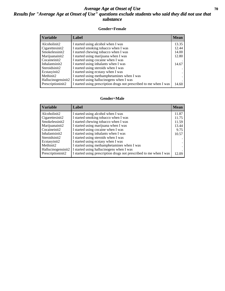### *Average Age at Onset of Use* **70** *Results for "Average Age at Onset of Use" questions exclude students who said they did not use that substance*

#### **Gender=Female**

| Variable           | <b>Label</b>                                                       | <b>Mean</b> |
|--------------------|--------------------------------------------------------------------|-------------|
| Alcoholinit2       | I started using alcohol when I was                                 | 13.35       |
| Cigarettesinit2    | I started smoking tobacco when I was                               | 12.44       |
| Smokelessinit2     | I started chewing tobacco when I was                               | 14.00       |
| Marijuanainit2     | I started using marijuana when I was                               | 12.80       |
| Cocaineinit2       | I started using cocaine when I was                                 |             |
| Inhalantsinit2     | I started using inhalants when I was                               | 14.67       |
| Steroidsinit2      | I started using steroids when I was                                |             |
| Ecstasyinit2       | I started using ecstasy when I was                                 |             |
| Methinit2          | I started using methamphetamines when I was                        |             |
| Hallucinogensinit2 | I started using hallucinogens when I was                           |             |
| Prescription in t2 | I started using prescription drugs not prescribed to me when I was | 14.60       |

#### **Gender=Male**

| <b>Variable</b>                 | Label                                                              | <b>Mean</b> |
|---------------------------------|--------------------------------------------------------------------|-------------|
| Alcoholinit2                    | I started using alcohol when I was                                 | 11.87       |
| Cigarettesinit2                 | I started smoking tobacco when I was                               | 11.75       |
| Smokelessinit2                  | I started chewing tobacco when I was                               | 11.59       |
| Marijuanainit2                  | I started using marijuana when I was                               | 13.44       |
| Cocaineinit2                    | I started using cocaine when I was                                 | 9.75        |
| Inhalantsinit2                  | I started using inhalants when I was                               | 10.57       |
| Steroidsinit2                   | I started using steroids when I was                                |             |
| Ecstasyinit2                    | I started using ecstasy when I was                                 |             |
| Methinit2                       | I started using methamphetamines when I was                        |             |
| Hallucinogensinit2              | I started using hallucinogens when I was                           |             |
| Prescription in it <sub>2</sub> | I started using prescription drugs not prescribed to me when I was | 12.09       |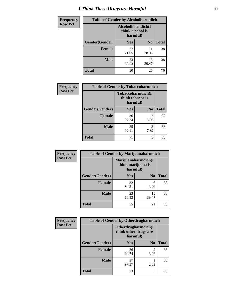# *I Think These Drugs are Harmful* **71**

| Frequency      | <b>Table of Gender by Alcoholharmdich</b> |                                                   |                |              |
|----------------|-------------------------------------------|---------------------------------------------------|----------------|--------------|
| <b>Row Pct</b> |                                           | Alcoholharmdich(I<br>think alcohol is<br>harmful) |                |              |
|                | Gender(Gender)                            | <b>Yes</b>                                        | N <sub>0</sub> | <b>Total</b> |
|                | <b>Female</b>                             | 27<br>71.05                                       | 11<br>28.95    | 38           |
|                | <b>Male</b>                               | 23<br>60.53                                       | 15<br>39.47    | 38           |
|                | <b>Total</b>                              | 50                                                | 26             | 76           |

| Frequency      | <b>Table of Gender by Tobaccoharmdich</b> |                  |                               |              |
|----------------|-------------------------------------------|------------------|-------------------------------|--------------|
| <b>Row Pct</b> |                                           | think tobacco is | Tobaccoharmdich(I<br>harmful) |              |
|                | Gender(Gender)                            | Yes              | N <sub>0</sub>                | <b>Total</b> |
|                | <b>Female</b>                             | 36<br>94.74      | 2<br>5.26                     | 38           |
|                | <b>Male</b>                               | 35<br>92.11      | 3<br>7.89                     | 38           |
|                | <b>Total</b>                              | 71               | 5                             | 76           |

| Frequency      | <b>Table of Gender by Marijuanaharmdich</b> |                                |                     |              |  |
|----------------|---------------------------------------------|--------------------------------|---------------------|--------------|--|
| <b>Row Pct</b> |                                             | think marijuana is<br>harmful) | Marijuanaharmdich(I |              |  |
|                | Gender(Gender)                              | <b>Yes</b>                     | N <sub>0</sub>      | <b>Total</b> |  |
|                | <b>Female</b>                               | 32<br>84.21                    | 6<br>15.79          | 38           |  |
|                | <b>Male</b>                                 | 23<br>60.53                    | 15<br>39.47         | 38           |  |
|                | <b>Total</b>                                | 55                             | 21                  | 76           |  |

| Frequency      | <b>Table of Gender by Otherdrugharmdich</b> |                                                          |                        |              |
|----------------|---------------------------------------------|----------------------------------------------------------|------------------------|--------------|
| <b>Row Pct</b> |                                             | Otherdrugharmdich(I<br>think other drugs are<br>harmful) |                        |              |
|                | Gender(Gender)                              | <b>Yes</b>                                               | N <sub>0</sub>         | <b>Total</b> |
|                | <b>Female</b>                               | 36<br>94.74                                              | $\overline{2}$<br>5.26 | 38           |
|                | <b>Male</b>                                 | 37<br>97.37                                              | 2.63                   | 38           |
|                | <b>Total</b>                                | 73                                                       | 3                      | 76           |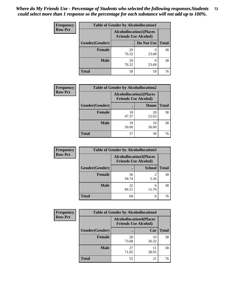| <b>Frequency</b> | <b>Table of Gender by Alcohollocation1</b> |                                                               |            |              |
|------------------|--------------------------------------------|---------------------------------------------------------------|------------|--------------|
| <b>Row Pct</b>   |                                            | <b>Alcohollocation1(Places</b><br><b>Friends Use Alcohol)</b> |            |              |
|                  | Gender(Gender)                             |                                                               | Do Not Use | <b>Total</b> |
|                  | <b>Female</b>                              | 29<br>76.32                                                   | q<br>23.68 | 38           |
|                  | <b>Male</b>                                | 29<br>76.32                                                   | Q<br>23.68 | 38           |
|                  | Total                                      | 58                                                            | 18         | 76           |

| <b>Frequency</b> |                | <b>Table of Gender by Alcohollocation2</b> |                                                               |              |
|------------------|----------------|--------------------------------------------|---------------------------------------------------------------|--------------|
| <b>Row Pct</b>   |                |                                            | <b>Alcohollocation2(Places</b><br><b>Friends Use Alcohol)</b> |              |
|                  | Gender(Gender) |                                            | Home                                                          | <b>Total</b> |
|                  | <b>Female</b>  | 18<br>47.37                                | 20<br>52.63                                                   | 38           |
|                  | <b>Male</b>    | 19<br>50.00                                | 19<br>50.00                                                   | 38           |
|                  | <b>Total</b>   | 37                                         | 39                                                            | 76           |

| Frequency      | <b>Table of Gender by Alcohollocation3</b> |                                                               |               |              |
|----------------|--------------------------------------------|---------------------------------------------------------------|---------------|--------------|
| <b>Row Pct</b> |                                            | <b>Alcohollocation3(Places</b><br><b>Friends Use Alcohol)</b> |               |              |
|                | Gender(Gender)                             |                                                               | <b>School</b> | <b>Total</b> |
|                | <b>Female</b>                              | 36<br>94.74                                                   | 2<br>5.26     | 38           |
|                | <b>Male</b>                                | 32<br>84.21                                                   | 6<br>15.79    | 38           |
|                | <b>Total</b>                               | 68                                                            | 8             | 76           |

| <b>Frequency</b> | <b>Table of Gender by Alcohollocation4</b> |                                                               |             |              |  |
|------------------|--------------------------------------------|---------------------------------------------------------------|-------------|--------------|--|
| <b>Row Pct</b>   |                                            | <b>Alcohollocation4(Places</b><br><b>Friends Use Alcohol)</b> |             |              |  |
|                  | Gender(Gender)                             |                                                               | Car         | <b>Total</b> |  |
|                  | <b>Female</b>                              | 28<br>73.68                                                   | 10<br>26.32 | 38           |  |
|                  | <b>Male</b>                                | 27<br>71.05                                                   | 11<br>28.95 | 38           |  |
|                  | <b>Total</b>                               | 55                                                            | 21          | 76           |  |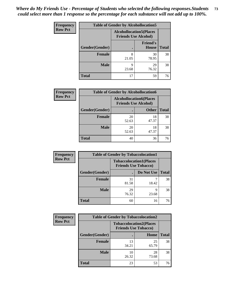| <b>Frequency</b> | <b>Table of Gender by Alcohollocation5</b> |                                                                |                                 |              |
|------------------|--------------------------------------------|----------------------------------------------------------------|---------------------------------|--------------|
| <b>Row Pct</b>   |                                            | <b>Alcohollocation5</b> (Places<br><b>Friends Use Alcohol)</b> |                                 |              |
|                  | Gender(Gender)                             |                                                                | <b>Friend's</b><br><b>House</b> | <b>Total</b> |
|                  | <b>Female</b>                              | 8<br>21.05                                                     | 30<br>78.95                     | 38           |
|                  | <b>Male</b>                                | 9<br>23.68                                                     | 29<br>76.32                     | 38           |
|                  | <b>Total</b>                               | 17                                                             | 59                              | 76           |

| Frequency      | <b>Table of Gender by Alcohollocation6</b> |                                                               |              |              |  |
|----------------|--------------------------------------------|---------------------------------------------------------------|--------------|--------------|--|
| <b>Row Pct</b> |                                            | <b>Alcohollocation6(Places</b><br><b>Friends Use Alcohol)</b> |              |              |  |
|                | Gender(Gender)                             |                                                               | <b>Other</b> | <b>Total</b> |  |
|                | <b>Female</b>                              | 20<br>52.63                                                   | 18<br>47.37  | 38           |  |
|                | <b>Male</b>                                | 20<br>52.63                                                   | 18<br>47.37  | 38           |  |
|                | <b>Total</b>                               | 40                                                            | 36           | 76           |  |

| Frequency      | <b>Table of Gender by Tobaccolocation1</b> |                                                               |            |              |  |
|----------------|--------------------------------------------|---------------------------------------------------------------|------------|--------------|--|
| <b>Row Pct</b> |                                            | <b>Tobaccolocation1(Places</b><br><b>Friends Use Tobacco)</b> |            |              |  |
|                | Gender(Gender)                             |                                                               | Do Not Use | <b>Total</b> |  |
|                | Female                                     | 31<br>81.58                                                   | 18.42      | 38           |  |
|                | <b>Male</b>                                | 29<br>76.32                                                   | q<br>23.68 | 38           |  |
|                | <b>Total</b>                               | 60                                                            | 16         | 76           |  |

| <b>Frequency</b> |                | <b>Table of Gender by Tobaccolocation2</b> |                                |              |
|------------------|----------------|--------------------------------------------|--------------------------------|--------------|
| <b>Row Pct</b>   |                | <b>Friends Use Tobacco)</b>                | <b>Tobaccolocation2(Places</b> |              |
|                  | Gender(Gender) |                                            | Home                           | <b>Total</b> |
|                  | Female         | 13<br>34.21                                | 25<br>65.79                    | 38           |
|                  | <b>Male</b>    | 10<br>26.32                                | 28<br>73.68                    | 38           |
|                  | <b>Total</b>   | 23                                         | 53                             | 76           |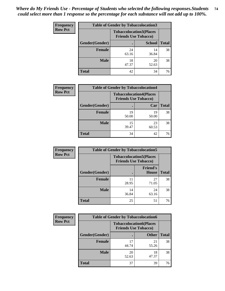| <b>Frequency</b> | <b>Table of Gender by Tobaccolocation3</b> |             |                                                               |              |
|------------------|--------------------------------------------|-------------|---------------------------------------------------------------|--------------|
| <b>Row Pct</b>   |                                            |             | <b>Tobaccolocation3(Places</b><br><b>Friends Use Tobacco)</b> |              |
|                  | Gender(Gender)                             |             | <b>School</b>                                                 | <b>Total</b> |
|                  | Female                                     | 24<br>63.16 | 14<br>36.84                                                   | 38           |
|                  | <b>Male</b>                                | 18<br>47.37 | 20<br>52.63                                                   | 38           |
|                  | <b>Total</b>                               | 42          | 34                                                            | 76           |

| <b>Frequency</b> | <b>Table of Gender by Tobaccolocation4</b> |             |                                                               |              |
|------------------|--------------------------------------------|-------------|---------------------------------------------------------------|--------------|
| <b>Row Pct</b>   |                                            |             | <b>Tobaccolocation4(Places</b><br><b>Friends Use Tobacco)</b> |              |
|                  | Gender(Gender)                             |             | Car                                                           | <b>Total</b> |
|                  | Female                                     | 19<br>50.00 | 19<br>50.00                                                   | 38           |
|                  | <b>Male</b>                                | 15<br>39.47 | 23<br>60.53                                                   | 38           |
|                  | <b>Total</b>                               | 34          | 42                                                            | 76           |

| <b>Frequency</b> | <b>Table of Gender by Tobaccolocation5</b> |                                                               |                          |              |
|------------------|--------------------------------------------|---------------------------------------------------------------|--------------------------|--------------|
| <b>Row Pct</b>   |                                            | <b>Tobaccolocation5(Places</b><br><b>Friends Use Tobacco)</b> |                          |              |
|                  | Gender(Gender)                             |                                                               | <b>Friend's</b><br>House | <b>Total</b> |
|                  | <b>Female</b>                              | 11<br>28.95                                                   | 27<br>71.05              | 38           |
|                  | <b>Male</b>                                | 14<br>36.84                                                   | 24<br>63.16              | 38           |
|                  | <b>Total</b>                               | 25                                                            | 51                       | 76           |

| <b>Frequency</b> | <b>Table of Gender by Tobaccolocation6</b> |                                                               |              |              |
|------------------|--------------------------------------------|---------------------------------------------------------------|--------------|--------------|
| <b>Row Pct</b>   |                                            | <b>Tobaccolocation6(Places</b><br><b>Friends Use Tobacco)</b> |              |              |
|                  | Gender(Gender)                             |                                                               | <b>Other</b> | <b>Total</b> |
|                  | Female                                     | 17<br>44.74                                                   | 21<br>55.26  | 38           |
|                  | <b>Male</b>                                | 20<br>52.63                                                   | 18<br>47.37  | 38           |
|                  | <b>Total</b>                               | 37                                                            | 39           | 76           |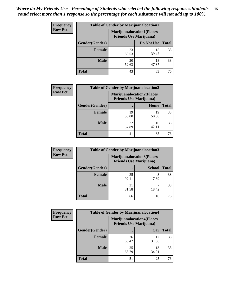| <b>Frequency</b> | <b>Table of Gender by Marijuanalocation1</b> |                                                                    |             |              |
|------------------|----------------------------------------------|--------------------------------------------------------------------|-------------|--------------|
| <b>Row Pct</b>   |                                              | <b>Marijuanalocation1(Places</b><br><b>Friends Use Marijuana</b> ) |             |              |
|                  | Gender(Gender)                               |                                                                    | Do Not Use  | <b>Total</b> |
|                  | <b>Female</b>                                | 23<br>60.53                                                        | 15<br>39.47 | 38           |
|                  | <b>Male</b>                                  | 20<br>52.63                                                        | 18<br>47.37 | 38           |
|                  | <b>Total</b>                                 | 43                                                                 | 33          | 76           |

| <b>Frequency</b> | <b>Table of Gender by Marijuanalocation2</b> |             |                                                                    |              |
|------------------|----------------------------------------------|-------------|--------------------------------------------------------------------|--------------|
| <b>Row Pct</b>   |                                              |             | <b>Marijuanalocation2(Places</b><br><b>Friends Use Marijuana</b> ) |              |
|                  | Gender(Gender)                               |             | Home                                                               | <b>Total</b> |
|                  | <b>Female</b>                                | 19<br>50.00 | 19<br>50.00                                                        | 38           |
|                  | <b>Male</b>                                  | 22<br>57.89 | 16<br>42.11                                                        | 38           |
|                  | <b>Total</b>                                 | 41          | 35                                                                 | 76           |

| Frequency      | <b>Table of Gender by Marijuanalocation3</b> |                                                                     |               |              |
|----------------|----------------------------------------------|---------------------------------------------------------------------|---------------|--------------|
| <b>Row Pct</b> |                                              | <b>Marijuanalocation3(Places)</b><br><b>Friends Use Marijuana</b> ) |               |              |
|                | Gender(Gender)                               |                                                                     | <b>School</b> | <b>Total</b> |
|                | Female                                       | 35<br>92.11                                                         | 7.89          | 38           |
|                | <b>Male</b>                                  | 31<br>81.58                                                         | 18.42         | 38           |
|                | <b>Total</b>                                 | 66                                                                  | 10            | 76           |

| Frequency      | <b>Table of Gender by Marijuanalocation4</b> |                                |                                  |              |
|----------------|----------------------------------------------|--------------------------------|----------------------------------|--------------|
| <b>Row Pct</b> |                                              | <b>Friends Use Marijuana</b> ) | <b>Marijuanalocation4(Places</b> |              |
|                | Gender(Gender)                               |                                | Car                              | <b>Total</b> |
|                | Female                                       | 26<br>68.42                    | 12<br>31.58                      | 38           |
|                | <b>Male</b>                                  | 25<br>65.79                    | 13<br>34.21                      | 38           |
|                | <b>Total</b>                                 | 51                             | 25                               | 76           |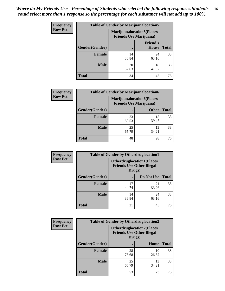| Frequency      | <b>Table of Gender by Marijuanalocation5</b> |                                                                    |                                 |              |
|----------------|----------------------------------------------|--------------------------------------------------------------------|---------------------------------|--------------|
| <b>Row Pct</b> |                                              | <b>Marijuanalocation5(Places</b><br><b>Friends Use Marijuana</b> ) |                                 |              |
|                | Gender(Gender)                               |                                                                    | <b>Friend's</b><br><b>House</b> | <b>Total</b> |
|                | Female                                       | 14<br>36.84                                                        | 24<br>63.16                     | 38           |
|                | <b>Male</b>                                  | 20<br>52.63                                                        | 18<br>47.37                     | 38           |
|                | <b>Total</b>                                 | 34                                                                 | 42                              | 76           |

| <b>Frequency</b> | <b>Table of Gender by Marijuanalocation6</b> |                                |                                  |              |
|------------------|----------------------------------------------|--------------------------------|----------------------------------|--------------|
| <b>Row Pct</b>   |                                              | <b>Friends Use Marijuana</b> ) | <b>Marijuanalocation6(Places</b> |              |
|                  | Gender(Gender)                               |                                | <b>Other</b>                     | <b>Total</b> |
|                  | <b>Female</b>                                | 23<br>60.53                    | 15<br>39.47                      | 38           |
|                  | <b>Male</b>                                  | 25<br>65.79                    | 13<br>34.21                      | 38           |
|                  | <b>Total</b>                                 | 48                             | 28                               | 76           |

| <b>Frequency</b> | <b>Table of Gender by Otherdruglocation1</b> |                                                                                |             |              |
|------------------|----------------------------------------------|--------------------------------------------------------------------------------|-------------|--------------|
| <b>Row Pct</b>   |                                              | <b>Otherdruglocation1(Places</b><br><b>Friends Use Other Illegal</b><br>Drugs) |             |              |
|                  | Gender(Gender)                               |                                                                                | Do Not Use  | <b>Total</b> |
|                  | Female                                       | 44.74                                                                          | 21<br>55.26 | 38           |
|                  | <b>Male</b>                                  | 14<br>36.84                                                                    | 24<br>63.16 | 38           |
|                  | <b>Total</b>                                 | 31                                                                             | 45          | 76           |

| <b>Frequency</b> | <b>Table of Gender by Otherdruglocation2</b> |                                                                                |             |              |
|------------------|----------------------------------------------|--------------------------------------------------------------------------------|-------------|--------------|
| <b>Row Pct</b>   |                                              | <b>Otherdruglocation2(Places</b><br><b>Friends Use Other Illegal</b><br>Drugs) |             |              |
|                  | Gender(Gender)                               |                                                                                | Home        | <b>Total</b> |
|                  | <b>Female</b>                                | 28<br>73.68                                                                    | 10<br>26.32 | 38           |
|                  | <b>Male</b>                                  | 25<br>65.79                                                                    | 13<br>34.21 | 38           |
|                  | <b>Total</b>                                 | 53                                                                             | 23          | 76           |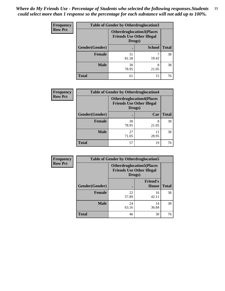| <b>Frequency</b> | <b>Table of Gender by Otherdruglocation3</b> |                                                                                |               |              |
|------------------|----------------------------------------------|--------------------------------------------------------------------------------|---------------|--------------|
| <b>Row Pct</b>   |                                              | <b>Otherdruglocation3(Places</b><br><b>Friends Use Other Illegal</b><br>Drugs) |               |              |
|                  | Gender(Gender)                               |                                                                                | <b>School</b> | <b>Total</b> |
|                  | Female                                       | 31<br>81.58                                                                    | 18.42         | 38           |
|                  | <b>Male</b>                                  | 30<br>78.95                                                                    | 8<br>21.05    | 38           |
|                  | <b>Total</b>                                 | 61                                                                             | 15            | 76           |

| Frequency      | <b>Table of Gender by Otherdruglocation4</b> |                                            |                                  |              |
|----------------|----------------------------------------------|--------------------------------------------|----------------------------------|--------------|
| <b>Row Pct</b> |                                              | <b>Friends Use Other Illegal</b><br>Drugs) | <b>Otherdruglocation4(Places</b> |              |
|                | Gender(Gender)                               |                                            | Car                              | <b>Total</b> |
|                | Female                                       | 30<br>78.95                                | 8<br>21.05                       | 38           |
|                | <b>Male</b>                                  | 27<br>71.05                                | 11<br>28.95                      | 38           |
|                | <b>Total</b>                                 | 57                                         | 19                               | 76           |

| <b>Frequency</b> | <b>Table of Gender by Otherdruglocation5</b> |                                            |                                  |              |
|------------------|----------------------------------------------|--------------------------------------------|----------------------------------|--------------|
| <b>Row Pct</b>   |                                              | <b>Friends Use Other Illegal</b><br>Drugs) | <b>Otherdruglocation5(Places</b> |              |
|                  | Gender(Gender)                               |                                            | <b>Friend's</b><br><b>House</b>  | <b>Total</b> |
|                  | <b>Female</b>                                | 22<br>57.89                                | 16<br>42.11                      | 38           |
|                  | <b>Male</b>                                  | 24<br>63.16                                | 14<br>36.84                      | 38           |
|                  | <b>Total</b>                                 | 46                                         | 30                               | 76           |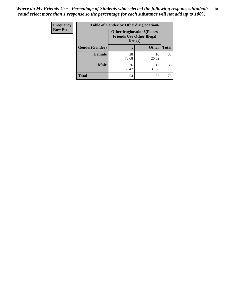| <b>Frequency</b> | <b>Table of Gender by Otherdruglocation6</b> |                                                                                |              |              |
|------------------|----------------------------------------------|--------------------------------------------------------------------------------|--------------|--------------|
| <b>Row Pct</b>   |                                              | <b>Otherdruglocation6(Places</b><br><b>Friends Use Other Illegal</b><br>Drugs) |              |              |
|                  | Gender(Gender)                               |                                                                                | <b>Other</b> | <b>Total</b> |
|                  | Female                                       | 28<br>73.68                                                                    | 10<br>26.32  | 38           |
|                  | <b>Male</b>                                  | 26<br>68.42                                                                    | 12<br>31.58  | 38           |
|                  | <b>Total</b>                                 | 54                                                                             | 22           | 76           |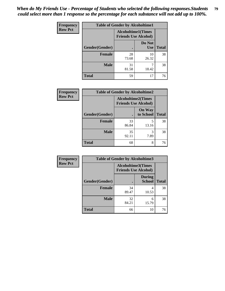| Frequency      | <b>Table of Gender by Alcoholtime1</b> |                                                          |                      |              |
|----------------|----------------------------------------|----------------------------------------------------------|----------------------|--------------|
| <b>Row Pct</b> |                                        | <b>Alcoholtime1(Times</b><br><b>Friends Use Alcohol)</b> |                      |              |
|                | Gender(Gender)                         |                                                          | Do Not<br><b>Use</b> | <b>Total</b> |
|                | <b>Female</b>                          | 28<br>73.68                                              | 10<br>26.32          | 38           |
|                | <b>Male</b>                            | 31<br>81.58                                              | 18.42                | 38           |
|                | <b>Total</b>                           | 59                                                       | 17                   | 76           |

| <b>Frequency</b> | <b>Table of Gender by Alcoholtime2</b> |                                                          |                            |              |
|------------------|----------------------------------------|----------------------------------------------------------|----------------------------|--------------|
| <b>Row Pct</b>   |                                        | <b>Alcoholtime2(Times</b><br><b>Friends Use Alcohol)</b> |                            |              |
|                  | Gender(Gender)                         |                                                          | <b>On Way</b><br>to School | <b>Total</b> |
|                  | <b>Female</b>                          | 33<br>86.84                                              | 5<br>13.16                 | 38           |
|                  | <b>Male</b>                            | 35<br>92.11                                              | 3<br>7.89                  | 38           |
|                  | <b>Total</b>                           | 68                                                       | 8                          | 76           |

| Frequency      | <b>Table of Gender by Alcoholtime3</b> |                                                          |                         |              |
|----------------|----------------------------------------|----------------------------------------------------------|-------------------------|--------------|
| <b>Row Pct</b> |                                        | <b>Alcoholtime3(Times</b><br><b>Friends Use Alcohol)</b> |                         |              |
|                | Gender(Gender)                         |                                                          | <b>During</b><br>School | <b>Total</b> |
|                | <b>Female</b>                          | 34<br>89.47                                              | 4<br>10.53              | 38           |
|                | <b>Male</b>                            | 32<br>84.21                                              | 6<br>15.79              | 38           |
|                | <b>Total</b>                           | 66                                                       | 10                      | 76           |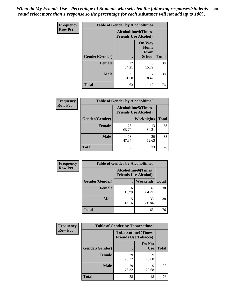*When do My Friends Use - Percentage of Students who selected the following responses.Students could select more than 1 response so the percentage for each substance will not add up to 100%.* **80**

| <b>Frequency</b> | <b>Table of Gender by Alcoholtime4</b> |                                                          |                                         |              |
|------------------|----------------------------------------|----------------------------------------------------------|-----------------------------------------|--------------|
| <b>Row Pct</b>   |                                        | <b>Alcoholtime4(Times</b><br><b>Friends Use Alcohol)</b> |                                         |              |
|                  | Gender(Gender)                         | $\bullet$                                                | <b>On Way</b><br>Home<br>From<br>School | <b>Total</b> |
|                  | <b>Female</b>                          | 32<br>84.21                                              | 6<br>15.79                              | 38           |
|                  | <b>Male</b>                            | 31<br>81.58                                              | 7<br>18.42                              | 38           |
|                  | <b>Total</b>                           | 63                                                       | 13                                      | 76           |

| <b>Frequency</b> | <b>Table of Gender by Alcoholtime5</b> |                                                           |                   |              |
|------------------|----------------------------------------|-----------------------------------------------------------|-------------------|--------------|
| <b>Row Pct</b>   |                                        | <b>Alcoholtime5</b> (Times<br><b>Friends Use Alcohol)</b> |                   |              |
|                  | Gender(Gender)                         |                                                           | <b>Weeknights</b> | <b>Total</b> |
|                  | <b>Female</b>                          | 25<br>65.79                                               | 13<br>34.21       | 38           |
|                  | <b>Male</b>                            | 18<br>47.37                                               | 20<br>52.63       | 38           |
|                  | <b>Total</b>                           | 43                                                        | 33                | 76           |

| <b>Frequency</b> | <b>Table of Gender by Alcoholtime6</b> |                                                           |                 |              |
|------------------|----------------------------------------|-----------------------------------------------------------|-----------------|--------------|
| <b>Row Pct</b>   |                                        | <b>Alcoholtime6</b> (Times<br><b>Friends Use Alcohol)</b> |                 |              |
|                  | Gender(Gender)                         |                                                           | <b>Weekends</b> | <b>Total</b> |
|                  | Female                                 | 6<br>15.79                                                | 32<br>84.21     | 38           |
|                  | <b>Male</b>                            | 5<br>13.16                                                | 33<br>86.84     | 38           |
|                  | <b>Total</b>                           |                                                           | 65              | 76           |

| <b>Frequency</b> | <b>Table of Gender by Tobaccotime1</b> |                                                          |                      |              |
|------------------|----------------------------------------|----------------------------------------------------------|----------------------|--------------|
| <b>Row Pct</b>   |                                        | <b>Tobaccotime1(Times</b><br><b>Friends Use Tobacco)</b> |                      |              |
|                  | Gender(Gender)                         |                                                          | Do Not<br><b>Use</b> | <b>Total</b> |
|                  | <b>Female</b>                          | 29<br>76.32                                              | 9<br>23.68           | 38           |
|                  | <b>Male</b>                            | 29<br>76.32                                              | 9<br>23.68           | 38           |
|                  | <b>Total</b>                           | 58                                                       | 18                   | 76           |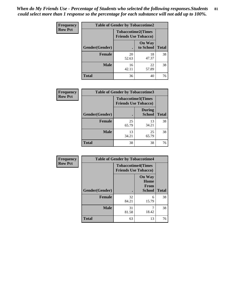*When do My Friends Use - Percentage of Students who selected the following responses.Students could select more than 1 response so the percentage for each substance will not add up to 100%.* **81**

| Frequency      | <b>Table of Gender by Tobaccotime2</b> |                                                          |                            |              |
|----------------|----------------------------------------|----------------------------------------------------------|----------------------------|--------------|
| <b>Row Pct</b> |                                        | <b>Tobaccotime2(Times</b><br><b>Friends Use Tobacco)</b> |                            |              |
|                | Gender(Gender)                         | $\bullet$                                                | <b>On Way</b><br>to School | <b>Total</b> |
|                | Female                                 | 20<br>52.63                                              | 18<br>47.37                | 38           |
|                | <b>Male</b>                            | 16<br>42.11                                              | 22<br>57.89                | 38           |
|                | <b>Total</b>                           | 36                                                       | 40                         | 76           |

| Frequency      | <b>Table of Gender by Tobaccotime3</b> |                                                          |                                |              |
|----------------|----------------------------------------|----------------------------------------------------------|--------------------------------|--------------|
| <b>Row Pct</b> |                                        | <b>Tobaccotime3(Times</b><br><b>Friends Use Tobacco)</b> |                                |              |
|                | Gender(Gender)                         | п                                                        | <b>During</b><br><b>School</b> | <b>Total</b> |
|                | Female                                 | 25<br>65.79                                              | 13<br>34.21                    | 38           |
|                | <b>Male</b>                            | 13<br>34.21                                              | 25<br>65.79                    | 38           |
|                | <b>Total</b>                           | 38                                                       | 38                             | 76           |

| Frequency      | <b>Table of Gender by Tobaccotime4</b> |                                                          |                                                |              |
|----------------|----------------------------------------|----------------------------------------------------------|------------------------------------------------|--------------|
| <b>Row Pct</b> |                                        | <b>Tobaccotime4(Times</b><br><b>Friends Use Tobacco)</b> |                                                |              |
|                | Gender(Gender)                         |                                                          | <b>On Way</b><br>Home<br>From<br><b>School</b> | <b>Total</b> |
|                | <b>Female</b>                          | 32<br>84.21                                              | 6<br>15.79                                     | 38           |
|                | <b>Male</b>                            | 31<br>81.58                                              | 7<br>18.42                                     | 38           |
|                | <b>Total</b>                           | 63                                                       | 13                                             | 76           |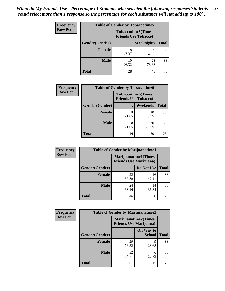| <b>Frequency</b> | <b>Table of Gender by Tobaccotime5</b> |                                                           |                   |              |  |
|------------------|----------------------------------------|-----------------------------------------------------------|-------------------|--------------|--|
| <b>Row Pct</b>   |                                        | <b>Tobaccotime5</b> (Times<br><b>Friends Use Tobacco)</b> |                   |              |  |
|                  | Gender(Gender)                         |                                                           | <b>Weeknights</b> | <b>Total</b> |  |
|                  | <b>Female</b>                          | 18<br>47.37                                               | 20<br>52.63       | 38           |  |
|                  | <b>Male</b>                            | 10<br>26.32                                               | 28<br>73.68       | 38           |  |
|                  | Total                                  | 28                                                        | 48                | 76           |  |

| <b>Frequency</b> |                | <b>Table of Gender by Tobaccotime6</b>                   |                 |              |
|------------------|----------------|----------------------------------------------------------|-----------------|--------------|
| <b>Row Pct</b>   |                | <b>Tobaccotime6(Times</b><br><b>Friends Use Tobacco)</b> |                 |              |
|                  | Gender(Gender) |                                                          | <b>Weekends</b> | <b>Total</b> |
|                  | Female         | 8<br>21.05                                               | 30<br>78.95     | 38           |
|                  | <b>Male</b>    | 8<br>21.05                                               | 30<br>78.95     | 38           |
|                  | <b>Total</b>   | 16                                                       | 60              | 76           |

| <b>Frequency</b> | <b>Table of Gender by Marijuanatime1</b> |                                |                             |              |
|------------------|------------------------------------------|--------------------------------|-----------------------------|--------------|
| <b>Row Pct</b>   |                                          | <b>Friends Use Marijuana</b> ) | <b>Marijuanatime1(Times</b> |              |
|                  | Gender(Gender)                           |                                | Do Not Use                  | <b>Total</b> |
|                  | <b>Female</b>                            | 22<br>57.89                    | 16<br>42.11                 | 38           |
|                  | <b>Male</b>                              | 24<br>63.16                    | 14<br>36.84                 | 38           |
|                  | <b>Total</b>                             | 46                             | 30                          | 76           |

| <b>Frequency</b> | <b>Table of Gender by Marijuanatime2</b> |                                                        |                            |              |
|------------------|------------------------------------------|--------------------------------------------------------|----------------------------|--------------|
| <b>Row Pct</b>   |                                          | Marijuanatime2(Times<br><b>Friends Use Marijuana</b> ) |                            |              |
|                  | Gender(Gender)                           |                                                        | On Way to<br><b>School</b> | <b>Total</b> |
|                  | <b>Female</b>                            | 29<br>76.32                                            | q<br>23.68                 | 38           |
|                  | <b>Male</b>                              | 32<br>84.21                                            | 6<br>15.79                 | 38           |
|                  | <b>Total</b>                             | 61                                                     | 15                         | 76           |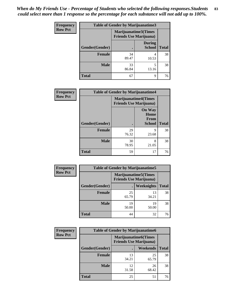| Frequency      | Table of Gender by Marijuanatime3 |                                                        |                                |              |
|----------------|-----------------------------------|--------------------------------------------------------|--------------------------------|--------------|
| <b>Row Pct</b> |                                   | Marijuanatime3(Times<br><b>Friends Use Marijuana</b> ) |                                |              |
|                | Gender(Gender)                    |                                                        | <b>During</b><br><b>School</b> | <b>Total</b> |
|                | <b>Female</b>                     | 34<br>89.47                                            | 4<br>10.53                     | 38           |
|                | <b>Male</b>                       | 33<br>86.84                                            | 5<br>13.16                     | 38           |
|                | <b>Total</b>                      | 67                                                     | 9                              | 76           |

| Frequency      | <b>Table of Gender by Marijuanatime4</b> |                                |                                                       |              |
|----------------|------------------------------------------|--------------------------------|-------------------------------------------------------|--------------|
| <b>Row Pct</b> |                                          | <b>Friends Use Marijuana</b> ) | <b>Marijuanatime4(Times</b>                           |              |
|                | Gender(Gender)                           |                                | <b>On Way</b><br>Home<br><b>From</b><br><b>School</b> | <b>Total</b> |
|                | <b>Female</b>                            | 29<br>76.32                    | 9<br>23.68                                            | 38           |
|                | <b>Male</b>                              | 30<br>78.95                    | 8<br>21.05                                            | 38           |
|                | <b>Total</b>                             | 59                             | 17                                                    | 76           |

| <b>Frequency</b> | <b>Table of Gender by Marijuanatime5</b> |                                                                |             |              |  |
|------------------|------------------------------------------|----------------------------------------------------------------|-------------|--------------|--|
| <b>Row Pct</b>   |                                          | <b>Marijuanatime5</b> (Times<br><b>Friends Use Marijuana</b> ) |             |              |  |
|                  | Gender(Gender)                           |                                                                | Weeknights  | <b>Total</b> |  |
|                  | <b>Female</b>                            | 25<br>65.79                                                    | 13<br>34.21 | 38           |  |
|                  | <b>Male</b>                              | 19<br>50.00                                                    | 19<br>50.00 | 38           |  |
|                  | <b>Total</b>                             | 44                                                             | 32          | 76           |  |

| Frequency      | <b>Table of Gender by Marijuanatime6</b> |                                                               |                 |              |
|----------------|------------------------------------------|---------------------------------------------------------------|-----------------|--------------|
| <b>Row Pct</b> |                                          | <b>Marijuanatime6(Times</b><br><b>Friends Use Marijuana</b> ) |                 |              |
|                | Gender(Gender)                           |                                                               | <b>Weekends</b> | <b>Total</b> |
|                | <b>Female</b>                            | 13<br>34.21                                                   | 25<br>65.79     | 38           |
|                | <b>Male</b>                              | 12<br>31.58                                                   | 26<br>68.42     | 38           |
|                | <b>Total</b>                             | 25                                                            | 51              | 76           |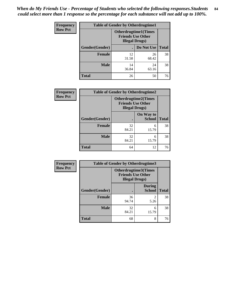*When do My Friends Use - Percentage of Students who selected the following responses.Students could select more than 1 response so the percentage for each substance will not add up to 100%.* **84**

| <b>Frequency</b> | <b>Table of Gender by Otherdrugtime1</b> |                                                                                   |                    |    |
|------------------|------------------------------------------|-----------------------------------------------------------------------------------|--------------------|----|
| <b>Row Pct</b>   |                                          | <b>Otherdrugtime1</b> (Times<br><b>Friends Use Other</b><br><b>Illegal Drugs)</b> |                    |    |
|                  | Gender(Gender)                           |                                                                                   | Do Not Use   Total |    |
|                  | <b>Female</b>                            | 12<br>31.58                                                                       | 26<br>68.42        | 38 |
|                  | <b>Male</b>                              | 14<br>36.84                                                                       | 24<br>63.16        | 38 |
|                  | <b>Total</b>                             | 26                                                                                | 50                 | 76 |

| Frequency      | <b>Table of Gender by Otherdrugtime2</b> |                                                                                   |                            |              |  |
|----------------|------------------------------------------|-----------------------------------------------------------------------------------|----------------------------|--------------|--|
| <b>Row Pct</b> |                                          | <b>Otherdrugtime2(Times</b><br><b>Friends Use Other</b><br><b>Illegal Drugs</b> ) |                            |              |  |
|                | Gender(Gender)                           |                                                                                   | On Way to<br><b>School</b> | <b>Total</b> |  |
|                | <b>Female</b>                            | 32<br>84.21                                                                       | 6<br>15.79                 | 38           |  |
|                | <b>Male</b>                              | 32<br>84.21                                                                       | 6<br>15.79                 | 38           |  |
|                | <b>Total</b>                             | 64                                                                                | 12                         | 76           |  |

| <b>Frequency</b> | <b>Table of Gender by Otherdrugtime3</b> |                                                                            |                                |              |
|------------------|------------------------------------------|----------------------------------------------------------------------------|--------------------------------|--------------|
| <b>Row Pct</b>   |                                          | Otherdrugtime3(Times<br><b>Friends Use Other</b><br><b>Illegal Drugs</b> ) |                                |              |
|                  | Gender(Gender)                           |                                                                            | <b>During</b><br><b>School</b> | <b>Total</b> |
|                  | <b>Female</b>                            | 36<br>94.74                                                                | $\overline{c}$<br>5.26         | 38           |
|                  | <b>Male</b>                              | 32<br>84.21                                                                | 6<br>15.79                     | 38           |
|                  | <b>Total</b>                             | 68                                                                         | 8                              | 76           |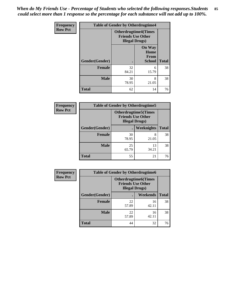*When do My Friends Use - Percentage of Students who selected the following responses.Students could select more than 1 response so the percentage for each substance will not add up to 100%.* **85**

| Frequency      |                | <b>Table of Gender by Otherdrugtime4</b>           |                                                       |              |
|----------------|----------------|----------------------------------------------------|-------------------------------------------------------|--------------|
| <b>Row Pct</b> |                | <b>Friends Use Other</b><br><b>Illegal Drugs</b> ) | <b>Otherdrugtime4(Times</b>                           |              |
|                | Gender(Gender) |                                                    | <b>On Way</b><br>Home<br><b>From</b><br><b>School</b> | <b>Total</b> |
|                | <b>Female</b>  | 32<br>84.21                                        | 6<br>15.79                                            | 38           |
|                | <b>Male</b>    | 30<br>78.95                                        | 8<br>21.05                                            | 38           |
|                | <b>Total</b>   | 62                                                 | 14                                                    | 76           |

| <b>Frequency</b> | <b>Table of Gender by Otherdrugtime5</b> |                                                                                    |                   |              |
|------------------|------------------------------------------|------------------------------------------------------------------------------------|-------------------|--------------|
| <b>Row Pct</b>   |                                          | <b>Otherdrugtime5</b> (Times<br><b>Friends Use Other</b><br><b>Illegal Drugs</b> ) |                   |              |
|                  | Gender(Gender)                           |                                                                                    | <b>Weeknights</b> | <b>Total</b> |
|                  | <b>Female</b>                            | 30<br>78.95                                                                        | 8<br>21.05        | 38           |
|                  | <b>Male</b>                              | 25<br>65.79                                                                        | 13<br>34.21       | 38           |
|                  | <b>Total</b>                             | 55                                                                                 | 21                | 76           |

| <b>Frequency</b> | <b>Table of Gender by Otherdrugtime6</b> |                                                                                   |             |              |  |
|------------------|------------------------------------------|-----------------------------------------------------------------------------------|-------------|--------------|--|
| <b>Row Pct</b>   |                                          | <b>Otherdrugtime6(Times</b><br><b>Friends Use Other</b><br><b>Illegal Drugs</b> ) |             |              |  |
|                  | Gender(Gender)                           |                                                                                   | Weekends    | <b>Total</b> |  |
|                  | <b>Female</b>                            | 22<br>57.89                                                                       | 16<br>42.11 | 38           |  |
|                  | <b>Male</b>                              | 22<br>57.89                                                                       | 16<br>42.11 | 38           |  |
|                  | <b>Total</b>                             | 44                                                                                | 32          | 76           |  |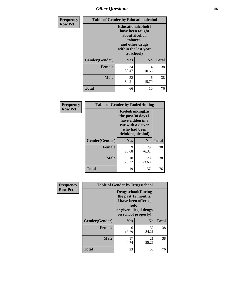# *Other Questions* **86**

| <b>Frequency</b> | <b>Table of Gender by Educationalcohol</b> |                                                                                                                                       |                |              |  |
|------------------|--------------------------------------------|---------------------------------------------------------------------------------------------------------------------------------------|----------------|--------------|--|
| <b>Row Pct</b>   |                                            | <b>Educationalcohol</b> (I<br>have been taught<br>about alcohol,<br>tobacco,<br>and other drugs<br>within the last year<br>at school) |                |              |  |
|                  | Gender(Gender)                             | Yes                                                                                                                                   | N <sub>0</sub> | <b>Total</b> |  |
|                  | <b>Female</b>                              | 34<br>89.47                                                                                                                           | 4<br>10.53     | 38           |  |
|                  | <b>Male</b>                                | 32<br>84.21                                                                                                                           | 6<br>15.79     | 38           |  |
|                  | <b>Total</b>                               | 66                                                                                                                                    | 10             | 76           |  |

| Frequency      | <b>Table of Gender by Rodedrinking</b> |             |                                                                                                                     |              |
|----------------|----------------------------------------|-------------|---------------------------------------------------------------------------------------------------------------------|--------------|
| <b>Row Pct</b> |                                        |             | Rodedrinking(In<br>the past 30 days I<br>have ridden in a<br>car with a driver<br>who had been<br>drinking alcohol) |              |
|                | Gender(Gender)                         | Yes         | N <sub>0</sub>                                                                                                      | <b>Total</b> |
|                | <b>Female</b>                          | 9<br>23.68  | 29<br>76.32                                                                                                         | 38           |
|                | <b>Male</b>                            | 10<br>26.32 | 28<br>73.68                                                                                                         | 38           |
|                | <b>Total</b>                           | 19          | 57                                                                                                                  | 76           |

| Frequency      |                | <b>Table of Gender by Drugsschool</b>                                                                                               |                |              |
|----------------|----------------|-------------------------------------------------------------------------------------------------------------------------------------|----------------|--------------|
| <b>Row Pct</b> |                | <b>Drugsschool</b> (During<br>the past 12 months,<br>I have been offered,<br>sold,<br>or given illegal drugs<br>on school property) |                |              |
|                | Gender(Gender) | <b>Yes</b>                                                                                                                          | N <sub>0</sub> | <b>Total</b> |
|                | <b>Female</b>  | 6<br>15.79                                                                                                                          | 32<br>84.21    | 38           |
|                | <b>Male</b>    | 17<br>44.74                                                                                                                         | 21<br>55.26    | 38           |
|                | <b>Total</b>   | 23                                                                                                                                  | 53             | 76           |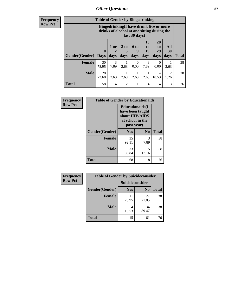## *Other Questions* **87**

**Frequency Row Pct**

| <b>Table of Gender by Bingedrinking</b> |                                                                                                         |              |                              |                   |                               |                               |                        |              |
|-----------------------------------------|---------------------------------------------------------------------------------------------------------|--------------|------------------------------|-------------------|-------------------------------|-------------------------------|------------------------|--------------|
|                                         | Bingedrinking(I have drunk five or more<br>drinks of alcohol at one sitting during the<br>last 30 days) |              |                              |                   |                               |                               |                        |              |
| <b>Gender</b> (Gender)   Days           | $\mathbf 0$                                                                                             | 1 or<br>days | 3 <sub>to</sub><br>5<br>days | 6 to<br>9<br>days | <b>10</b><br>to<br>19<br>days | <b>20</b><br>to<br>29<br>days | All<br>30<br>days      | <b>Total</b> |
|                                         |                                                                                                         |              |                              |                   |                               |                               |                        |              |
| <b>Female</b>                           | 30<br>78.95                                                                                             | 3<br>7.89    | 2.63                         | 0<br>0.00         | 3<br>7.89                     | 0<br>0.00                     | 2.63                   | 38           |
| <b>Male</b>                             | 28<br>73.68                                                                                             | 2.63         | 2.63                         | 2.63              | 2.63                          | 4<br>10.53                    | $\mathfrak{D}$<br>5.26 | 38           |

| Frequency      | <b>Table of Gender by Educationaids</b> |                                                                                                 |                |              |
|----------------|-----------------------------------------|-------------------------------------------------------------------------------------------------|----------------|--------------|
| <b>Row Pct</b> |                                         | <b>Educationaids</b> (I<br>have been taught<br>about HIV/AIDS<br>at school in the<br>past year) |                |              |
|                | Gender(Gender)                          | Yes                                                                                             | N <sub>0</sub> | <b>Total</b> |
|                | <b>Female</b>                           | 35<br>92.11                                                                                     | 3<br>7.89      | 38           |
|                | <b>Male</b>                             | 33<br>86.84                                                                                     | 5<br>13.16     | 38           |
|                | <b>Total</b>                            | 68                                                                                              | 8              | 76           |

| <b>Frequency</b> | <b>Table of Gender by Suicideconsider</b> |                        |                |              |
|------------------|-------------------------------------------|------------------------|----------------|--------------|
| <b>Row Pct</b>   |                                           | <b>Suicideconsider</b> |                |              |
|                  | Gender(Gender)                            | Yes                    | N <sub>0</sub> | <b>Total</b> |
|                  | <b>Female</b>                             | 11<br>28.95            | 27<br>71.05    | 38           |
|                  | <b>Male</b>                               | 10.53                  | 34<br>89.47    | 38           |
|                  | <b>Total</b>                              | 15                     | 61             | 76           |